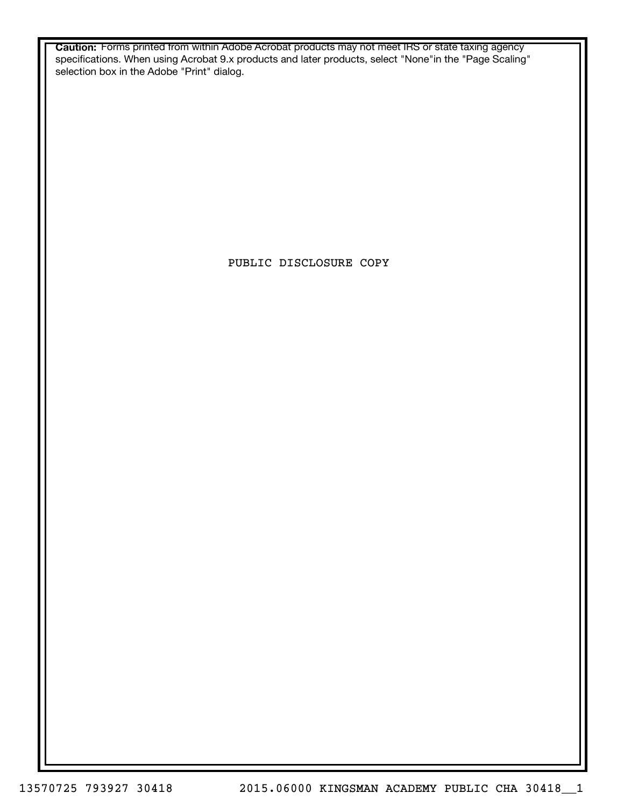**Caution:** Forms printed from within Adobe Acrobat products may not meet IRS or state taxing agency specifications. When using Acrobat 9.x products and later products, select "None"in the "Page Scaling" selection box in the Adobe "Print" dialog.

PUBLIC DISCLOSURE COPY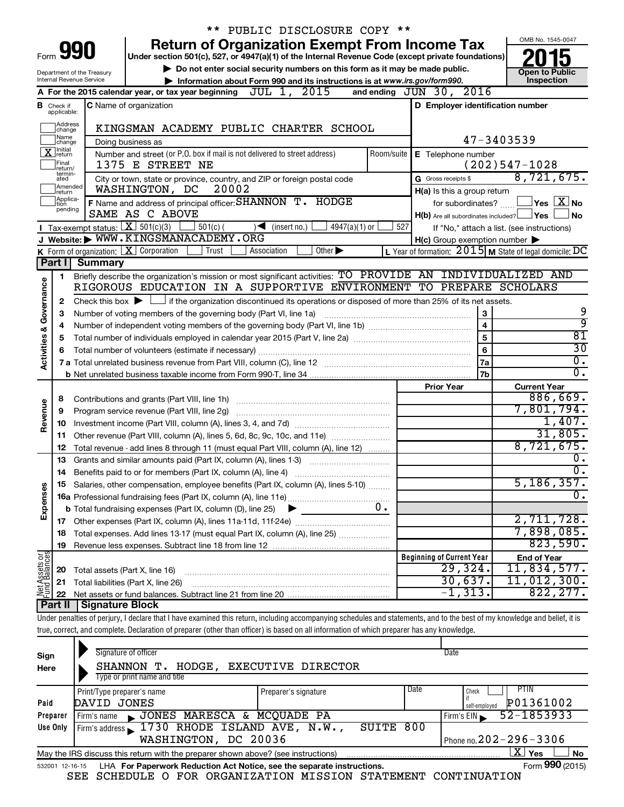|                         |                               |                                | ** PUBLIC DISCLOSURE COPY **                                                                                                                                               |            |                                                     |                                                           |
|-------------------------|-------------------------------|--------------------------------|----------------------------------------------------------------------------------------------------------------------------------------------------------------------------|------------|-----------------------------------------------------|-----------------------------------------------------------|
|                         |                               |                                | <b>Return of Organization Exempt From Income Tax</b>                                                                                                                       |            |                                                     | OMB No. 1545-0047                                         |
|                         |                               | Form <b>990</b>                | Under section 501(c), 527, or 4947(a)(1) of the Internal Revenue Code (except private foundations)                                                                         |            |                                                     |                                                           |
|                         |                               | Department of the Treasury     | Do not enter social security numbers on this form as it may be made public.                                                                                                |            |                                                     | <b>Open to Public</b>                                     |
|                         |                               | Internal Revenue Service       | Information about Form 990 and its instructions is at www.irs.gov/form990.                                                                                                 |            |                                                     | Inspection                                                |
|                         |                               |                                | A For the 2015 calendar year, or tax year beginning JUL 1, 2015                                                                                                            |            | and ending JUN 30, 2016                             |                                                           |
|                         | <b>B</b> Check if applicable: |                                | <b>C</b> Name of organization                                                                                                                                              |            | D Employer identification number                    |                                                           |
|                         | Address<br>change             |                                | KINGSMAN ACADEMY PUBLIC CHARTER SCHOOL                                                                                                                                     |            |                                                     |                                                           |
|                         | Name<br>]change               |                                | Doing business as                                                                                                                                                          |            |                                                     | 47-3403539                                                |
|                         | <b>X</b> return               |                                | Number and street (or P.O. box if mail is not delivered to street address)                                                                                                 | Room/suite | E Telephone number                                  |                                                           |
|                         | Final<br>return/              |                                | 1375 E STREET NE                                                                                                                                                           |            |                                                     | $(202)547 - 1028$                                         |
|                         | termin-<br>ated               |                                | City or town, state or province, country, and ZIP or foreign postal code                                                                                                   |            | G Gross receipts \$                                 | 8,721,675.                                                |
|                         | Amended<br>Ireturn            |                                | 20002<br>WASHINGTON, DC                                                                                                                                                    |            | H(a) Is this a group return                         |                                                           |
|                         | Applica-<br>ltion<br>pending  |                                | F Name and address of principal officer: SHANNON T. HODGE                                                                                                                  |            | for subordinates?                                   | $ Y$ es $ \overline{X} $ No                               |
|                         |                               |                                | SAME AS C ABOVE                                                                                                                                                            |            | $H(b)$ Are all subordinates included? $\Box$ Yes    | No                                                        |
|                         |                               |                                | Tax-exempt status: $X \over 301(c)(3)$<br>$\frac{1}{2}$ 501(c) (<br>$\sqrt{\bullet}$ (insert no.)<br>$4947(a)(1)$ or                                                       | 527        |                                                     | If "No," attach a list. (see instructions)                |
|                         |                               |                                | J Website: WWW.KINGSMANACADEMY.ORG                                                                                                                                         |            | $H(c)$ Group exemption number $\blacktriangleright$ |                                                           |
|                         | Part I                        | <b>Summary</b>                 | <b>K</b> Form of organization: $\boxed{\textbf{X}}$ Corporation<br>Other $\blacktriangleright$<br>Trust<br>Association                                                     |            |                                                     | L Year of formation: $2015$ M State of legal domicile: DC |
|                         |                               |                                | Briefly describe the organization's mission or most significant activities: TO PROVIDE AN INDIVIDUALIZED AND                                                               |            |                                                     |                                                           |
|                         | 1                             |                                | RIGOROUS EDUCATION IN A SUPPORTIVE ENVIRONMENT TO PREPARE SCHOLARS                                                                                                         |            |                                                     |                                                           |
| Governance              |                               |                                | Check this box $\blacktriangleright$ $\Box$ if the organization discontinued its operations or disposed of more than 25% of its net assets.                                |            |                                                     |                                                           |
|                         | 2<br>3                        |                                | Number of voting members of the governing body (Part VI, line 1a)                                                                                                          |            | 3                                                   | 9                                                         |
|                         | 4                             |                                |                                                                                                                                                                            |            | $\overline{\mathbf{4}}$                             | ब्र                                                       |
|                         | 5                             |                                |                                                                                                                                                                            |            | 5                                                   | $\overline{81}$                                           |
|                         | 6                             |                                |                                                                                                                                                                            |            | 6                                                   | $\overline{30}$                                           |
| <b>Activities &amp;</b> |                               |                                |                                                                                                                                                                            |            | 7a                                                  | $\overline{0}$ .                                          |
|                         |                               |                                |                                                                                                                                                                            |            | 7 <sub>b</sub>                                      | $\overline{0}$ .                                          |
|                         |                               |                                |                                                                                                                                                                            |            | <b>Prior Year</b>                                   | <b>Current Year</b>                                       |
|                         | 8                             |                                |                                                                                                                                                                            |            |                                                     | 886,669.                                                  |
| Revenue                 | 9                             |                                | Program service revenue (Part VIII, line 2g)                                                                                                                               |            |                                                     | 7,801,794.                                                |
|                         | 10                            |                                |                                                                                                                                                                            |            |                                                     | 1,407.                                                    |
|                         | 11                            |                                |                                                                                                                                                                            |            |                                                     | 31,805.                                                   |
|                         | 12                            |                                | Total revenue - add lines 8 through 11 (must equal Part VIII, column (A), line 12)                                                                                         |            |                                                     | 8,721,675.                                                |
|                         | 13                            |                                | Grants and similar amounts paid (Part IX, column (A), lines 1-3)                                                                                                           |            |                                                     | Ο.<br>$\overline{\mathfrak{o}}$ .                         |
|                         |                               |                                |                                                                                                                                                                            |            |                                                     |                                                           |
|                         |                               |                                | Salaries, other compensation, employee benefits (Part IX, column (A), lines 5-10)                                                                                          |            |                                                     | 5,186,357.<br>$\overline{0}$ .                            |
| Expenses                |                               |                                |                                                                                                                                                                            | $0$ .      |                                                     |                                                           |
|                         |                               |                                | <b>b</b> Total fundraising expenses (Part IX, column (D), line 25)                                                                                                         |            |                                                     | 2,711,728.                                                |
|                         | 18                            |                                | Total expenses. Add lines 13-17 (must equal Part IX, column (A), line 25) <i></i>                                                                                          |            |                                                     | 7,898,085.                                                |
|                         | 19                            |                                |                                                                                                                                                                            |            |                                                     | 823,590.                                                  |
|                         |                               |                                |                                                                                                                                                                            |            | <b>Beginning of Current Year</b>                    | <b>End of Year</b>                                        |
| Net Assets or           | 20                            | Total assets (Part X, line 16) |                                                                                                                                                                            |            | 29,324.                                             | 11,834,577.                                               |
|                         | 21                            |                                | Total liabilities (Part X, line 26)                                                                                                                                        |            | 30,637.                                             | 11,012,300.                                               |
|                         | 22                            |                                |                                                                                                                                                                            |            | $-1, 313.$                                          | 822, 277.                                                 |
|                         | Part II                       | <b>Signature Block</b>         |                                                                                                                                                                            |            |                                                     |                                                           |
|                         |                               |                                | Under penalties of perjury, I declare that I have examined this return, including accompanying schedules and statements, and to the best of my knowledge and belief, it is |            |                                                     |                                                           |
|                         |                               |                                | true, correct, and complete. Declaration of preparer (other than officer) is based on all information of which preparer has any knowledge.                                 |            |                                                     |                                                           |
|                         |                               |                                |                                                                                                                                                                            |            |                                                     |                                                           |
| Sign                    |                               |                                | Signature of officer                                                                                                                                                       |            | Date                                                |                                                           |
| Here                    |                               |                                | SHANNON T. HODGE, EXECUTIVE DIRECTOR                                                                                                                                       |            |                                                     |                                                           |
|                         |                               |                                | Type or print name and title                                                                                                                                               |            |                                                     |                                                           |

|                                                                                                  | rypo or printenanto and title                 |                      |      |                              |  |  |  |  |  |  |
|--------------------------------------------------------------------------------------------------|-----------------------------------------------|----------------------|------|------------------------------|--|--|--|--|--|--|
|                                                                                                  | Print/Type preparer's name                    | Preparer's signature | Date | PTIN<br>Check                |  |  |  |  |  |  |
| Paid                                                                                             | DAVID JONES                                   |                      |      | P01361002<br>self-emploved   |  |  |  |  |  |  |
| Preparer                                                                                         | JONES MARESCA & MCQUADE PA<br>I Firm's name   |                      |      | 52-1853933<br>Firm's EIN     |  |  |  |  |  |  |
| Use Only                                                                                         | Firm's address 1730 RHODE ISLAND AVE, N.W.,   | SUITE 800            |      |                              |  |  |  |  |  |  |
|                                                                                                  | WASHINGTON, DC 20036                          |                      |      | Phone no. $202 - 296 - 3306$ |  |  |  |  |  |  |
| May the IRS discuss this return with the preparer shown above? (see instructions)<br>No<br>` Yes |                                               |                      |      |                              |  |  |  |  |  |  |
|                                                                                                  | $\mathbf{A}$<br>$\overline{\phantom{a}}$<br>. |                      |      |                              |  |  |  |  |  |  |

| 532001 12-16-15 LHA For Paperwork Reduction Act Notice, see the separate instructions. |  | Form 990 (2015)                                                |  |  |  |  |  |
|----------------------------------------------------------------------------------------|--|----------------------------------------------------------------|--|--|--|--|--|
|                                                                                        |  | SEE SCHEDULE O FOR ORGANIZATION MISSION STATEMENT CONTINUATION |  |  |  |  |  |

Form **990** (2015)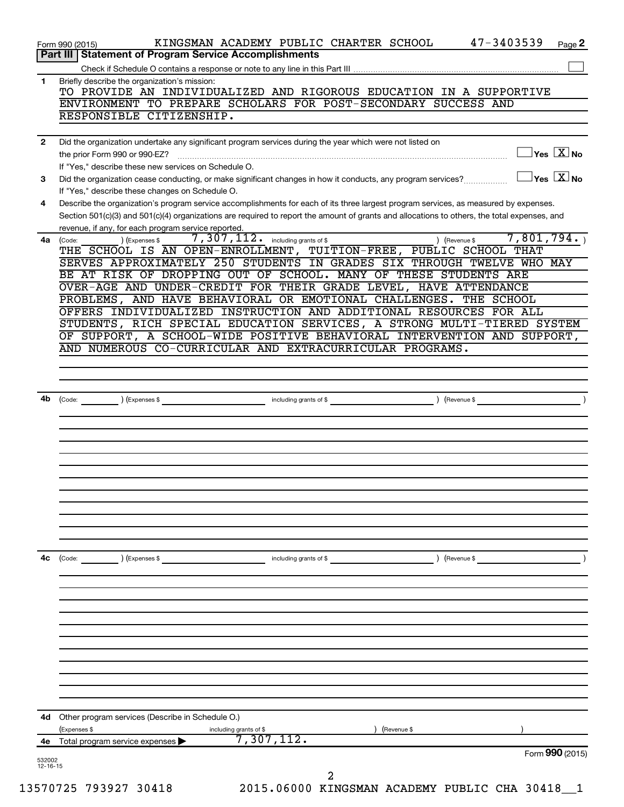|              | Part III   Statement of Program Service Accomplishments                                                                                                                                                                                                                                                                                                                                                                                                               |
|--------------|-----------------------------------------------------------------------------------------------------------------------------------------------------------------------------------------------------------------------------------------------------------------------------------------------------------------------------------------------------------------------------------------------------------------------------------------------------------------------|
|              |                                                                                                                                                                                                                                                                                                                                                                                                                                                                       |
| 1            | Briefly describe the organization's mission:<br>TO PROVIDE AN INDIVIDUALIZED AND RIGOROUS EDUCATION IN A SUPPORTIVE                                                                                                                                                                                                                                                                                                                                                   |
|              | ENVIRONMENT TO PREPARE SCHOLARS FOR POST-SECONDARY SUCCESS AND                                                                                                                                                                                                                                                                                                                                                                                                        |
|              | RESPONSIBLE CITIZENSHIP.                                                                                                                                                                                                                                                                                                                                                                                                                                              |
| $\mathbf{2}$ | Did the organization undertake any significant program services during the year which were not listed on                                                                                                                                                                                                                                                                                                                                                              |
|              | $\sqrt{\mathsf{Yes}\ \mathbf{X}}$ No<br>the prior Form 990 or 990-EZ?<br>$\begin{bmatrix} \begin{bmatrix} 0 & 0 & 0 & 0 \\ 0 & 0 & 0 & 0 \\ 0 & 0 & 0 & 0 \\ 0 & 0 & 0 & 0 \\ 0 & 0 & 0 & 0 \\ 0 & 0 & 0 & 0 \\ 0 & 0 & 0 & 0 \\ 0 & 0 & 0 & 0 & 0 \\ 0 & 0 & 0 & 0 & 0 \\ 0 & 0 & 0 & 0 & 0 \\ 0 & 0 & 0 & 0 & 0 \\ 0 & 0 & 0 & 0 & 0 \\ 0 & 0 & 0 & 0 & 0 & 0 \\ 0 & 0 & 0 & 0 & 0 & 0 \\ 0 & 0 & 0 & 0 & $<br>If "Yes," describe these new services on Schedule O. |
| 3            | $\overline{Y}$ es $\overline{X}$ No<br>Did the organization cease conducting, or make significant changes in how it conducts, any program services?                                                                                                                                                                                                                                                                                                                   |
| 4            | If "Yes," describe these changes on Schedule O.<br>Describe the organization's program service accomplishments for each of its three largest program services, as measured by expenses.                                                                                                                                                                                                                                                                               |
|              | Section 501(c)(3) and 501(c)(4) organizations are required to report the amount of grants and allocations to others, the total expenses, and<br>revenue, if any, for each program service reported                                                                                                                                                                                                                                                                    |
| 4a           | 7,801,794.<br>$7,307,112$ . including grants of \$<br>) (Revenue \$<br>) (Expenses \$<br>(Code:                                                                                                                                                                                                                                                                                                                                                                       |
|              | THE SCHOOL IS AN OPEN-ENROLLMENT, TUITION-FREE, PUBLIC SCHOOL THAT<br>SERVES APPROXIMATELY 250 STUDENTS IN GRADES SIX THROUGH TWELVE WHO MAY                                                                                                                                                                                                                                                                                                                          |
|              | BE AT RISK OF DROPPING OUT OF SCHOOL. MANY OF THESE STUDENTS ARE<br>OVER-AGE AND UNDER-CREDIT FOR THEIR GRADE LEVEL, HAVE ATTENDANCE                                                                                                                                                                                                                                                                                                                                  |
|              | PROBLEMS, AND HAVE BEHAVIORAL OR EMOTIONAL CHALLENGES. THE SCHOOL                                                                                                                                                                                                                                                                                                                                                                                                     |
|              | OFFERS INDIVIDUALIZED INSTRUCTION AND ADDITIONAL RESOURCES FOR ALL                                                                                                                                                                                                                                                                                                                                                                                                    |
|              | STUDENTS, RICH SPECIAL EDUCATION SERVICES, A STRONG MULTI-TIERED SYSTEM                                                                                                                                                                                                                                                                                                                                                                                               |
|              | OF SUPPORT, A SCHOOL-WIDE POSITIVE BEHAVIORAL INTERVENTION AND SUPPORT,                                                                                                                                                                                                                                                                                                                                                                                               |
|              | AND NUMEROUS CO-CURRICULAR AND EXTRACURRICULAR PROGRAMS.                                                                                                                                                                                                                                                                                                                                                                                                              |
|              |                                                                                                                                                                                                                                                                                                                                                                                                                                                                       |
|              |                                                                                                                                                                                                                                                                                                                                                                                                                                                                       |
|              |                                                                                                                                                                                                                                                                                                                                                                                                                                                                       |
| 4b           | (Code: ) (Expenses \$  including grants of \$  ) (Revenue \$                                                                                                                                                                                                                                                                                                                                                                                                          |
|              |                                                                                                                                                                                                                                                                                                                                                                                                                                                                       |
|              |                                                                                                                                                                                                                                                                                                                                                                                                                                                                       |
|              |                                                                                                                                                                                                                                                                                                                                                                                                                                                                       |
|              |                                                                                                                                                                                                                                                                                                                                                                                                                                                                       |
|              |                                                                                                                                                                                                                                                                                                                                                                                                                                                                       |
|              |                                                                                                                                                                                                                                                                                                                                                                                                                                                                       |
|              |                                                                                                                                                                                                                                                                                                                                                                                                                                                                       |
|              |                                                                                                                                                                                                                                                                                                                                                                                                                                                                       |
|              |                                                                                                                                                                                                                                                                                                                                                                                                                                                                       |
|              |                                                                                                                                                                                                                                                                                                                                                                                                                                                                       |
| 4c           | ) (Revenue \$<br>(Code:<br>) (Expenses \$<br>including grants of \$                                                                                                                                                                                                                                                                                                                                                                                                   |
|              |                                                                                                                                                                                                                                                                                                                                                                                                                                                                       |
|              |                                                                                                                                                                                                                                                                                                                                                                                                                                                                       |
|              |                                                                                                                                                                                                                                                                                                                                                                                                                                                                       |
|              |                                                                                                                                                                                                                                                                                                                                                                                                                                                                       |
|              |                                                                                                                                                                                                                                                                                                                                                                                                                                                                       |
|              |                                                                                                                                                                                                                                                                                                                                                                                                                                                                       |
| 4d           | Other program services (Describe in Schedule O.)<br>) (Revenue \$                                                                                                                                                                                                                                                                                                                                                                                                     |
|              | (Expenses \$<br>including grants of \$<br>7,307,112.<br>Total program service expenses                                                                                                                                                                                                                                                                                                                                                                                |
| 4е           |                                                                                                                                                                                                                                                                                                                                                                                                                                                                       |
| 532002       | Form 990 (2015)                                                                                                                                                                                                                                                                                                                                                                                                                                                       |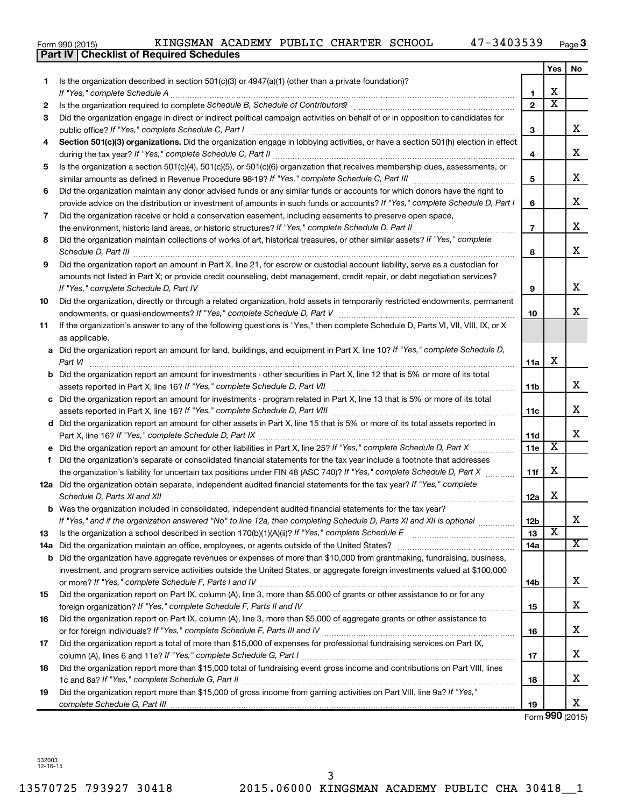| Form 990 (2015) |  |  |
|-----------------|--|--|

|     | <b>Part IV   Checklist of Required Schedules</b>                                                                                                                                                                                    |                 |                         |                         |
|-----|-------------------------------------------------------------------------------------------------------------------------------------------------------------------------------------------------------------------------------------|-----------------|-------------------------|-------------------------|
|     |                                                                                                                                                                                                                                     |                 | Yes                     | No                      |
| 1.  | Is the organization described in section 501(c)(3) or 4947(a)(1) (other than a private foundation)?                                                                                                                                 |                 |                         |                         |
|     |                                                                                                                                                                                                                                     | 1               | X                       |                         |
| 2   | Is the organization required to complete Schedule B, Schedule of Contributors? [11] the organization required to complete Schedule B, Schedule of Contributors?                                                                     | $\mathbf{2}$    | $\overline{\mathbf{X}}$ |                         |
| З   | Did the organization engage in direct or indirect political campaign activities on behalf of or in opposition to candidates for                                                                                                     |                 |                         |                         |
|     |                                                                                                                                                                                                                                     | 3               |                         | x                       |
| 4   | Section 501(c)(3) organizations. Did the organization engage in lobbying activities, or have a section 501(h) election in effect                                                                                                    |                 |                         |                         |
|     |                                                                                                                                                                                                                                     | 4               |                         | X                       |
| 5   | Is the organization a section 501(c)(4), 501(c)(5), or 501(c)(6) organization that receives membership dues, assessments, or                                                                                                        |                 |                         |                         |
|     |                                                                                                                                                                                                                                     | 5               |                         | х                       |
| 6   | Did the organization maintain any donor advised funds or any similar funds or accounts for which donors have the right to                                                                                                           |                 |                         |                         |
|     | provide advice on the distribution or investment of amounts in such funds or accounts? If "Yes," complete Schedule D, Part I                                                                                                        | 6               |                         | х                       |
|     |                                                                                                                                                                                                                                     |                 |                         |                         |
| 7   | Did the organization receive or hold a conservation easement, including easements to preserve open space,                                                                                                                           |                 |                         | х                       |
|     |                                                                                                                                                                                                                                     | $\overline{7}$  |                         |                         |
| 8   | Did the organization maintain collections of works of art, historical treasures, or other similar assets? If "Yes," complete                                                                                                        |                 |                         | X                       |
|     | Schedule D, Part III <b>Marting Community</b> Construction of the Construction of the Construction of the Construction of the Construction of the Construction of the Construction of the Construction of the Construction of the C | 8               |                         |                         |
| 9   | Did the organization report an amount in Part X, line 21, for escrow or custodial account liability, serve as a custodian for                                                                                                       |                 |                         |                         |
|     | amounts not listed in Part X; or provide credit counseling, debt management, credit repair, or debt negotiation services?                                                                                                           |                 |                         |                         |
|     | If "Yes," complete Schedule D, Part IV                                                                                                                                                                                              | 9               |                         | х                       |
| 10  | Did the organization, directly or through a related organization, hold assets in temporarily restricted endowments, permanent                                                                                                       |                 |                         |                         |
|     |                                                                                                                                                                                                                                     | 10              |                         | х                       |
| 11  | If the organization's answer to any of the following questions is "Yes," then complete Schedule D, Parts VI, VII, VIII, IX, or X                                                                                                    |                 |                         |                         |
|     | as applicable.                                                                                                                                                                                                                      |                 |                         |                         |
|     | a Did the organization report an amount for land, buildings, and equipment in Part X, line 10? If "Yes," complete Schedule D,                                                                                                       |                 |                         |                         |
|     | Part VI                                                                                                                                                                                                                             | 11a             | х                       |                         |
|     | <b>b</b> Did the organization report an amount for investments - other securities in Part X, line 12 that is 5% or more of its total                                                                                                |                 |                         |                         |
|     | assets reported in Part X, line 16? If "Yes," complete Schedule D, Part VII [11] [11] [12] [12] [12] [12] [12] [                                                                                                                    | 11b             |                         | х                       |
|     | c Did the organization report an amount for investments - program related in Part X, line 13 that is 5% or more of its total                                                                                                        |                 |                         |                         |
|     |                                                                                                                                                                                                                                     | 11c             |                         | X                       |
|     | d Did the organization report an amount for other assets in Part X, line 15 that is 5% or more of its total assets reported in                                                                                                      |                 |                         |                         |
|     |                                                                                                                                                                                                                                     | 11d             |                         | х                       |
|     |                                                                                                                                                                                                                                     | 11e             | Х                       |                         |
|     | f Did the organization's separate or consolidated financial statements for the tax year include a footnote that addresses                                                                                                           |                 |                         |                         |
|     | the organization's liability for uncertain tax positions under FIN 48 (ASC 740)? If "Yes," complete Schedule D, Part X                                                                                                              | 11f             | х                       |                         |
|     | 12a Did the organization obtain separate, independent audited financial statements for the tax year? If "Yes," complete                                                                                                             |                 |                         |                         |
|     | Schedule D, Parts XI and XII                                                                                                                                                                                                        | 12a             | х                       |                         |
|     | <b>b</b> Was the organization included in consolidated, independent audited financial statements for the tax year?                                                                                                                  |                 |                         |                         |
|     | If "Yes," and if the organization answered "No" to line 12a, then completing Schedule D, Parts XI and XII is optional <i>manum</i>                                                                                                  | 12 <sub>b</sub> |                         | х                       |
| 13  |                                                                                                                                                                                                                                     | 13              | X                       |                         |
| 14a |                                                                                                                                                                                                                                     | 14a             |                         | $\overline{\mathbf{x}}$ |
|     | <b>b</b> Did the organization have aggregate revenues or expenses of more than \$10,000 from grantmaking, fundraising, business,                                                                                                    |                 |                         |                         |
|     | investment, and program service activities outside the United States, or aggregate foreign investments valued at \$100,000                                                                                                          |                 |                         |                         |
|     |                                                                                                                                                                                                                                     | 14b             |                         | х                       |
| 15  | Did the organization report on Part IX, column (A), line 3, more than \$5,000 of grants or other assistance to or for any                                                                                                           |                 |                         |                         |
|     |                                                                                                                                                                                                                                     | 15              |                         | х                       |
| 16  | Did the organization report on Part IX, column (A), line 3, more than \$5,000 of aggregate grants or other assistance to                                                                                                            |                 |                         |                         |
|     |                                                                                                                                                                                                                                     | 16              |                         | х                       |
| 17  | Did the organization report a total of more than \$15,000 of expenses for professional fundraising services on Part IX,                                                                                                             |                 |                         |                         |
|     |                                                                                                                                                                                                                                     | 17              |                         | х                       |
| 18  | Did the organization report more than \$15,000 total of fundraising event gross income and contributions on Part VIII, lines                                                                                                        |                 |                         |                         |
|     |                                                                                                                                                                                                                                     | 18              |                         | х                       |
| 19  | Did the organization report more than \$15,000 of gross income from gaming activities on Part VIII, line 9a? If "Yes,"                                                                                                              |                 |                         |                         |
|     |                                                                                                                                                                                                                                     | 19              |                         | х                       |
|     |                                                                                                                                                                                                                                     |                 |                         |                         |

Form **990** (2015)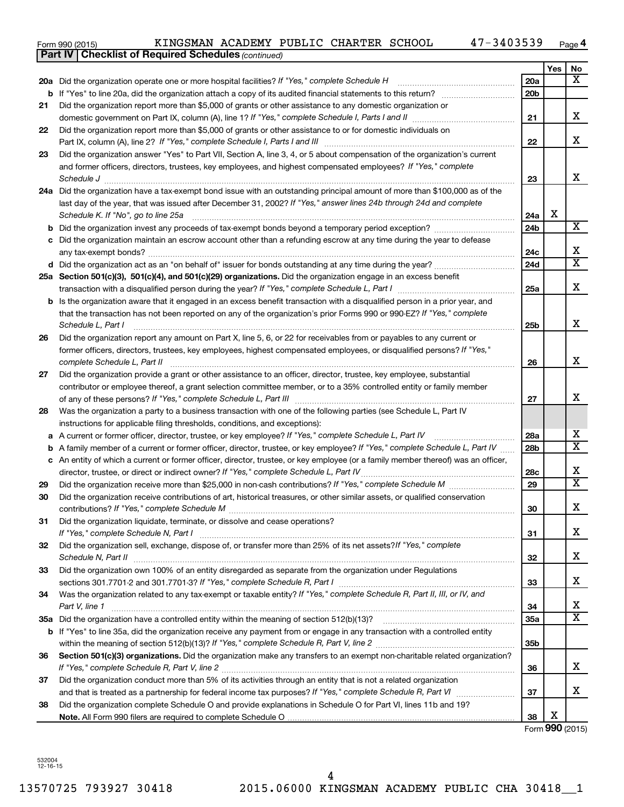| Form 990 (2015) |  |  | KINGSMAN ACADEMY PUBLIC CHARTER SCHOOL |  |  |  |  | 47-3403539 | Page |  |
|-----------------|--|--|----------------------------------------|--|--|--|--|------------|------|--|
|-----------------|--|--|----------------------------------------|--|--|--|--|------------|------|--|

|    | <b>Part IV   Checklist of Required Schedules (continued)</b>                                                                      |                 |     |                              |
|----|-----------------------------------------------------------------------------------------------------------------------------------|-----------------|-----|------------------------------|
|    |                                                                                                                                   |                 | Yes | No.                          |
|    | 20a Did the organization operate one or more hospital facilities? If "Yes," complete Schedule H                                   | 20a             |     | $\overline{\mathbf{X}}$      |
|    |                                                                                                                                   | 20 <sub>b</sub> |     |                              |
| 21 | Did the organization report more than \$5,000 of grants or other assistance to any domestic organization or                       |                 |     |                              |
|    |                                                                                                                                   | 21              |     | x                            |
| 22 | Did the organization report more than \$5,000 of grants or other assistance to or for domestic individuals on                     |                 |     |                              |
|    |                                                                                                                                   | 22              |     | x                            |
| 23 | Did the organization answer "Yes" to Part VII, Section A, line 3, 4, or 5 about compensation of the organization's current        |                 |     |                              |
|    | and former officers, directors, trustees, key employees, and highest compensated employees? If "Yes," complete                    |                 |     |                              |
|    | Schedule J <b>Execute Schedule J Execute Schedule J</b>                                                                           | 23              |     | x                            |
|    | 24a Did the organization have a tax-exempt bond issue with an outstanding principal amount of more than \$100,000 as of the       |                 |     |                              |
|    | last day of the year, that was issued after December 31, 2002? If "Yes," answer lines 24b through 24d and complete                |                 |     |                              |
|    | Schedule K. If "No", go to line 25a                                                                                               | 24a             | X   |                              |
| b  |                                                                                                                                   | 24 <sub>b</sub> |     | $\overline{\mathbf{X}}$      |
|    | Did the organization maintain an escrow account other than a refunding escrow at any time during the year to defease              |                 |     |                              |
|    |                                                                                                                                   | 24c             |     | х                            |
|    | d Did the organization act as an "on behalf of" issuer for bonds outstanding at any time during the year?                         | 24d             |     | $\overline{\textbf{X}}$      |
|    | 25a Section 501(c)(3), 501(c)(4), and 501(c)(29) organizations. Did the organization engage in an excess benefit                  |                 |     |                              |
|    |                                                                                                                                   | 25a             |     | X                            |
|    | b Is the organization aware that it engaged in an excess benefit transaction with a disqualified person in a prior year, and      |                 |     |                              |
|    | that the transaction has not been reported on any of the organization's prior Forms 990 or 990-EZ? If "Yes," complete             |                 |     |                              |
|    | Schedule L, Part I                                                                                                                | 25b             |     | x                            |
| 26 | Did the organization report any amount on Part X, line 5, 6, or 22 for receivables from or payables to any current or             |                 |     |                              |
|    | former officers, directors, trustees, key employees, highest compensated employees, or disqualified persons? If "Yes,"            |                 |     |                              |
|    | complete Schedule L, Part II                                                                                                      | 26              |     | x                            |
| 27 | Did the organization provide a grant or other assistance to an officer, director, trustee, key employee, substantial              |                 |     |                              |
|    | contributor or employee thereof, a grant selection committee member, or to a 35% controlled entity or family member               |                 |     |                              |
|    |                                                                                                                                   | 27              |     | x                            |
| 28 | Was the organization a party to a business transaction with one of the following parties (see Schedule L, Part IV                 |                 |     |                              |
|    | instructions for applicable filing thresholds, conditions, and exceptions):                                                       |                 |     |                              |
| а  | A current or former officer, director, trustee, or key employee? If "Yes," complete Schedule L, Part IV                           | 28a             |     | x                            |
| b  | A family member of a current or former officer, director, trustee, or key employee? If "Yes," complete Schedule L, Part IV        | 28 <sub>b</sub> |     | $\overline{\text{X}}$        |
|    | c An entity of which a current or former officer, director, trustee, or key employee (or a family member thereof) was an officer, |                 |     |                              |
|    | director, trustee, or direct or indirect owner? If "Yes," complete Schedule L, Part IV                                            | 28c             |     | x<br>$\overline{\mathtt{x}}$ |
| 29 |                                                                                                                                   | 29              |     |                              |
| 30 | Did the organization receive contributions of art, historical treasures, or other similar assets, or qualified conservation       |                 |     | Y                            |
|    |                                                                                                                                   | 30              |     | 4                            |
| 31 | Did the organization liquidate, terminate, or dissolve and cease operations?                                                      | 31              |     | x                            |
| 32 | Did the organization sell, exchange, dispose of, or transfer more than 25% of its net assets?/f "Yes," complete                   |                 |     |                              |
|    |                                                                                                                                   | 32              |     | x                            |
| 33 | Did the organization own 100% of an entity disregarded as separate from the organization under Regulations                        |                 |     |                              |
|    |                                                                                                                                   | 33              |     | x                            |
| 34 | Was the organization related to any tax-exempt or taxable entity? If "Yes," complete Schedule R, Part II, III, or IV, and         |                 |     |                              |
|    | Part V, line 1                                                                                                                    | 34              |     | x                            |
|    |                                                                                                                                   | 35a             |     | $\overline{\mathtt{x}}$      |
|    | b If "Yes" to line 35a, did the organization receive any payment from or engage in any transaction with a controlled entity       |                 |     |                              |
|    |                                                                                                                                   | 35 <sub>b</sub> |     |                              |
| 36 | Section 501(c)(3) organizations. Did the organization make any transfers to an exempt non-charitable related organization?        |                 |     |                              |
|    |                                                                                                                                   | 36              |     | x                            |
| 37 | Did the organization conduct more than 5% of its activities through an entity that is not a related organization                  |                 |     |                              |
|    |                                                                                                                                   | 37              |     | x                            |
| 38 | Did the organization complete Schedule O and provide explanations in Schedule O for Part VI, lines 11b and 19?                    |                 |     |                              |
|    |                                                                                                                                   | 38              | X   |                              |

Form **990** (2015)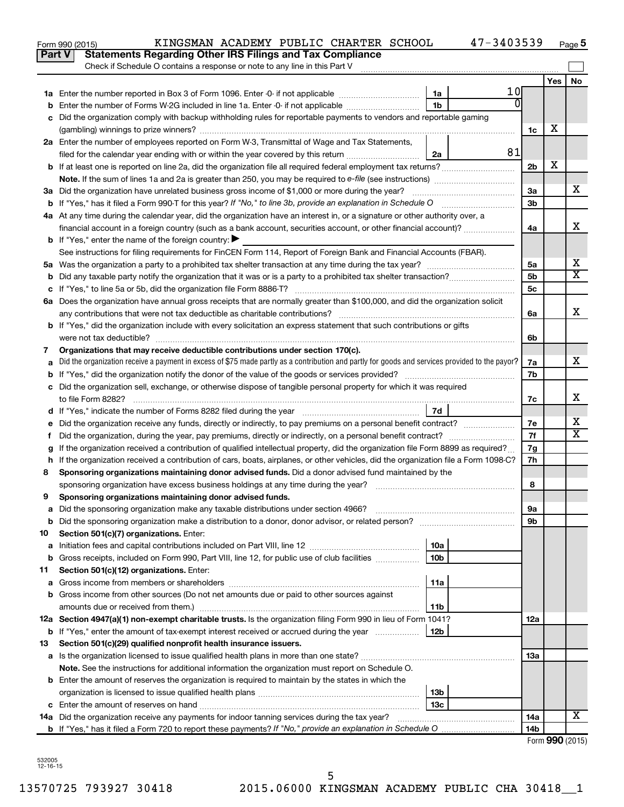|               | 47-3403539<br>KINGSMAN ACADEMY PUBLIC CHARTER SCHOOL<br>Form 990 (2015)                                                                         |                 |     | Page 5          |
|---------------|-------------------------------------------------------------------------------------------------------------------------------------------------|-----------------|-----|-----------------|
| <b>Part V</b> | <b>Statements Regarding Other IRS Filings and Tax Compliance</b>                                                                                |                 |     |                 |
|               | Check if Schedule O contains a response or note to any line in this Part V                                                                      |                 |     |                 |
|               |                                                                                                                                                 |                 | Yes | No              |
|               | 1 Ol<br>1a                                                                                                                                      |                 |     |                 |
| b             | $\Omega$<br>1 <sub>b</sub><br>Enter the number of Forms W-2G included in line 1a. Enter -0- if not applicable                                   |                 |     |                 |
| c             | Did the organization comply with backup withholding rules for reportable payments to vendors and reportable gaming                              |                 |     |                 |
|               |                                                                                                                                                 | 1c              | X   |                 |
|               | 2a Enter the number of employees reported on Form W-3, Transmittal of Wage and Tax Statements,                                                  |                 |     |                 |
|               | 81<br>filed for the calendar year ending with or within the year covered by this return<br>2a                                                   |                 |     |                 |
|               | <b>b</b> If at least one is reported on line 2a, did the organization file all required federal employment tax returns?                         | 2 <sub>b</sub>  | х   |                 |
|               |                                                                                                                                                 |                 |     |                 |
|               |                                                                                                                                                 | 3a              |     | x               |
|               |                                                                                                                                                 | 3 <sub>b</sub>  |     |                 |
|               | 4a At any time during the calendar year, did the organization have an interest in, or a signature or other authority over, a                    |                 |     |                 |
|               | financial account in a foreign country (such as a bank account, securities account, or other financial account)?                                | 4a              |     | X               |
|               | <b>b</b> If "Yes," enter the name of the foreign country: $\blacktriangleright$                                                                 |                 |     |                 |
|               | See instructions for filing requirements for FinCEN Form 114, Report of Foreign Bank and Financial Accounts (FBAR).                             |                 |     |                 |
|               |                                                                                                                                                 | 5a              |     | х               |
| b             |                                                                                                                                                 | 5 <sub>b</sub>  |     | X               |
|               |                                                                                                                                                 | 5c              |     |                 |
|               | 6a Does the organization have annual gross receipts that are normally greater than \$100,000, and did the organization solicit                  |                 |     |                 |
|               |                                                                                                                                                 | 6a              |     | X               |
|               | b If "Yes," did the organization include with every solicitation an express statement that such contributions or gifts                          |                 |     |                 |
|               |                                                                                                                                                 | 6b              |     |                 |
| 7             | Organizations that may receive deductible contributions under section 170(c).                                                                   |                 |     |                 |
| a             | Did the organization receive a payment in excess of \$75 made partly as a contribution and partly for goods and services provided to the payor? | 7a              |     | x               |
| b             |                                                                                                                                                 | 7b              |     |                 |
|               | c Did the organization sell, exchange, or otherwise dispose of tangible personal property for which it was required                             |                 |     |                 |
|               |                                                                                                                                                 | 7c              |     | х               |
|               | 7d                                                                                                                                              |                 |     |                 |
|               |                                                                                                                                                 | 7e              |     | х               |
| Ť.            | Did the organization, during the year, pay premiums, directly or indirectly, on a personal benefit contract?                                    | 7f              |     | X               |
| g             | If the organization received a contribution of qualified intellectual property, did the organization file Form 8899 as required?                | 7g              |     |                 |
|               | h If the organization received a contribution of cars, boats, airplanes, or other vehicles, did the organization file a Form 1098-C?            | 7h              |     |                 |
| 8             | Sponsoring organizations maintaining donor advised funds. Did a donor advised fund maintained by the                                            |                 |     |                 |
|               |                                                                                                                                                 | 8               |     |                 |
|               | Sponsoring organizations maintaining donor advised funds.                                                                                       |                 |     |                 |
| а             | Did the sponsoring organization make any taxable distributions under section 4966?                                                              | 9a              |     |                 |
| b             | Did the sponsoring organization make a distribution to a donor, donor advisor, or related person?                                               | 9b              |     |                 |
| 10            | Section 501(c)(7) organizations. Enter:                                                                                                         |                 |     |                 |
| a             | 10a                                                                                                                                             |                 |     |                 |
| b             | 10 <sub>b</sub><br>Gross receipts, included on Form 990, Part VIII, line 12, for public use of club facilities                                  |                 |     |                 |
| 11            | Section 501(c)(12) organizations. Enter:                                                                                                        |                 |     |                 |
| а             | 11a                                                                                                                                             |                 |     |                 |
| b             | Gross income from other sources (Do not net amounts due or paid to other sources against                                                        |                 |     |                 |
|               | amounts due or received from them.)<br>11b                                                                                                      |                 |     |                 |
|               | 12a Section 4947(a)(1) non-exempt charitable trusts. Is the organization filing Form 990 in lieu of Form 1041?                                  | 12a             |     |                 |
|               | <b>b</b> If "Yes," enter the amount of tax-exempt interest received or accrued during the year<br>12b                                           |                 |     |                 |
| 13            | Section 501(c)(29) qualified nonprofit health insurance issuers.                                                                                |                 |     |                 |
| а             | Is the organization licensed to issue qualified health plans in more than one state?                                                            | 13a             |     |                 |
|               | Note. See the instructions for additional information the organization must report on Schedule O.                                               |                 |     |                 |
|               | <b>b</b> Enter the amount of reserves the organization is required to maintain by the states in which the                                       |                 |     |                 |
|               | 13b                                                                                                                                             |                 |     |                 |
| c             | 13c                                                                                                                                             |                 |     |                 |
|               | 14a Did the organization receive any payments for indoor tanning services during the tax year?                                                  | 14a             |     | x               |
|               |                                                                                                                                                 | 14 <sub>b</sub> |     |                 |
|               |                                                                                                                                                 |                 |     | Form 990 (2015) |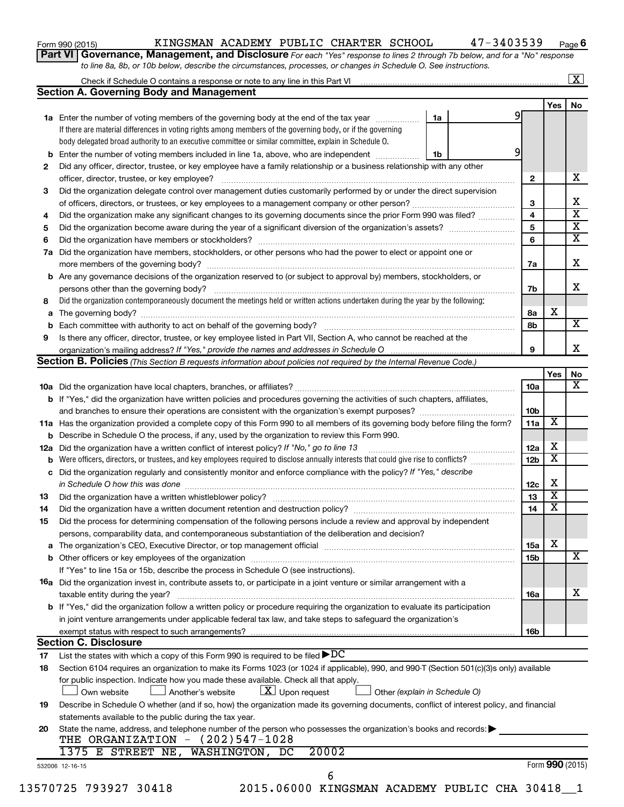| Form 990 (2015) |  |
|-----------------|--|
|-----------------|--|

#### Form 990 (2015) Page KINGSMAN ACADEMY PUBLIC CHARTER SCHOOL 47-3403539

**6**

**Part VI** Governance, Management, and Disclosure For each "Yes" response to lines 2 through 7b below, and for a "No" response *to line 8a, 8b, or 10b below, describe the circumstances, processes, or changes in Schedule O. See instructions.*

|     | Check if Schedule O contains a response or note to any line in this Part VI [11] [12] Check if Schedule O contains a response or note to any line in this Part VI                                                              |                               |                 |                 | $\mathbf{X}$            |
|-----|--------------------------------------------------------------------------------------------------------------------------------------------------------------------------------------------------------------------------------|-------------------------------|-----------------|-----------------|-------------------------|
|     | <b>Section A. Governing Body and Management</b>                                                                                                                                                                                |                               |                 |                 |                         |
|     |                                                                                                                                                                                                                                |                               |                 | Yes             | No                      |
|     | <b>1a</b> Enter the number of voting members of the governing body at the end of the tax year                                                                                                                                  | 1a                            | 9               |                 |                         |
|     | If there are material differences in voting rights among members of the governing body, or if the governing                                                                                                                    |                               |                 |                 |                         |
|     | body delegated broad authority to an executive committee or similar committee, explain in Schedule O.                                                                                                                          |                               |                 |                 |                         |
| b   | Enter the number of voting members included in line 1a, above, who are independent                                                                                                                                             | 1b                            | 9               |                 |                         |
| 2   | Did any officer, director, trustee, or key employee have a family relationship or a business relationship with any other                                                                                                       |                               |                 |                 |                         |
|     | officer, director, trustee, or key employee?                                                                                                                                                                                   |                               | $\mathbf{2}$    |                 | х                       |
| 3   | Did the organization delegate control over management duties customarily performed by or under the direct supervision                                                                                                          |                               |                 |                 |                         |
|     |                                                                                                                                                                                                                                |                               | 3               |                 | х                       |
| 4   | Did the organization make any significant changes to its governing documents since the prior Form 990 was filed?                                                                                                               |                               | 4               |                 | $\overline{\mathbf{x}}$ |
| 5   |                                                                                                                                                                                                                                |                               | 5               |                 | $\overline{\mathbf{x}}$ |
| 6   |                                                                                                                                                                                                                                |                               | 6               |                 | $\overline{\mathbf{X}}$ |
| 7a  | Did the organization have members, stockholders, or other persons who had the power to elect or appoint one or                                                                                                                 |                               |                 |                 |                         |
|     |                                                                                                                                                                                                                                |                               |                 |                 | X                       |
|     |                                                                                                                                                                                                                                |                               | 7a              |                 |                         |
| b   | Are any governance decisions of the organization reserved to (or subject to approval by) members, stockholders, or                                                                                                             |                               |                 |                 |                         |
|     |                                                                                                                                                                                                                                |                               | 7b              |                 | x                       |
| 8   | Did the organization contemporaneously document the meetings held or written actions undertaken during the year by the following:                                                                                              |                               |                 |                 |                         |
| а   |                                                                                                                                                                                                                                |                               | 8а              | X               |                         |
| b   |                                                                                                                                                                                                                                |                               | 8b              |                 | $\overline{\mathbf{X}}$ |
| 9   | Is there any officer, director, trustee, or key employee listed in Part VII, Section A, who cannot be reached at the                                                                                                           |                               |                 |                 |                         |
|     |                                                                                                                                                                                                                                |                               | 9               |                 | х                       |
|     | <b>Section B. Policies</b> (This Section B requests information about policies not required by the Internal Revenue Code.)                                                                                                     |                               |                 |                 |                         |
|     |                                                                                                                                                                                                                                |                               |                 | Yes             | No                      |
|     |                                                                                                                                                                                                                                |                               | 10a             |                 | х                       |
|     | <b>b</b> If "Yes," did the organization have written policies and procedures governing the activities of such chapters, affiliates,                                                                                            |                               |                 |                 |                         |
|     |                                                                                                                                                                                                                                |                               | 10b             |                 |                         |
|     | 11a Has the organization provided a complete copy of this Form 990 to all members of its governing body before filing the form?                                                                                                |                               | 11a             | X               |                         |
|     | <b>b</b> Describe in Schedule O the process, if any, used by the organization to review this Form 990.                                                                                                                         |                               |                 |                 |                         |
| 12a | Did the organization have a written conflict of interest policy? If "No," go to line 13                                                                                                                                        |                               | 12a             | х               |                         |
| b   | Were officers, directors, or trustees, and key employees required to disclose annually interests that could give rise to conflicts?                                                                                            |                               | 12 <sub>b</sub> | X               |                         |
|     | Did the organization regularly and consistently monitor and enforce compliance with the policy? If "Yes," describe                                                                                                             |                               |                 |                 |                         |
| с   |                                                                                                                                                                                                                                |                               | 12c             | X               |                         |
|     | in Schedule O how this was done manufactured and continuum and contact the state of the state of the state of                                                                                                                  |                               | 13              | X               |                         |
| 13  |                                                                                                                                                                                                                                |                               |                 | X               |                         |
| 14  | Did the organization have a written document retention and destruction policy? [11] manufaction model of the organization have a written document retention and destruction policy?                                            |                               | 14              |                 |                         |
| 15  | Did the process for determining compensation of the following persons include a review and approval by independent                                                                                                             |                               |                 |                 |                         |
|     | persons, comparability data, and contemporaneous substantiation of the deliberation and decision?                                                                                                                              |                               |                 |                 |                         |
| а   | The organization's CEO, Executive Director, or top management official manufactured content content of the organization's CEO, Executive Director, or top management official manufactured content of the original manufacture |                               | 15a             | х               |                         |
|     |                                                                                                                                                                                                                                |                               | <b>15b</b>      |                 | х                       |
|     | If "Yes" to line 15a or 15b, describe the process in Schedule O (see instructions).                                                                                                                                            |                               |                 |                 |                         |
|     | 16a Did the organization invest in, contribute assets to, or participate in a joint venture or similar arrangement with a                                                                                                      |                               |                 |                 |                         |
|     | taxable entity during the year?                                                                                                                                                                                                |                               | 16a             |                 | x                       |
|     | b If "Yes," did the organization follow a written policy or procedure requiring the organization to evaluate its participation                                                                                                 |                               |                 |                 |                         |
|     | in joint venture arrangements under applicable federal tax law, and take steps to safeguard the organization's                                                                                                                 |                               |                 |                 |                         |
|     | exempt status with respect to such arrangements?                                                                                                                                                                               |                               | 16b             |                 |                         |
|     | <b>Section C. Disclosure</b>                                                                                                                                                                                                   |                               |                 |                 |                         |
| 17  | List the states with which a copy of this Form 990 is required to be filed $\rho DC$                                                                                                                                           |                               |                 |                 |                         |
|     |                                                                                                                                                                                                                                |                               |                 |                 |                         |
| 18  | Section 6104 requires an organization to make its Forms 1023 (or 1024 if applicable), 990, and 990-T (Section 501(c)(3)s only) available                                                                                       |                               |                 |                 |                         |
|     | for public inspection. Indicate how you made these available. Check all that apply.                                                                                                                                            |                               |                 |                 |                         |
|     | $\lfloor x \rfloor$ Upon request<br>Own website<br>Another's website                                                                                                                                                           | Other (explain in Schedule O) |                 |                 |                         |
| 19  | Describe in Schedule O whether (and if so, how) the organization made its governing documents, conflict of interest policy, and financial                                                                                      |                               |                 |                 |                         |
|     | statements available to the public during the tax year.                                                                                                                                                                        |                               |                 |                 |                         |
| 20  | State the name, address, and telephone number of the person who possesses the organization's books and records:                                                                                                                |                               |                 |                 |                         |
|     | THE ORGANIZATION $-$ (202)547-1028                                                                                                                                                                                             |                               |                 |                 |                         |
|     | 1375 E STREET NE, WASHINGTON, DC<br>20002                                                                                                                                                                                      |                               |                 |                 |                         |
|     | 532006 12-16-15                                                                                                                                                                                                                |                               |                 | Form 990 (2015) |                         |
|     | 6                                                                                                                                                                                                                              |                               |                 |                 |                         |
|     | 13570725 793927 30418<br>2015.06000 KINGSMAN ACADEMY PUBLIC CHA 30418_1                                                                                                                                                        |                               |                 |                 |                         |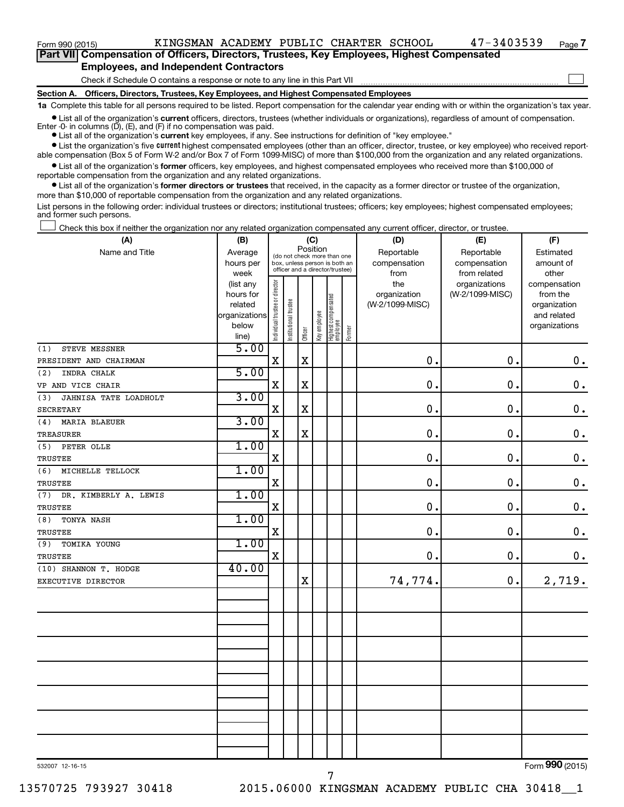$\Box$ 

| Part VII Compensation of Officers, Directors, Trustees, Key Employees, Highest Compensated |  |  |  |  |
|--------------------------------------------------------------------------------------------|--|--|--|--|
| <b>Employees, and Independent Contractors</b>                                              |  |  |  |  |

#### Check if Schedule O contains a response or note to any line in this Part VII

**Section A. Officers, Directors, Trustees, Key Employees, and Highest Compensated Employees**

**1a**  Complete this table for all persons required to be listed. Report compensation for the calendar year ending with or within the organization's tax year.

**•** List all of the organization's current officers, directors, trustees (whether individuals or organizations), regardless of amount of compensation.

**•** List all of the organization's **current** key employees, if any. See instructions for definition of "key employee." Enter -0- in columns  $(D)$ ,  $(E)$ , and  $(F)$  if no compensation was paid.

**•** List the organization's five current highest compensated employees (other than an officer, director, trustee, or key employee) who received report-

**•** List all of the organization's former officers, key employees, and highest compensated employees who received more than \$100,000 of able compensation (Box 5 of Form W-2 and/or Box 7 of Form 1099-MISC) of more than \$100,000 from the organization and any related organizations. reportable compensation from the organization and any related organizations.

**•** List all of the organization's former directors or trustees that received, in the capacity as a former director or trustee of the organization, more than \$10,000 of reportable compensation from the organization and any related organizations.

List persons in the following order: individual trustees or directors; institutional trustees; officers; key employees; highest compensated employees; and former such persons.

|  |  |  | Check this box if neither the organization nor any related organization compensated any current officer, director, or trustee. |  |  |
|--|--|--|--------------------------------------------------------------------------------------------------------------------------------|--|--|
|  |  |  |                                                                                                                                |  |  |

| (A)                          | (B)                  |                                |                                                                  | (C)         |              |                                 |        | (D)                             | (E)             | (F)                      |
|------------------------------|----------------------|--------------------------------|------------------------------------------------------------------|-------------|--------------|---------------------------------|--------|---------------------------------|-----------------|--------------------------|
| Name and Title               | Average              |                                | (do not check more than one                                      | Position    |              |                                 |        | Reportable                      | Reportable      | Estimated                |
|                              | hours per            |                                | box, unless person is both an<br>officer and a director/trustee) |             |              |                                 |        | compensation                    | compensation    | amount of                |
|                              | week                 |                                |                                                                  |             |              |                                 |        | from                            | from related    | other                    |
|                              | (list any            |                                |                                                                  |             |              |                                 |        | the                             | organizations   | compensation             |
|                              | hours for<br>related |                                |                                                                  |             |              |                                 |        | organization<br>(W-2/1099-MISC) | (W-2/1099-MISC) | from the<br>organization |
|                              | organizations        |                                |                                                                  |             |              |                                 |        |                                 |                 | and related              |
|                              | below                |                                |                                                                  |             |              |                                 |        |                                 |                 | organizations            |
|                              | line)                | Individual trustee or director | Institutional trustee                                            | Officer     | Key employee | Highest compensated<br>employee | Former |                                 |                 |                          |
| (1)<br>STEVE MESSNER         | 5.00                 |                                |                                                                  |             |              |                                 |        |                                 |                 |                          |
| PRESIDENT AND CHAIRMAN       |                      | $\mathbf X$                    |                                                                  | $\mathbf X$ |              |                                 |        | $\mathbf 0$ .                   | 0.              | $\mathbf 0$ .            |
| INDRA CHALK<br>(2)           | 5.00                 |                                |                                                                  |             |              |                                 |        |                                 |                 |                          |
| VP AND VICE CHAIR            |                      | $\mathbf X$                    |                                                                  | $\mathbf X$ |              |                                 |        | $\mathbf 0$ .                   | 0.              | $\mathbf 0$ .            |
| JAHNISA TATE LOADHOLT<br>(3) | 3.00                 |                                |                                                                  |             |              |                                 |        |                                 |                 |                          |
| <b>SECRETARY</b>             |                      | $\mathbf X$                    |                                                                  | $\mathbf X$ |              |                                 |        | $\mathbf 0$ .                   | 0.              | $\mathbf 0$ .            |
| (4)<br><b>MARIA BLAEUER</b>  | 3.00                 |                                |                                                                  |             |              |                                 |        |                                 |                 |                          |
| TREASURER                    |                      | X                              |                                                                  | $\mathbf X$ |              |                                 |        | $\mathbf 0$ .                   | 0.              | $\mathbf 0$ .            |
| PETER OLLE<br>(5)            | 1.00                 |                                |                                                                  |             |              |                                 |        |                                 |                 |                          |
| TRUSTEE                      |                      | X                              |                                                                  |             |              |                                 |        | $\mathbf 0$ .                   | 0.              | $\mathbf 0$ .            |
| (6)<br>MICHELLE TELLOCK      | 1.00                 |                                |                                                                  |             |              |                                 |        |                                 |                 |                          |
| TRUSTEE                      |                      | $\mathbf X$                    |                                                                  |             |              |                                 |        | $\mathbf 0$ .                   | 0.              | $\mathbf 0$ .            |
| (7)<br>DR. KIMBERLY A. LEWIS | 1.00                 |                                |                                                                  |             |              |                                 |        |                                 |                 |                          |
| <b>TRUSTEE</b>               |                      | X                              |                                                                  |             |              |                                 |        | $\mathbf 0$ .                   | 0.              | $\mathbf 0$ .            |
| (8)<br>TONYA NASH            | 1.00                 |                                |                                                                  |             |              |                                 |        |                                 |                 |                          |
| TRUSTEE                      |                      | $\mathbf X$                    |                                                                  |             |              |                                 |        | $\mathbf 0$ .                   | 0.              | $\mathbf 0$ .            |
| TOMIKA YOUNG<br>(9)          | 1.00                 |                                |                                                                  |             |              |                                 |        |                                 |                 |                          |
| TRUSTEE                      |                      | $\mathbf X$                    |                                                                  |             |              |                                 |        | 0.                              | 0.              | $0$ .                    |
| (10) SHANNON T. HODGE        | 40.00                |                                |                                                                  |             |              |                                 |        |                                 |                 |                          |
| EXECUTIVE DIRECTOR           |                      |                                |                                                                  | $\mathbf X$ |              |                                 |        | 74,774.                         | 0.              | 2,719.                   |
|                              |                      |                                |                                                                  |             |              |                                 |        |                                 |                 |                          |
|                              |                      |                                |                                                                  |             |              |                                 |        |                                 |                 |                          |
|                              |                      |                                |                                                                  |             |              |                                 |        |                                 |                 |                          |
|                              |                      |                                |                                                                  |             |              |                                 |        |                                 |                 |                          |
|                              |                      |                                |                                                                  |             |              |                                 |        |                                 |                 |                          |
|                              |                      |                                |                                                                  |             |              |                                 |        |                                 |                 |                          |
|                              |                      |                                |                                                                  |             |              |                                 |        |                                 |                 |                          |
|                              |                      |                                |                                                                  |             |              |                                 |        |                                 |                 |                          |
|                              |                      |                                |                                                                  |             |              |                                 |        |                                 |                 |                          |
|                              |                      |                                |                                                                  |             |              |                                 |        |                                 |                 |                          |
|                              |                      |                                |                                                                  |             |              |                                 |        |                                 |                 |                          |
|                              |                      |                                |                                                                  |             |              |                                 |        |                                 |                 |                          |
|                              |                      |                                |                                                                  |             |              |                                 |        |                                 |                 |                          |
|                              |                      |                                |                                                                  |             |              |                                 |        |                                 |                 |                          |

7

532007 12-16-15

Form (2015) **990**

13570725 793927 30418 2015.06000 KINGSMAN ACADEMY PUBLIC CHA 30418\_\_1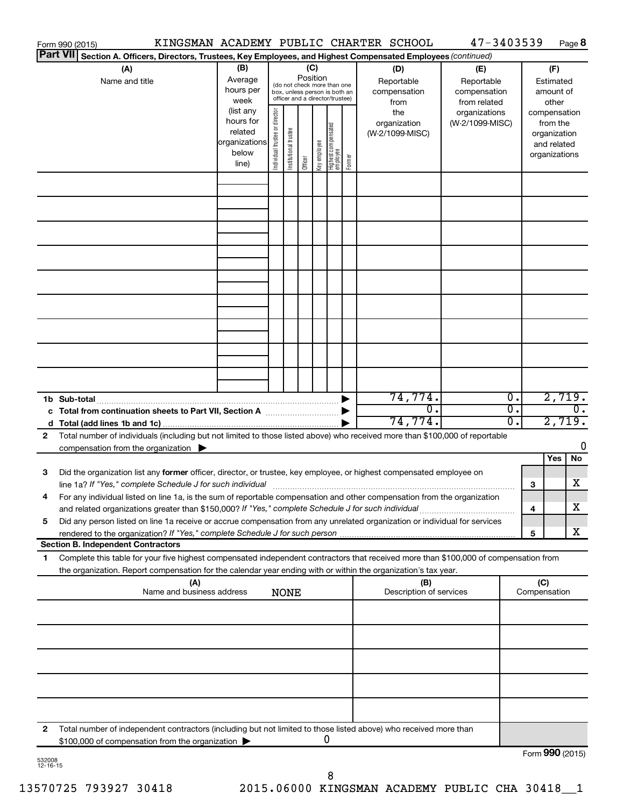|   | KINGSMAN ACADEMY PUBLIC CHARTER SCHOOL<br>Form 990 (2015)                                                                                                                                                                                                                                                                                                     |                                                          |                                |                       |                 |              |                                                                                                 |        |                                                  | 47-3403539                                                         |          |     |                                                                          | Page 8           |
|---|---------------------------------------------------------------------------------------------------------------------------------------------------------------------------------------------------------------------------------------------------------------------------------------------------------------------------------------------------------------|----------------------------------------------------------|--------------------------------|-----------------------|-----------------|--------------|-------------------------------------------------------------------------------------------------|--------|--------------------------------------------------|--------------------------------------------------------------------|----------|-----|--------------------------------------------------------------------------|------------------|
|   | Part VII Section A. Officers, Directors, Trustees, Key Employees, and Highest Compensated Employees (continued)                                                                                                                                                                                                                                               |                                                          |                                |                       |                 |              |                                                                                                 |        |                                                  |                                                                    |          |     |                                                                          |                  |
|   | (A)<br>Name and title                                                                                                                                                                                                                                                                                                                                         | (B)<br>Average<br>hours per<br>week<br>(list any         |                                |                       | (C)<br>Position |              | (do not check more than one<br>box, unless person is both an<br>officer and a director/trustee) |        | (D)<br>Reportable<br>compensation<br>from<br>the | (E)<br>Reportable<br>compensation<br>from related<br>organizations |          |     | (F)<br>Estimated<br>amount of<br>other                                   |                  |
|   |                                                                                                                                                                                                                                                                                                                                                               | hours for<br>related<br> organizations<br>below<br>line) | Individual trustee or director | Institutional trustee | Officer         | Key employee | Highest compensated<br>  employee                                                               | Former | organization<br>(W-2/1099-MISC)                  | (W-2/1099-MISC)                                                    |          |     | compensation<br>from the<br>organization<br>and related<br>organizations |                  |
|   |                                                                                                                                                                                                                                                                                                                                                               |                                                          |                                |                       |                 |              |                                                                                                 |        |                                                  |                                                                    |          |     |                                                                          |                  |
|   |                                                                                                                                                                                                                                                                                                                                                               |                                                          |                                |                       |                 |              |                                                                                                 |        |                                                  |                                                                    |          |     |                                                                          |                  |
|   |                                                                                                                                                                                                                                                                                                                                                               |                                                          |                                |                       |                 |              |                                                                                                 |        |                                                  |                                                                    |          |     |                                                                          |                  |
|   |                                                                                                                                                                                                                                                                                                                                                               |                                                          |                                |                       |                 |              |                                                                                                 |        |                                                  |                                                                    |          |     |                                                                          |                  |
|   |                                                                                                                                                                                                                                                                                                                                                               |                                                          |                                |                       |                 |              |                                                                                                 |        |                                                  |                                                                    |          |     |                                                                          |                  |
|   |                                                                                                                                                                                                                                                                                                                                                               |                                                          |                                |                       |                 |              |                                                                                                 |        |                                                  |                                                                    |          |     |                                                                          |                  |
|   | 1b Sub-total                                                                                                                                                                                                                                                                                                                                                  |                                                          |                                |                       |                 |              |                                                                                                 |        | 74,774.                                          |                                                                    | Ο.       |     | 2,719.                                                                   |                  |
|   | c Total from continuation sheets to Part VII, Section A [11, 11, 11, 11, 11]                                                                                                                                                                                                                                                                                  |                                                          |                                |                       |                 |              |                                                                                                 |        | $\overline{0}$ .<br>74, 774.                     |                                                                    | σ.<br>σ. |     | 2,719.                                                                   | $\overline{0}$ . |
| 2 | Total number of individuals (including but not limited to those listed above) who received more than \$100,000 of reportable<br>compensation from the organization $\blacktriangleright$                                                                                                                                                                      |                                                          |                                |                       |                 |              |                                                                                                 |        |                                                  |                                                                    |          |     | Yes                                                                      | 0<br>No          |
| 3 | Did the organization list any former officer, director, or trustee, key employee, or highest compensated employee on<br>line 1a? If "Yes," complete Schedule J for such individual [11] manufacture manufacture 1a? If "Yes," complete Schedule J for such individual                                                                                         |                                                          |                                |                       |                 |              |                                                                                                 |        |                                                  |                                                                    |          | 3   |                                                                          | x                |
| 5 | For any individual listed on line 1a, is the sum of reportable compensation and other compensation from the organization<br>and related organizations greater than \$150,000? If "Yes," complete Schedule J for such individual<br>Did any person listed on line 1a receive or accrue compensation from any unrelated organization or individual for services |                                                          |                                |                       |                 |              |                                                                                                 |        |                                                  |                                                                    |          | 4   |                                                                          | x                |
|   | rendered to the organization? If "Yes," complete Schedule J for such person                                                                                                                                                                                                                                                                                   |                                                          |                                |                       |                 |              |                                                                                                 |        |                                                  |                                                                    |          | 5   |                                                                          | x                |
| 1 | <b>Section B. Independent Contractors</b><br>Complete this table for your five highest compensated independent contractors that received more than \$100,000 of compensation from                                                                                                                                                                             |                                                          |                                |                       |                 |              |                                                                                                 |        |                                                  |                                                                    |          |     |                                                                          |                  |
|   | the organization. Report compensation for the calendar year ending with or within the organization's tax year.<br>(A)<br>Name and business address                                                                                                                                                                                                            |                                                          |                                | <b>NONE</b>           |                 |              |                                                                                                 |        | (B)<br>Description of services                   |                                                                    |          | (C) | Compensation                                                             |                  |
|   |                                                                                                                                                                                                                                                                                                                                                               |                                                          |                                |                       |                 |              |                                                                                                 |        |                                                  |                                                                    |          |     |                                                                          |                  |
|   |                                                                                                                                                                                                                                                                                                                                                               |                                                          |                                |                       |                 |              |                                                                                                 |        |                                                  |                                                                    |          |     |                                                                          |                  |
|   |                                                                                                                                                                                                                                                                                                                                                               |                                                          |                                |                       |                 |              |                                                                                                 |        |                                                  |                                                                    |          |     |                                                                          |                  |
|   |                                                                                                                                                                                                                                                                                                                                                               |                                                          |                                |                       |                 |              |                                                                                                 |        |                                                  |                                                                    |          |     |                                                                          |                  |
| 2 | Total number of independent contractors (including but not limited to those listed above) who received more than<br>\$100,000 of compensation from the organization                                                                                                                                                                                           |                                                          |                                |                       |                 | 0            |                                                                                                 |        |                                                  |                                                                    |          |     |                                                                          |                  |
|   |                                                                                                                                                                                                                                                                                                                                                               |                                                          |                                |                       |                 |              |                                                                                                 |        |                                                  |                                                                    |          |     | Form 990 (2015)                                                          |                  |

532008 12-16-15

Form (2015) **990**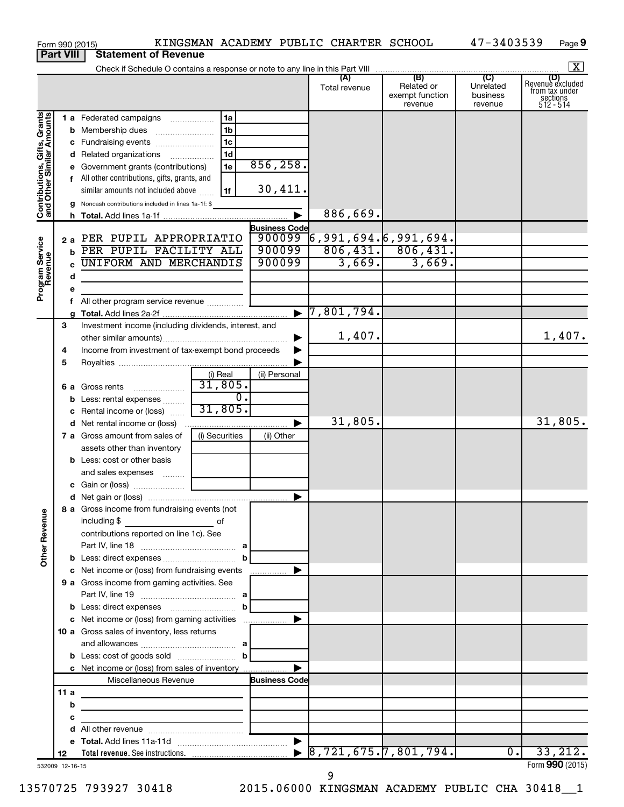|                                                           |                  | KINGSMAN ACADEMY PUBLIC CHARTER SCHOOL<br>Form 990 (2015)                                                                                                                              |                       |                                     |                                                     | 47-3403539                       | Page 9                                                      |
|-----------------------------------------------------------|------------------|----------------------------------------------------------------------------------------------------------------------------------------------------------------------------------------|-----------------------|-------------------------------------|-----------------------------------------------------|----------------------------------|-------------------------------------------------------------|
|                                                           | <b>Part VIII</b> | <b>Statement of Revenue</b>                                                                                                                                                            |                       |                                     |                                                     |                                  |                                                             |
|                                                           |                  |                                                                                                                                                                                        |                       |                                     |                                                     |                                  | $\boxed{\mathbf{X}}$                                        |
|                                                           |                  |                                                                                                                                                                                        |                       | Total revenue                       | Related or<br>exempt function<br>revenue            | Unrelated<br>business<br>revenue | Revenue excluded<br>from tax under<br>sections<br>512 - 514 |
|                                                           |                  | 1a<br>1 a Federated campaigns                                                                                                                                                          |                       |                                     |                                                     |                                  |                                                             |
| Contributions, Gifts, Grants<br>and Other Similar Amounts |                  | 1 <sub>b</sub>                                                                                                                                                                         |                       |                                     |                                                     |                                  |                                                             |
|                                                           |                  | 1 <sub>c</sub><br>c Fundraising events                                                                                                                                                 |                       |                                     |                                                     |                                  |                                                             |
|                                                           |                  | 1 <sub>d</sub><br>d Related organizations                                                                                                                                              |                       |                                     |                                                     |                                  |                                                             |
|                                                           |                  | 1e<br>e Government grants (contributions)                                                                                                                                              | 856, 258.             |                                     |                                                     |                                  |                                                             |
|                                                           |                  | f All other contributions, gifts, grants, and                                                                                                                                          | 30,411.               |                                     |                                                     |                                  |                                                             |
|                                                           |                  | similar amounts not included above<br>1f                                                                                                                                               |                       |                                     |                                                     |                                  |                                                             |
|                                                           |                  | g Noncash contributions included in lines 1a-1f: \$                                                                                                                                    |                       | 886,669.                            |                                                     |                                  |                                                             |
|                                                           |                  |                                                                                                                                                                                        | <b>Business Code</b>  |                                     |                                                     |                                  |                                                             |
|                                                           |                  | 2 a PER PUPIL APPROPRIATIO                                                                                                                                                             | 900099                | $\overline{6}$ ,991,694. 6,991,694. |                                                     |                                  |                                                             |
|                                                           |                  | b PER PUPIL FACILITY ALL                                                                                                                                                               | 900099                |                                     | $\frac{806,431.}{3,669.}$ $\frac{806,431.}{3,669.}$ |                                  |                                                             |
|                                                           |                  | <b>UNIFORM AND MERCHANDIS</b>                                                                                                                                                          | 900099                |                                     |                                                     |                                  |                                                             |
| Program Service<br>Revenue                                | d                |                                                                                                                                                                                        |                       |                                     |                                                     |                                  |                                                             |
|                                                           | е                |                                                                                                                                                                                        |                       |                                     |                                                     |                                  |                                                             |
|                                                           | f                | All other program service revenue                                                                                                                                                      |                       |                                     |                                                     |                                  |                                                             |
|                                                           |                  |                                                                                                                                                                                        | $\blacktriangleright$ | 7,801,794.                          |                                                     |                                  |                                                             |
|                                                           | 3                | Investment income (including dividends, interest, and                                                                                                                                  |                       | 1,407.                              |                                                     |                                  |                                                             |
|                                                           |                  |                                                                                                                                                                                        |                       |                                     |                                                     |                                  | 1,407.                                                      |
|                                                           | 4<br>5           | Income from investment of tax-exempt bond proceeds                                                                                                                                     |                       |                                     |                                                     |                                  |                                                             |
|                                                           |                  | (i) Real                                                                                                                                                                               | (ii) Personal         |                                     |                                                     |                                  |                                                             |
|                                                           |                  | 31,805.<br>6 a Gross rents                                                                                                                                                             |                       |                                     |                                                     |                                  |                                                             |
|                                                           |                  | <b>b</b> Less: rental expenses                                                                                                                                                         | $\overline{0}$ .      |                                     |                                                     |                                  |                                                             |
|                                                           |                  | 31,805.<br>c Rental income or (loss)                                                                                                                                                   |                       |                                     |                                                     |                                  |                                                             |
|                                                           |                  |                                                                                                                                                                                        | ▶                     | 31,805.                             |                                                     |                                  | 31,805.                                                     |
|                                                           |                  | (i) Securities<br>7 a Gross amount from sales of                                                                                                                                       | (ii) Other            |                                     |                                                     |                                  |                                                             |
|                                                           |                  | assets other than inventory                                                                                                                                                            |                       |                                     |                                                     |                                  |                                                             |
|                                                           |                  | <b>b</b> Less: cost or other basis                                                                                                                                                     |                       |                                     |                                                     |                                  |                                                             |
|                                                           |                  | and sales expenses                                                                                                                                                                     |                       |                                     |                                                     |                                  |                                                             |
|                                                           |                  |                                                                                                                                                                                        |                       |                                     |                                                     |                                  |                                                             |
|                                                           |                  | 8 a Gross income from fundraising events (not                                                                                                                                          |                       |                                     |                                                     |                                  |                                                             |
| <b>Other Revenue</b>                                      |                  | including \$<br>$\overline{\phantom{a}}$ of<br>contributions reported on line 1c). See                                                                                                 |                       |                                     |                                                     |                                  |                                                             |
|                                                           |                  |                                                                                                                                                                                        |                       |                                     |                                                     |                                  |                                                             |
|                                                           |                  |                                                                                                                                                                                        | b                     |                                     |                                                     |                                  |                                                             |
|                                                           |                  | c Net income or (loss) from fundraising events                                                                                                                                         |                       |                                     |                                                     |                                  |                                                             |
|                                                           |                  | 9 a Gross income from gaming activities. See                                                                                                                                           |                       |                                     |                                                     |                                  |                                                             |
|                                                           |                  |                                                                                                                                                                                        |                       |                                     |                                                     |                                  |                                                             |
|                                                           |                  |                                                                                                                                                                                        |                       |                                     |                                                     |                                  |                                                             |
|                                                           |                  |                                                                                                                                                                                        |                       |                                     |                                                     |                                  |                                                             |
|                                                           |                  | 10 a Gross sales of inventory, less returns                                                                                                                                            |                       |                                     |                                                     |                                  |                                                             |
|                                                           |                  |                                                                                                                                                                                        |                       |                                     |                                                     |                                  |                                                             |
|                                                           |                  | <b>b</b> Less: cost of goods sold $\ldots$ <b>b</b>                                                                                                                                    |                       |                                     |                                                     |                                  |                                                             |
|                                                           |                  |                                                                                                                                                                                        |                       |                                     |                                                     |                                  |                                                             |
|                                                           | 11 a             | Miscellaneous Revenue                                                                                                                                                                  | <b>Business Code</b>  |                                     |                                                     |                                  |                                                             |
|                                                           | b                |                                                                                                                                                                                        |                       |                                     |                                                     |                                  |                                                             |
|                                                           | с                | <u> 1989 - Johann Stein, mars an deutscher Stein († 1958)</u><br><u> 1989 - Johann Harry Harry Harry Harry Harry Harry Harry Harry Harry Harry Harry Harry Harry Harry Harry Harry</u> |                       |                                     |                                                     |                                  |                                                             |
|                                                           | d                |                                                                                                                                                                                        |                       |                                     |                                                     |                                  |                                                             |
|                                                           |                  |                                                                                                                                                                                        |                       |                                     |                                                     |                                  |                                                             |
|                                                           | 12               |                                                                                                                                                                                        |                       |                                     |                                                     | 0.1                              | 33,212.                                                     |
| 532009 12-16-15                                           |                  |                                                                                                                                                                                        |                       |                                     |                                                     |                                  | Form 990 (2015)                                             |

532009 12-16-15

9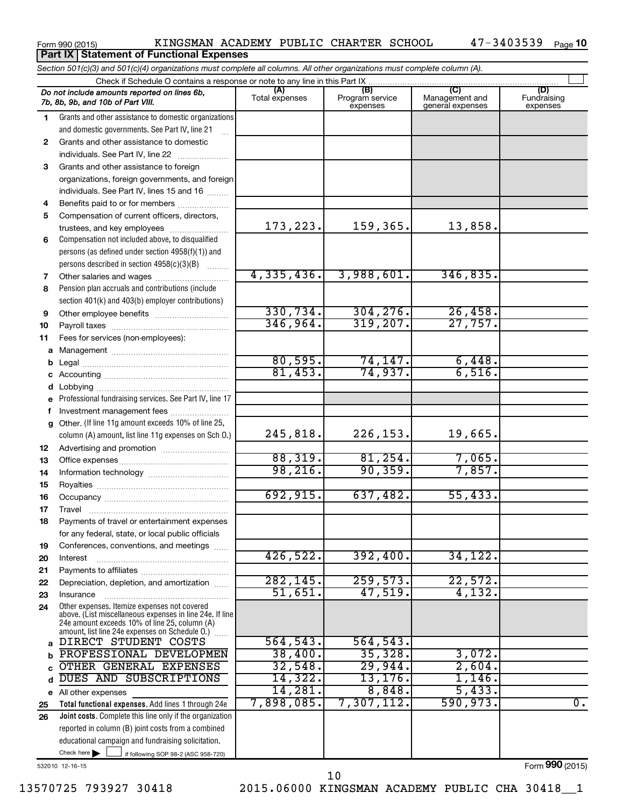**Part IX | Statement of Functional Expenses** 

|              | Section 501(c)(3) and 501(c)(4) organizations must complete all columns. All other organizations must complete column (A).                                  |                       |                                    |                                           |                         |
|--------------|-------------------------------------------------------------------------------------------------------------------------------------------------------------|-----------------------|------------------------------------|-------------------------------------------|-------------------------|
|              | Check if Schedule O contains a response or note to any line in this Part IX                                                                                 |                       |                                    |                                           | (D)                     |
|              | Do not include amounts reported on lines 6b,<br>7b, 8b, 9b, and 10b of Part VIII.                                                                           | (A)<br>Total expenses | (B)<br>Program service<br>expenses | (C)<br>Management and<br>general expenses | Fundraising<br>expenses |
| 1            | Grants and other assistance to domestic organizations                                                                                                       |                       |                                    |                                           |                         |
|              | and domestic governments. See Part IV, line 21                                                                                                              |                       |                                    |                                           |                         |
| $\mathbf{2}$ | Grants and other assistance to domestic                                                                                                                     |                       |                                    |                                           |                         |
|              | individuals. See Part IV, line 22                                                                                                                           |                       |                                    |                                           |                         |
| 3            | Grants and other assistance to foreign                                                                                                                      |                       |                                    |                                           |                         |
|              | organizations, foreign governments, and foreign                                                                                                             |                       |                                    |                                           |                         |
|              | individuals. See Part IV, lines 15 and 16                                                                                                                   |                       |                                    |                                           |                         |
| 4            | Benefits paid to or for members                                                                                                                             |                       |                                    |                                           |                         |
| 5            | Compensation of current officers, directors,                                                                                                                |                       |                                    |                                           |                         |
|              | trustees, and key employees                                                                                                                                 | 173, 223.             | 159,365.                           | 13,858.                                   |                         |
| 6            | Compensation not included above, to disqualified                                                                                                            |                       |                                    |                                           |                         |
|              | persons (as defined under section 4958(f)(1)) and                                                                                                           |                       |                                    |                                           |                         |
|              | persons described in section 4958(c)(3)(B)<br><b>Barbara</b>                                                                                                | 4,335,436.            | 3,988,601.                         | 346,835.                                  |                         |
| 7            | Other salaries and wages                                                                                                                                    |                       |                                    |                                           |                         |
| 8            | Pension plan accruals and contributions (include<br>section 401(k) and 403(b) employer contributions)                                                       |                       |                                    |                                           |                         |
|              |                                                                                                                                                             | 330,734.              | 304, 276.                          | 26,458.                                   |                         |
| 9<br>10      |                                                                                                                                                             | 346,964.              | 319,207.                           | 27,757.                                   |                         |
| 11           | Fees for services (non-employees):                                                                                                                          |                       |                                    |                                           |                         |
|              |                                                                                                                                                             |                       |                                    |                                           |                         |
| b            |                                                                                                                                                             | 80,595.               | 74,147.                            | 6,448.                                    |                         |
|              |                                                                                                                                                             | 81,453.               | 74,937.                            | 6,516.                                    |                         |
| d            |                                                                                                                                                             |                       |                                    |                                           |                         |
|              | e Professional fundraising services. See Part IV, line 17                                                                                                   |                       |                                    |                                           |                         |
| f            | Investment management fees                                                                                                                                  |                       |                                    |                                           |                         |
| g            | Other. (If line 11g amount exceeds 10% of line 25,                                                                                                          |                       |                                    |                                           |                         |
|              | column (A) amount, list line 11g expenses on Sch O.)                                                                                                        | 245,818.              | 226, 153.                          | 19,665.                                   |                         |
| 12           |                                                                                                                                                             |                       |                                    |                                           |                         |
| 13           |                                                                                                                                                             | 88,319.               | 81, 254.                           | 7,065.                                    |                         |
| 14           |                                                                                                                                                             | 98, 216.              | 90, 359.                           | 7,857.                                    |                         |
| 15           |                                                                                                                                                             |                       |                                    |                                           |                         |
| 16           |                                                                                                                                                             | 692, 915.             | 637,482.                           | 55,433.                                   |                         |
| 17           |                                                                                                                                                             |                       |                                    |                                           |                         |
| 18           | Payments of travel or entertainment expenses                                                                                                                |                       |                                    |                                           |                         |
|              | for any federal, state, or local public officials                                                                                                           |                       |                                    |                                           |                         |
| 19           | Conferences, conventions, and meetings                                                                                                                      | 426,522.              | 392,400.                           | 34, 122.                                  |                         |
| 20           | Interest                                                                                                                                                    |                       |                                    |                                           |                         |
| 21           |                                                                                                                                                             | 282, 145.             | 259,573.                           | 22,572.                                   |                         |
| 22           | Depreciation, depletion, and amortization                                                                                                                   | 51,651.               | 47,519.                            | 4,132.                                    |                         |
| 23<br>24     | Insurance<br>Other expenses. Itemize expenses not covered                                                                                                   |                       |                                    |                                           |                         |
|              | above. (List miscellaneous expenses in line 24e. If line<br>24e amount exceeds 10% of line 25, column (A)<br>amount, list line 24e expenses on Schedule O.) |                       |                                    |                                           |                         |
|              | DIRECT STUDENT COSTS                                                                                                                                        | 564, 543.             | 564, 543.                          |                                           |                         |
| b            | PROFESSIONAL DEVELOPMEN                                                                                                                                     | 38,400.               | 35,328.                            | 3,072.                                    |                         |
|              | OTHER GENERAL EXPENSES                                                                                                                                      | 32,548.               | 29,944.                            | 2,604.                                    |                         |
| d            | <b>SUBSCRIPTIONS</b><br>DUES AND                                                                                                                            | 14,322.               | 13, 176.                           | 1,146.                                    |                         |
|              | e All other expenses                                                                                                                                        | 14,281.               | 8,848.                             | 5,433.                                    |                         |
| 25           | Total functional expenses. Add lines 1 through 24e                                                                                                          | 7,898,085.            | 7,307,112.                         | 590, 973.                                 | $\overline{0}$ .        |
| 26           | Joint costs. Complete this line only if the organization                                                                                                    |                       |                                    |                                           |                         |
|              | reported in column (B) joint costs from a combined                                                                                                          |                       |                                    |                                           |                         |
|              | educational campaign and fundraising solicitation.                                                                                                          |                       |                                    |                                           |                         |
|              | Check here $\blacktriangleright$<br>if following SOP 98-2 (ASC 958-720)                                                                                     |                       |                                    |                                           |                         |

532010 12-16-15

Form (2015) **990**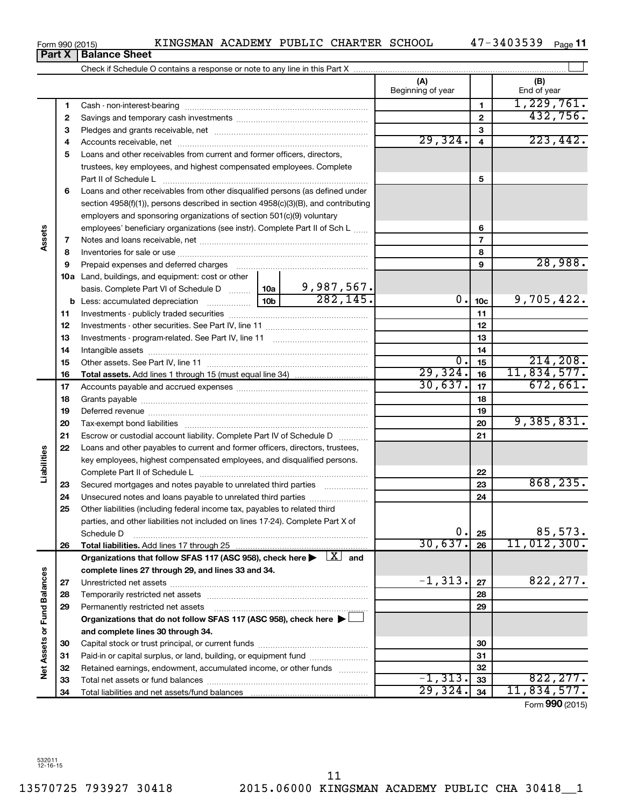**Net Assets or Fund Balances**

Net Assets or Fund Balances

| 7  |                                                                                                                                                                                                                                                                                                                                                                                          |  |            | 7               |             |
|----|------------------------------------------------------------------------------------------------------------------------------------------------------------------------------------------------------------------------------------------------------------------------------------------------------------------------------------------------------------------------------------------|--|------------|-----------------|-------------|
| 8  |                                                                                                                                                                                                                                                                                                                                                                                          |  |            | 8               |             |
| 9  | Prepaid expenses and deferred charges                                                                                                                                                                                                                                                                                                                                                    |  |            | 9               | 28,988.     |
|    | <b>10a</b> Land, buildings, and equipment: cost or other                                                                                                                                                                                                                                                                                                                                 |  |            |                 |             |
|    | basis. Complete Part VI of Schedule D $\begin{array}{ c c c c c }\n\hline\n10a & 9,987,567. \text{ \textcolor{red}{\textbf{1}}}\n\hline\n\textcolor{red}{\textbf{L}}\n\hline\n\textcolor{red}{\textbf{L}}\n\hline\n\textcolor{red}{\textbf{L}}\n\hline\n\textcolor{red}{\textbf{L}}\n\hline\n\textcolor{red}{\textbf{L}}\n\hline\n\textcolor{red}{\textbf{L}}\n\hline\n\textcolor{red}{$ |  |            |                 |             |
|    |                                                                                                                                                                                                                                                                                                                                                                                          |  | 0.         | 10 <sub>c</sub> | 9,705,422.  |
| 11 |                                                                                                                                                                                                                                                                                                                                                                                          |  |            | 11              |             |
| 12 |                                                                                                                                                                                                                                                                                                                                                                                          |  |            | 12              |             |
| 13 |                                                                                                                                                                                                                                                                                                                                                                                          |  |            | 13              |             |
| 14 |                                                                                                                                                                                                                                                                                                                                                                                          |  |            | 14              |             |
| 15 |                                                                                                                                                                                                                                                                                                                                                                                          |  | σ.         | 15              | 214, 208.   |
| 16 |                                                                                                                                                                                                                                                                                                                                                                                          |  | 29,324.    | 16              | 11,834,577. |
| 17 |                                                                                                                                                                                                                                                                                                                                                                                          |  | 30,637.    | 17              | 672,661.    |
| 18 |                                                                                                                                                                                                                                                                                                                                                                                          |  |            | 18              |             |
| 19 |                                                                                                                                                                                                                                                                                                                                                                                          |  |            | 19              |             |
| 20 |                                                                                                                                                                                                                                                                                                                                                                                          |  |            | 20              | 9,385,831.  |
| 21 | Escrow or custodial account liability. Complete Part IV of Schedule D                                                                                                                                                                                                                                                                                                                    |  |            | 21              |             |
| 22 | Loans and other payables to current and former officers, directors, trustees,                                                                                                                                                                                                                                                                                                            |  |            |                 |             |
|    | key employees, highest compensated employees, and disqualified persons.                                                                                                                                                                                                                                                                                                                  |  |            |                 |             |
|    |                                                                                                                                                                                                                                                                                                                                                                                          |  |            | 22              |             |
| 23 | Secured mortgages and notes payable to unrelated third parties                                                                                                                                                                                                                                                                                                                           |  |            | 23              | 868, 235.   |
| 24 | Unsecured notes and loans payable to unrelated third parties                                                                                                                                                                                                                                                                                                                             |  |            | 24              |             |
| 25 | Other liabilities (including federal income tax, payables to related third                                                                                                                                                                                                                                                                                                               |  |            |                 |             |
|    | parties, and other liabilities not included on lines 17-24). Complete Part X of                                                                                                                                                                                                                                                                                                          |  |            |                 |             |
|    | Schedule D                                                                                                                                                                                                                                                                                                                                                                               |  | 0.         | 25              | 85,573.     |
| 26 |                                                                                                                                                                                                                                                                                                                                                                                          |  | 30,637.    | 26              | 11,012,300. |
|    | Organizations that follow SFAS 117 (ASC 958), check here $\blacktriangleright \begin{array}{c} \boxed{X} \\ \end{array}$ and                                                                                                                                                                                                                                                             |  |            |                 |             |
|    | complete lines 27 through 29, and lines 33 and 34.                                                                                                                                                                                                                                                                                                                                       |  |            |                 |             |
| 27 |                                                                                                                                                                                                                                                                                                                                                                                          |  | $-1, 313.$ | 27              | 822, 277.   |
| 28 |                                                                                                                                                                                                                                                                                                                                                                                          |  |            | 28              |             |
| 29 | Permanently restricted net assets                                                                                                                                                                                                                                                                                                                                                        |  |            | 29              |             |
|    | Organizations that do not follow SFAS 117 (ASC 958), check here ▶ □                                                                                                                                                                                                                                                                                                                      |  |            |                 |             |
|    | and complete lines 30 through 34.                                                                                                                                                                                                                                                                                                                                                        |  |            |                 |             |
| 30 |                                                                                                                                                                                                                                                                                                                                                                                          |  |            | 30              |             |
| 31 | Paid-in or capital surplus, or land, building, or equipment fund                                                                                                                                                                                                                                                                                                                         |  |            | 31              |             |
| 32 | Retained earnings, endowment, accumulated income, or other funds                                                                                                                                                                                                                                                                                                                         |  |            | 32              |             |
| 33 |                                                                                                                                                                                                                                                                                                                                                                                          |  | $-1, 313.$ | 33              | 822, 277.   |
| 34 | Total liabilities and net assets/fund balances                                                                                                                                                                                                                                                                                                                                           |  | 29,324.    | 34              | 11,834,577. |

**Part X** | **Balance Sheet** 

**3** Pledges and grants receivable, net ~~~~~~~~~~~~~~~~~~~~~ **4** Accounts receivable, net ~~~~~~~~~~~~~~~~~~~~~~~~~~ **5** Loans and other receivables from current and former officers, directors,

Cash - non-interest-bearing ~~~~~~~~~~~~~~~~~~~~~~~~~ Savings and temporary cash investments ~~~~~~~~~~~~~~~~~~

Check if Schedule O contains a response or note to any line in this Part X

**6** Loans and other receivables from other disqualified persons (as defined under

section 4958(f)(1)), persons described in section 4958(c)(3)(B), and contributing employers and sponsoring organizations of section 501(c)(9) voluntary

employees' beneficiary organizations (see instr). Complete Part II of Sch L ......

trustees, key employees, and highest compensated employees. Complete Part II of Schedule L ~~~~~~~~~~~~~~~~~~~~~~~~~~~~

Form 990 (2015) KINGSMAN ACADEMY PUBLIC CHARTER SCHOOL 47-3403539 Page 47-3403539 Page 11

**(A) (B)**

Beginning of year | | End of year

 $29,324. 4$   $223,442.$ 

**5**

**6**

 $\perp$ 

1,229,761. 432,756.

Form (2015) **990**

**1 2**

**Assets**

**Liabilities**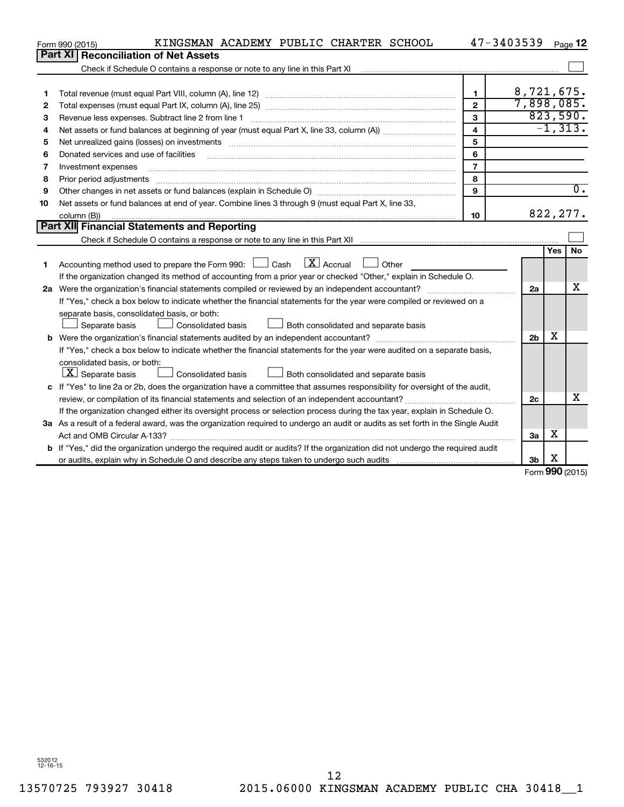|    | KINGSMAN ACADEMY PUBLIC CHARTER SCHOOL<br>Form 990 (2015)                                                                       |                         | 47-3403539     |            | Page 12          |
|----|---------------------------------------------------------------------------------------------------------------------------------|-------------------------|----------------|------------|------------------|
|    | Part XI   Reconciliation of Net Assets                                                                                          |                         |                |            |                  |
|    |                                                                                                                                 |                         |                |            |                  |
|    |                                                                                                                                 |                         |                |            |                  |
| 1  |                                                                                                                                 | $\mathbf{1}$            | 8,721,675.     |            |                  |
| 2  |                                                                                                                                 | $\mathbf{2}$            | 7,898,085.     |            |                  |
| 3  | Revenue less expenses. Subtract line 2 from line 1                                                                              | 3                       |                |            | 823,590.         |
| 4  |                                                                                                                                 | $\overline{\mathbf{4}}$ |                |            | $-1, 313.$       |
| 5  |                                                                                                                                 | 5                       |                |            |                  |
| 6  | Donated services and use of facilities                                                                                          | 6                       |                |            |                  |
| 7  | Investment expenses                                                                                                             | $\overline{7}$          |                |            |                  |
| 8  | Prior period adjustments                                                                                                        | 8                       |                |            |                  |
| 9  |                                                                                                                                 | 9                       |                |            | $\overline{0}$ . |
| 10 | Net assets or fund balances at end of year. Combine lines 3 through 9 (must equal Part X, line 33,                              |                         |                |            |                  |
|    | column (B))                                                                                                                     | 10                      |                |            | 822, 277.        |
|    | Part XII Financial Statements and Reporting                                                                                     |                         |                |            |                  |
|    |                                                                                                                                 |                         |                |            |                  |
|    |                                                                                                                                 |                         |                | <b>Yes</b> | No               |
| 1  | Accounting method used to prepare the Form 990: $\Box$ Cash $\Box$ Accrual<br>$\Box$ Other                                      |                         |                |            |                  |
|    | If the organization changed its method of accounting from a prior year or checked "Other," explain in Schedule O.               |                         |                |            |                  |
|    |                                                                                                                                 |                         | 2a             |            | x                |
|    | If "Yes," check a box below to indicate whether the financial statements for the year were compiled or reviewed on a            |                         |                |            |                  |
|    | separate basis, consolidated basis, or both:                                                                                    |                         |                |            |                  |
|    | Both consolidated and separate basis<br>Separate basis<br>Consolidated basis                                                    |                         |                |            |                  |
|    |                                                                                                                                 |                         | 2 <sub>b</sub> | х          |                  |
|    | If "Yes," check a box below to indicate whether the financial statements for the year were audited on a separate basis,         |                         |                |            |                  |
|    | consolidated basis, or both:                                                                                                    |                         |                |            |                  |
|    | $ \mathbf{X} $ Separate basis<br>Consolidated basis<br>Both consolidated and separate basis                                     |                         |                |            |                  |
|    | c If "Yes" to line 2a or 2b, does the organization have a committee that assumes responsibility for oversight of the audit,     |                         |                |            |                  |
|    |                                                                                                                                 |                         | 2c             |            | x                |
|    | If the organization changed either its oversight process or selection process during the tax year, explain in Schedule O.       |                         |                |            |                  |
|    | 3a As a result of a federal award, was the organization required to undergo an audit or audits as set forth in the Single Audit |                         |                |            |                  |
|    |                                                                                                                                 |                         | За             | x          |                  |
|    | b If "Yes," did the organization undergo the required audit or audits? If the organization did not undergo the required audit   |                         |                |            |                  |
|    |                                                                                                                                 |                         | 3 <sub>b</sub> | х          |                  |

Form (2015) **990**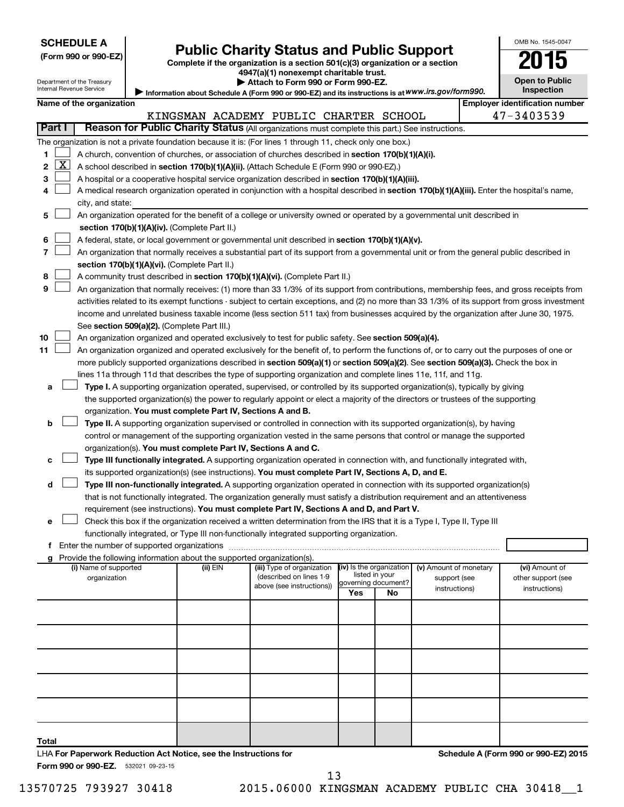| <b>SCHEDULE A</b> |  |
|-------------------|--|
|-------------------|--|

| (Form 990 or 990-EZ |  |  |  |  |
|---------------------|--|--|--|--|
|---------------------|--|--|--|--|

# Form 990 or 990-EZ) Public Charity Status and Public Support<br>
Complete if the organization is a section 501(c)(3) organization or a section<br> **2015**

**4947(a)(1) nonexempt charitable trust. | Attach to Form 990 or Form 990-EZ.** 

| ٠                                  |  |
|------------------------------------|--|
| <b>Open to Public</b><br>.cnootion |  |

OMB No. 1545-0047

| Department of the Treasury |  |
|----------------------------|--|
| Internal Revenue Service   |  |

|        | Internal Revenue Service<br>Inspection<br>Information about Schedule A (Form 990 or 990-EZ) and its instructions is at WWW.irs.gov/form990.                                                                                                               |                          |                                               |  |          |                                                                                                                                    |  |                          |                     |                        |                                                                                                                                               |
|--------|-----------------------------------------------------------------------------------------------------------------------------------------------------------------------------------------------------------------------------------------------------------|--------------------------|-----------------------------------------------|--|----------|------------------------------------------------------------------------------------------------------------------------------------|--|--------------------------|---------------------|------------------------|-----------------------------------------------------------------------------------------------------------------------------------------------|
|        |                                                                                                                                                                                                                                                           | Name of the organization |                                               |  |          |                                                                                                                                    |  |                          |                     |                        | <b>Employer identification number</b>                                                                                                         |
|        |                                                                                                                                                                                                                                                           |                          |                                               |  |          | KINGSMAN ACADEMY PUBLIC CHARTER SCHOOL                                                                                             |  |                          |                     |                        | 47-3403539                                                                                                                                    |
| Part I |                                                                                                                                                                                                                                                           |                          |                                               |  |          | Reason for Public Charity Status (All organizations must complete this part.) See instructions.                                    |  |                          |                     |                        |                                                                                                                                               |
|        |                                                                                                                                                                                                                                                           |                          |                                               |  |          | The organization is not a private foundation because it is: (For lines 1 through 11, check only one box.)                          |  |                          |                     |                        |                                                                                                                                               |
| 1      |                                                                                                                                                                                                                                                           |                          |                                               |  |          | A church, convention of churches, or association of churches described in section 170(b)(1)(A)(i).                                 |  |                          |                     |                        |                                                                                                                                               |
| 2      | $\mathbf{X}$                                                                                                                                                                                                                                              |                          |                                               |  |          | A school described in section 170(b)(1)(A)(ii). (Attach Schedule E (Form 990 or 990-EZ).)                                          |  |                          |                     |                        |                                                                                                                                               |
| 3      |                                                                                                                                                                                                                                                           |                          |                                               |  |          | A hospital or a cooperative hospital service organization described in section 170(b)(1)(A)(iii).                                  |  |                          |                     |                        |                                                                                                                                               |
| 4      |                                                                                                                                                                                                                                                           |                          |                                               |  |          |                                                                                                                                    |  |                          |                     |                        | A medical research organization operated in conjunction with a hospital described in section 170(b)(1)(A)(iii). Enter the hospital's name,    |
|        |                                                                                                                                                                                                                                                           | city, and state:         |                                               |  |          |                                                                                                                                    |  |                          |                     |                        |                                                                                                                                               |
| 5      |                                                                                                                                                                                                                                                           |                          |                                               |  |          | An organization operated for the benefit of a college or university owned or operated by a governmental unit described in          |  |                          |                     |                        |                                                                                                                                               |
|        |                                                                                                                                                                                                                                                           |                          | section 170(b)(1)(A)(iv). (Complete Part II.) |  |          |                                                                                                                                    |  |                          |                     |                        |                                                                                                                                               |
| 6      |                                                                                                                                                                                                                                                           |                          |                                               |  |          | A federal, state, or local government or governmental unit described in section 170(b)(1)(A)(v).                                   |  |                          |                     |                        |                                                                                                                                               |
| 7      |                                                                                                                                                                                                                                                           |                          |                                               |  |          |                                                                                                                                    |  |                          |                     |                        | An organization that normally receives a substantial part of its support from a governmental unit or from the general public described in     |
|        |                                                                                                                                                                                                                                                           |                          | section 170(b)(1)(A)(vi). (Complete Part II.) |  |          |                                                                                                                                    |  |                          |                     |                        |                                                                                                                                               |
| 8      |                                                                                                                                                                                                                                                           |                          |                                               |  |          | A community trust described in section 170(b)(1)(A)(vi). (Complete Part II.)                                                       |  |                          |                     |                        |                                                                                                                                               |
| 9      |                                                                                                                                                                                                                                                           |                          |                                               |  |          |                                                                                                                                    |  |                          |                     |                        | An organization that normally receives: (1) more than 33 1/3% of its support from contributions, membership fees, and gross receipts from     |
|        |                                                                                                                                                                                                                                                           |                          |                                               |  |          |                                                                                                                                    |  |                          |                     |                        | activities related to its exempt functions - subject to certain exceptions, and (2) no more than 33 1/3% of its support from gross investment |
|        |                                                                                                                                                                                                                                                           |                          |                                               |  |          |                                                                                                                                    |  |                          |                     |                        | income and unrelated business taxable income (less section 511 tax) from businesses acquired by the organization after June 30, 1975.         |
|        |                                                                                                                                                                                                                                                           |                          | See section 509(a)(2). (Complete Part III.)   |  |          |                                                                                                                                    |  |                          |                     |                        |                                                                                                                                               |
| 10     |                                                                                                                                                                                                                                                           |                          |                                               |  |          | An organization organized and operated exclusively to test for public safety. See section 509(a)(4).                               |  |                          |                     |                        |                                                                                                                                               |
| 11     |                                                                                                                                                                                                                                                           |                          |                                               |  |          |                                                                                                                                    |  |                          |                     |                        | An organization organized and operated exclusively for the benefit of, to perform the functions of, or to carry out the purposes of one or    |
|        |                                                                                                                                                                                                                                                           |                          |                                               |  |          | more publicly supported organizations described in section 509(a)(1) or section 509(a)(2). See section 509(a)(3). Check the box in |  |                          |                     |                        |                                                                                                                                               |
|        |                                                                                                                                                                                                                                                           |                          |                                               |  |          | lines 11a through 11d that describes the type of supporting organization and complete lines 11e, 11f, and 11g.                     |  |                          |                     |                        |                                                                                                                                               |
| a      |                                                                                                                                                                                                                                                           |                          |                                               |  |          | Type I. A supporting organization operated, supervised, or controlled by its supported organization(s), typically by giving        |  |                          |                     |                        |                                                                                                                                               |
|        |                                                                                                                                                                                                                                                           |                          |                                               |  |          | the supported organization(s) the power to regularly appoint or elect a majority of the directors or trustees of the supporting    |  |                          |                     |                        |                                                                                                                                               |
|        |                                                                                                                                                                                                                                                           |                          |                                               |  |          | organization. You must complete Part IV, Sections A and B.                                                                         |  |                          |                     |                        |                                                                                                                                               |
| b      |                                                                                                                                                                                                                                                           |                          |                                               |  |          | Type II. A supporting organization supervised or controlled in connection with its supported organization(s), by having            |  |                          |                     |                        |                                                                                                                                               |
|        |                                                                                                                                                                                                                                                           |                          |                                               |  |          | control or management of the supporting organization vested in the same persons that control or manage the supported               |  |                          |                     |                        |                                                                                                                                               |
|        |                                                                                                                                                                                                                                                           |                          |                                               |  |          | organization(s). You must complete Part IV, Sections A and C.                                                                      |  |                          |                     |                        |                                                                                                                                               |
|        |                                                                                                                                                                                                                                                           |                          |                                               |  |          | Type III functionally integrated. A supporting organization operated in connection with, and functionally integrated with,         |  |                          |                     |                        |                                                                                                                                               |
|        |                                                                                                                                                                                                                                                           |                          |                                               |  |          | its supported organization(s) (see instructions). You must complete Part IV, Sections A, D, and E.                                 |  |                          |                     |                        |                                                                                                                                               |
| d      |                                                                                                                                                                                                                                                           |                          |                                               |  |          |                                                                                                                                    |  |                          |                     |                        |                                                                                                                                               |
|        | Type III non-functionally integrated. A supporting organization operated in connection with its supported organization(s)<br>that is not functionally integrated. The organization generally must satisfy a distribution requirement and an attentiveness |                          |                                               |  |          |                                                                                                                                    |  |                          |                     |                        |                                                                                                                                               |
|        | requirement (see instructions). You must complete Part IV, Sections A and D, and Part V.                                                                                                                                                                  |                          |                                               |  |          |                                                                                                                                    |  |                          |                     |                        |                                                                                                                                               |
| e      | Check this box if the organization received a written determination from the IRS that it is a Type I, Type II, Type III                                                                                                                                   |                          |                                               |  |          |                                                                                                                                    |  |                          |                     |                        |                                                                                                                                               |
|        | functionally integrated, or Type III non-functionally integrated supporting organization.                                                                                                                                                                 |                          |                                               |  |          |                                                                                                                                    |  |                          |                     |                        |                                                                                                                                               |
|        | Ť.                                                                                                                                                                                                                                                        |                          |                                               |  |          |                                                                                                                                    |  |                          |                     |                        |                                                                                                                                               |
|        |                                                                                                                                                                                                                                                           |                          |                                               |  |          | Provide the following information about the supported organization(s).                                                             |  |                          |                     |                        |                                                                                                                                               |
|        |                                                                                                                                                                                                                                                           | (i) Name of supported    |                                               |  | (ii) EIN | (iii) Type of organization                                                                                                         |  | (iv) Is the organization |                     | (v) Amount of monetary | (vi) Amount of                                                                                                                                |
|        |                                                                                                                                                                                                                                                           | organization             |                                               |  |          | (described on lines 1-9                                                                                                            |  | listed in your           | governing document? | support (see           | other support (see                                                                                                                            |
|        |                                                                                                                                                                                                                                                           |                          |                                               |  |          | above (see instructions))                                                                                                          |  | Yes                      | No                  | instructions)          | instructions)                                                                                                                                 |
|        |                                                                                                                                                                                                                                                           |                          |                                               |  |          |                                                                                                                                    |  |                          |                     |                        |                                                                                                                                               |
|        |                                                                                                                                                                                                                                                           |                          |                                               |  |          |                                                                                                                                    |  |                          |                     |                        |                                                                                                                                               |
|        |                                                                                                                                                                                                                                                           |                          |                                               |  |          |                                                                                                                                    |  |                          |                     |                        |                                                                                                                                               |
|        |                                                                                                                                                                                                                                                           |                          |                                               |  |          |                                                                                                                                    |  |                          |                     |                        |                                                                                                                                               |
|        |                                                                                                                                                                                                                                                           |                          |                                               |  |          |                                                                                                                                    |  |                          |                     |                        |                                                                                                                                               |

**Total**

Form 990 or 990-EZ. 532021 09-23-15

LHA **For Paperwork Reduction Act Notice, see the Instructions for** 

13570725 793927 30418 2015.06000 KINGSMAN ACADEMY PUBLIC CHA 30418\_\_1 13

**Schedule A (Form 990 or 990-EZ) 2015**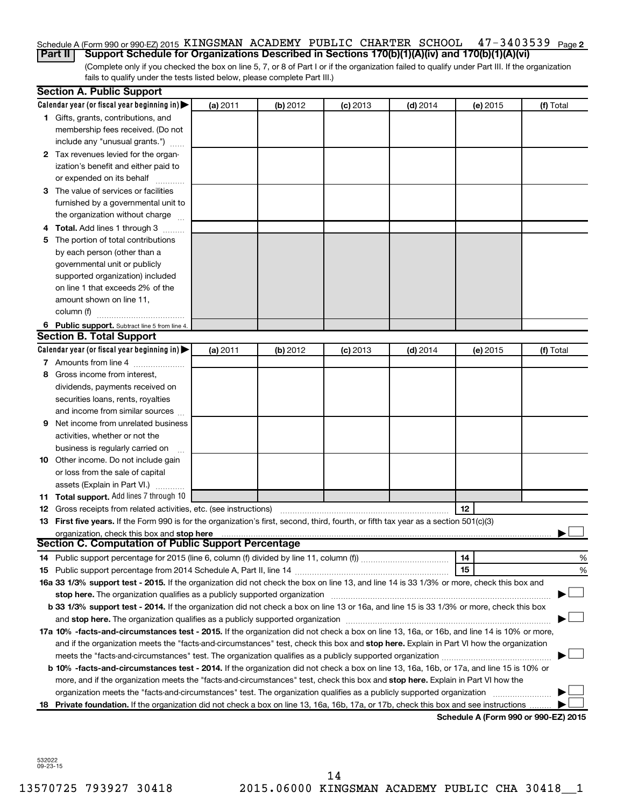#### $47 - 3403539$  Page 2 Schedule A (Form 990 or 990-EZ) 2015 KINGSMAN ACADEMY PUBLIC CHARTER SCHOOL 47-3403539 Page

(Complete only if you checked the box on line 5, 7, or 8 of Part I or if the organization failed to qualify under Part III. If the organization fails to qualify under the tests listed below, please complete Part III.) **Part II Support Schedule for Organizations Described in Sections 170(b)(1)(A)(iv) and 170(b)(1)(A)(vi)**

|    | <b>Section A. Public Support</b>                                                                                                           |          |          |            |            |                                      |           |
|----|--------------------------------------------------------------------------------------------------------------------------------------------|----------|----------|------------|------------|--------------------------------------|-----------|
|    | Calendar year (or fiscal year beginning in)                                                                                                | (a) 2011 | (b) 2012 | $(c)$ 2013 | $(d)$ 2014 | (e) 2015                             | (f) Total |
|    | 1 Gifts, grants, contributions, and                                                                                                        |          |          |            |            |                                      |           |
|    | membership fees received. (Do not                                                                                                          |          |          |            |            |                                      |           |
|    | include any "unusual grants.")                                                                                                             |          |          |            |            |                                      |           |
|    | 2 Tax revenues levied for the organ-                                                                                                       |          |          |            |            |                                      |           |
|    | ization's benefit and either paid to                                                                                                       |          |          |            |            |                                      |           |
|    | or expended on its behalf                                                                                                                  |          |          |            |            |                                      |           |
|    | 3 The value of services or facilities                                                                                                      |          |          |            |            |                                      |           |
|    | furnished by a governmental unit to                                                                                                        |          |          |            |            |                                      |           |
|    | the organization without charge                                                                                                            |          |          |            |            |                                      |           |
|    | 4 Total. Add lines 1 through 3                                                                                                             |          |          |            |            |                                      |           |
|    | 5 The portion of total contributions                                                                                                       |          |          |            |            |                                      |           |
|    | by each person (other than a                                                                                                               |          |          |            |            |                                      |           |
|    | governmental unit or publicly                                                                                                              |          |          |            |            |                                      |           |
|    | supported organization) included                                                                                                           |          |          |            |            |                                      |           |
|    | on line 1 that exceeds 2% of the                                                                                                           |          |          |            |            |                                      |           |
|    | amount shown on line 11,                                                                                                                   |          |          |            |            |                                      |           |
|    | column (f)                                                                                                                                 |          |          |            |            |                                      |           |
|    | 6 Public support. Subtract line 5 from line 4.                                                                                             |          |          |            |            |                                      |           |
|    | <b>Section B. Total Support</b>                                                                                                            |          |          |            |            |                                      |           |
|    | Calendar year (or fiscal year beginning in)                                                                                                | (a) 2011 | (b) 2012 | $(c)$ 2013 | $(d)$ 2014 | (e) 2015                             | (f) Total |
|    | 7 Amounts from line 4                                                                                                                      |          |          |            |            |                                      |           |
| 8  | Gross income from interest,                                                                                                                |          |          |            |            |                                      |           |
|    | dividends, payments received on                                                                                                            |          |          |            |            |                                      |           |
|    | securities loans, rents, royalties                                                                                                         |          |          |            |            |                                      |           |
|    | and income from similar sources                                                                                                            |          |          |            |            |                                      |           |
| 9  | Net income from unrelated business                                                                                                         |          |          |            |            |                                      |           |
|    | activities, whether or not the                                                                                                             |          |          |            |            |                                      |           |
|    | business is regularly carried on                                                                                                           |          |          |            |            |                                      |           |
|    | 10 Other income. Do not include gain                                                                                                       |          |          |            |            |                                      |           |
|    | or loss from the sale of capital                                                                                                           |          |          |            |            |                                      |           |
|    | assets (Explain in Part VI.)                                                                                                               |          |          |            |            |                                      |           |
|    | 11 Total support. Add lines 7 through 10                                                                                                   |          |          |            |            |                                      |           |
|    | <b>12</b> Gross receipts from related activities, etc. (see instructions)                                                                  |          |          |            |            | 12                                   |           |
|    | 13 First five years. If the Form 990 is for the organization's first, second, third, fourth, or fifth tax year as a section 501(c)(3)      |          |          |            |            |                                      |           |
|    | organization, check this box and stop here                                                                                                 |          |          |            |            |                                      |           |
|    | <b>Section C. Computation of Public Support Percentage</b>                                                                                 |          |          |            |            |                                      |           |
|    |                                                                                                                                            |          |          |            |            | 14                                   | %         |
|    | 15<br>%                                                                                                                                    |          |          |            |            |                                      |           |
|    | 16a 33 1/3% support test - 2015. If the organization did not check the box on line 13, and line 14 is 33 1/3% or more, check this box and  |          |          |            |            |                                      |           |
|    |                                                                                                                                            |          |          |            |            |                                      |           |
|    | b 33 1/3% support test - 2014. If the organization did not check a box on line 13 or 16a, and line 15 is 33 1/3% or more, check this box   |          |          |            |            |                                      |           |
|    |                                                                                                                                            |          |          |            |            |                                      |           |
|    | 17a 10% -facts-and-circumstances test - 2015. If the organization did not check a box on line 13, 16a, or 16b, and line 14 is 10% or more, |          |          |            |            |                                      |           |
|    | and if the organization meets the "facts-and-circumstances" test, check this box and stop here. Explain in Part VI how the organization    |          |          |            |            |                                      |           |
|    | meets the "facts-and-circumstances" test. The organization qualifies as a publicly supported organization <i>manumumumum</i>               |          |          |            |            |                                      |           |
|    | b 10% -facts-and-circumstances test - 2014. If the organization did not check a box on line 13, 16a, 16b, or 17a, and line 15 is 10% or    |          |          |            |            |                                      |           |
|    | more, and if the organization meets the "facts-and-circumstances" test, check this box and stop here. Explain in Part VI how the           |          |          |            |            |                                      |           |
|    | organization meets the "facts-and-circumstances" test. The organization qualifies as a publicly supported organization                     |          |          |            |            |                                      |           |
| 18 | Private foundation. If the organization did not check a box on line 13, 16a, 16b, 17a, or 17b, check this box and see instructions         |          |          |            |            |                                      |           |
|    |                                                                                                                                            |          |          |            |            | Schedule A (Form 990 or 990-EZ) 2015 |           |

532022 09-23-15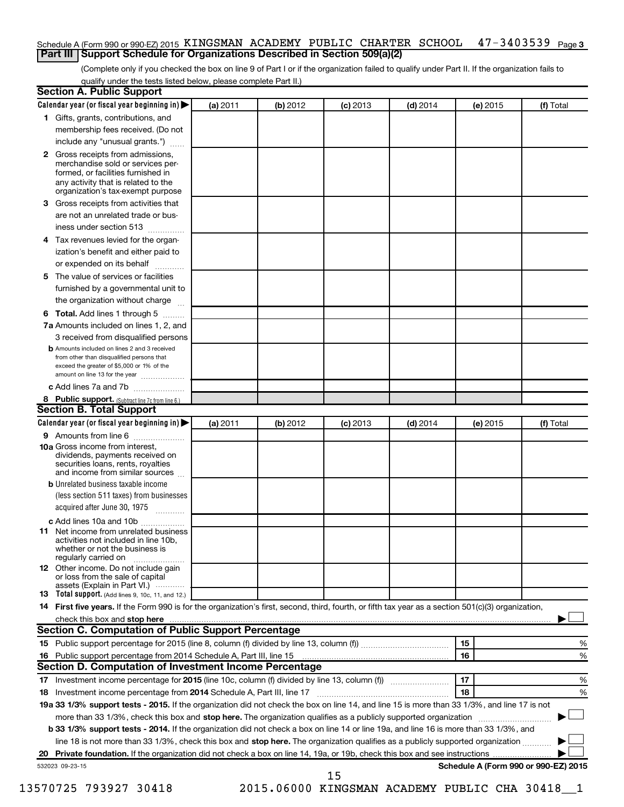#### $47 - 3403539$  Page 3 Schedule A (Form 990 or 990-EZ) 2015 KINGSMAN ACADEMY PUBLIC CHARTER SCHOOL 47-3403539 Page **Part III Support Schedule for Organizations Described in Section 509(a)(2)**

(Complete only if you checked the box on line 9 of Part I or if the organization failed to qualify under Part II. If the organization fails to qualify under the tests listed below, please complete Part II.)

| <b>Section A. Public Support</b>                                                                                                                                                         |          |          |            |            |          |                                      |
|------------------------------------------------------------------------------------------------------------------------------------------------------------------------------------------|----------|----------|------------|------------|----------|--------------------------------------|
| Calendar year (or fiscal year beginning in)                                                                                                                                              | (a) 2011 | (b) 2012 | $(c)$ 2013 | $(d)$ 2014 | (e) 2015 | (f) Total                            |
| 1 Gifts, grants, contributions, and                                                                                                                                                      |          |          |            |            |          |                                      |
| membership fees received. (Do not                                                                                                                                                        |          |          |            |            |          |                                      |
| include any "unusual grants.")                                                                                                                                                           |          |          |            |            |          |                                      |
| 2 Gross receipts from admissions,<br>merchandise sold or services per-<br>formed, or facilities furnished in<br>any activity that is related to the<br>organization's tax-exempt purpose |          |          |            |            |          |                                      |
| <b>3</b> Gross receipts from activities that                                                                                                                                             |          |          |            |            |          |                                      |
| are not an unrelated trade or bus-                                                                                                                                                       |          |          |            |            |          |                                      |
| iness under section 513                                                                                                                                                                  |          |          |            |            |          |                                      |
| 4 Tax revenues levied for the organ-                                                                                                                                                     |          |          |            |            |          |                                      |
| ization's benefit and either paid to                                                                                                                                                     |          |          |            |            |          |                                      |
| or expended on its behalf                                                                                                                                                                |          |          |            |            |          |                                      |
| 5 The value of services or facilities                                                                                                                                                    |          |          |            |            |          |                                      |
| furnished by a governmental unit to                                                                                                                                                      |          |          |            |            |          |                                      |
| the organization without charge                                                                                                                                                          |          |          |            |            |          |                                      |
| <b>6 Total.</b> Add lines 1 through 5                                                                                                                                                    |          |          |            |            |          |                                      |
| 7a Amounts included on lines 1, 2, and                                                                                                                                                   |          |          |            |            |          |                                      |
| 3 received from disqualified persons                                                                                                                                                     |          |          |            |            |          |                                      |
| <b>b</b> Amounts included on lines 2 and 3 received<br>from other than disqualified persons that<br>exceed the greater of \$5,000 or 1% of the<br>amount on line 13 for the year         |          |          |            |            |          |                                      |
| c Add lines 7a and 7b                                                                                                                                                                    |          |          |            |            |          |                                      |
| 8 Public support. (Subtract line 7c from line 6.)                                                                                                                                        |          |          |            |            |          |                                      |
| <b>Section B. Total Support</b>                                                                                                                                                          |          |          |            |            |          |                                      |
| Calendar year (or fiscal year beginning in) $\blacktriangleright$                                                                                                                        | (a) 2011 | (b) 2012 | $(c)$ 2013 | $(d)$ 2014 | (e) 2015 | (f) Total                            |
| 9 Amounts from line 6                                                                                                                                                                    |          |          |            |            |          |                                      |
| <b>10a</b> Gross income from interest,<br>dividends, payments received on<br>securities loans, rents, royalties<br>and income from similar sources                                       |          |          |            |            |          |                                      |
| <b>b</b> Unrelated business taxable income                                                                                                                                               |          |          |            |            |          |                                      |
| (less section 511 taxes) from businesses                                                                                                                                                 |          |          |            |            |          |                                      |
| acquired after June 30, 1975<br>$\overline{\phantom{a}}$                                                                                                                                 |          |          |            |            |          |                                      |
| c Add lines 10a and 10b                                                                                                                                                                  |          |          |            |            |          |                                      |
| <b>11</b> Net income from unrelated business<br>activities not included in line 10b.<br>whether or not the business is<br>regularly carried on                                           |          |          |            |            |          |                                      |
| <b>12</b> Other income. Do not include gain<br>or loss from the sale of capital<br>assets (Explain in Part VI.)                                                                          |          |          |            |            |          |                                      |
| <b>13</b> Total support. (Add lines 9, 10c, 11, and 12.)                                                                                                                                 |          |          |            |            |          |                                      |
| 14 First five years. If the Form 990 is for the organization's first, second, third, fourth, or fifth tax year as a section 501(c)(3) organization,                                      |          |          |            |            |          |                                      |
| check this box and stop here <i>macuum macuum macuum macuum macuum macuum macuum macuum macuum</i>                                                                                       |          |          |            |            |          |                                      |
| Section C. Computation of Public Support Percentage                                                                                                                                      |          |          |            |            |          |                                      |
|                                                                                                                                                                                          |          |          |            |            | 15       | %                                    |
| 16 Public support percentage from 2014 Schedule A, Part III, line 15                                                                                                                     |          |          |            |            | 16       | %                                    |
| Section D. Computation of Investment Income Percentage                                                                                                                                   |          |          |            |            |          |                                      |
|                                                                                                                                                                                          |          |          |            |            | 17       | %                                    |
| 18 Investment income percentage from 2014 Schedule A, Part III, line 17                                                                                                                  |          |          |            |            | 18       | %                                    |
| 19a 33 1/3% support tests - 2015. If the organization did not check the box on line 14, and line 15 is more than 33 1/3%, and line 17 is not                                             |          |          |            |            |          |                                      |
| more than 33 1/3%, check this box and stop here. The organization qualifies as a publicly supported organization                                                                         |          |          |            |            |          |                                      |
| b 33 1/3% support tests - 2014. If the organization did not check a box on line 14 or line 19a, and line 16 is more than 33 1/3%, and                                                    |          |          |            |            |          |                                      |
| line 18 is not more than 33 1/3%, check this box and stop here. The organization qualifies as a publicly supported organization                                                          |          |          |            |            |          |                                      |
|                                                                                                                                                                                          |          |          |            |            |          |                                      |
| 532023 09-23-15                                                                                                                                                                          |          |          | 15         |            |          | Schedule A (Form 990 or 990-EZ) 2015 |

13570725 793927 30418 2015.06000 KINGSMAN ACADEMY PUBLIC CHA 30418\_\_1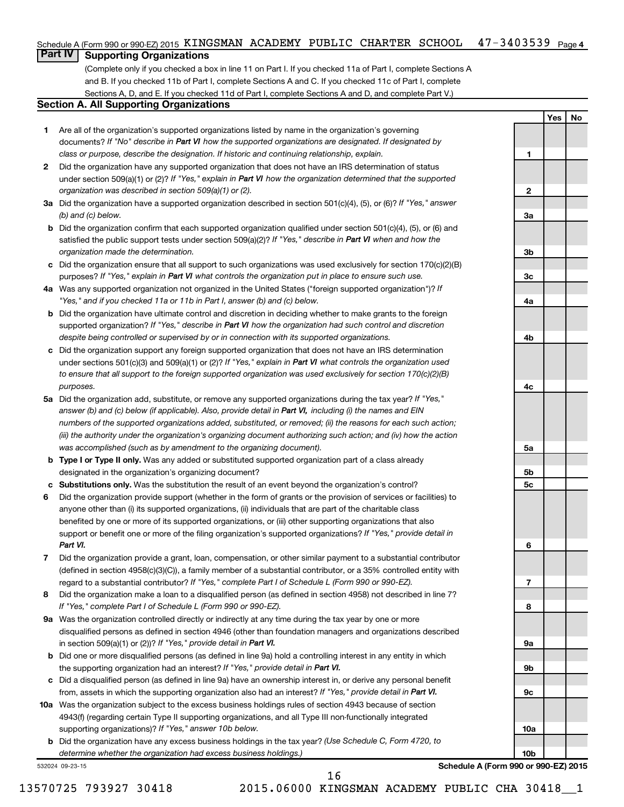#### $47 - 3403539$  Page 4 Schedule A (Form 990 or 990-EZ) 2015 KINGSMAN ACADEMY PUBLIC CHARTER SCHOOL 47-3403539 Page

### **Part IV Supporting Organizations**

(Complete only if you checked a box in line 11 on Part I. If you checked 11a of Part I, complete Sections A and B. If you checked 11b of Part I, complete Sections A and C. If you checked 11c of Part I, complete Sections A, D, and E. If you checked 11d of Part I, complete Sections A and D, and complete Part V.)

#### **Section A. All Supporting Organizations**

- **1** Are all of the organization's supported organizations listed by name in the organization's governing documents? If "No" describe in Part VI how the supported organizations are designated. If designated by *class or purpose, describe the designation. If historic and continuing relationship, explain.*
- **2** Did the organization have any supported organization that does not have an IRS determination of status under section 509(a)(1) or (2)? If "Yes," explain in Part VI how the organization determined that the supported *organization was described in section 509(a)(1) or (2).*
- **3a** Did the organization have a supported organization described in section 501(c)(4), (5), or (6)? If "Yes," answer *(b) and (c) below.*
- **b** Did the organization confirm that each supported organization qualified under section 501(c)(4), (5), or (6) and satisfied the public support tests under section 509(a)(2)? If "Yes," describe in Part VI when and how the *organization made the determination.*
- **c** Did the organization ensure that all support to such organizations was used exclusively for section 170(c)(2)(B) purposes? If "Yes," explain in Part VI what controls the organization put in place to ensure such use.
- **4 a** *If* Was any supported organization not organized in the United States ("foreign supported organization")? *"Yes," and if you checked 11a or 11b in Part I, answer (b) and (c) below.*
- **b** Did the organization have ultimate control and discretion in deciding whether to make grants to the foreign supported organization? If "Yes," describe in Part VI how the organization had such control and discretion *despite being controlled or supervised by or in connection with its supported organizations.*
- **c** Did the organization support any foreign supported organization that does not have an IRS determination under sections 501(c)(3) and 509(a)(1) or (2)? If "Yes," explain in Part VI what controls the organization used *to ensure that all support to the foreign supported organization was used exclusively for section 170(c)(2)(B) purposes.*
- **5a** Did the organization add, substitute, or remove any supported organizations during the tax year? If "Yes," answer (b) and (c) below (if applicable). Also, provide detail in Part VI, including (i) the names and EIN *numbers of the supported organizations added, substituted, or removed; (ii) the reasons for each such action; (iii) the authority under the organization's organizing document authorizing such action; and (iv) how the action was accomplished (such as by amendment to the organizing document).*
- **b Type I or Type II only.** Was any added or substituted supported organization part of a class already designated in the organization's organizing document?
- **c Substitutions only.**  Was the substitution the result of an event beyond the organization's control?
- **6** Did the organization provide support (whether in the form of grants or the provision of services or facilities) to support or benefit one or more of the filing organization's supported organizations? If "Yes," provide detail in anyone other than (i) its supported organizations, (ii) individuals that are part of the charitable class benefited by one or more of its supported organizations, or (iii) other supporting organizations that also *Part VI.*
- **7** Did the organization provide a grant, loan, compensation, or other similar payment to a substantial contributor regard to a substantial contributor? If "Yes," complete Part I of Schedule L (Form 990 or 990-EZ). (defined in section 4958(c)(3)(C)), a family member of a substantial contributor, or a 35% controlled entity with
- **8** Did the organization make a loan to a disqualified person (as defined in section 4958) not described in line 7? *If "Yes," complete Part I of Schedule L (Form 990 or 990-EZ).*
- **9 a** Was the organization controlled directly or indirectly at any time during the tax year by one or more in section 509(a)(1) or (2))? If "Yes," provide detail in Part VI. disqualified persons as defined in section 4946 (other than foundation managers and organizations described
- **b** Did one or more disqualified persons (as defined in line 9a) hold a controlling interest in any entity in which the supporting organization had an interest? If "Yes," provide detail in Part VI.
- **c** Did a disqualified person (as defined in line 9a) have an ownership interest in, or derive any personal benefit from, assets in which the supporting organization also had an interest? If "Yes," provide detail in Part VI.
- **10 a** Was the organization subject to the excess business holdings rules of section 4943 because of section supporting organizations)? If "Yes," answer 10b below. 4943(f) (regarding certain Type II supporting organizations, and all Type III non-functionally integrated
	- **b** Did the organization have any excess business holdings in the tax year? (Use Schedule C, Form 4720, to *determine whether the organization had excess business holdings.)*

532024 09-23-15

**Schedule A (Form 990 or 990-EZ) 2015**

**Yes No**

**1**

**2**

**3a**

**3b**

**3c**

**4a**

**4b**

**4c**

**5a**

**5b 5c**

**6**

**7**

**8**

**9a**

**9b**

**9c**

**10a**

**10b**

16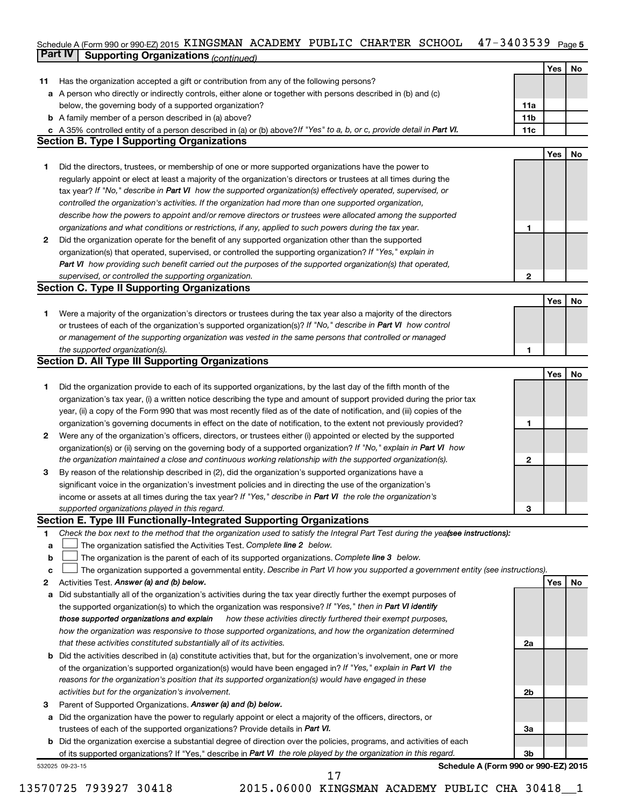#### Schedule A (Form 990 or 990-EZ) 2015 K⊥NGSMAN ACADEMY PUBLIC CHARTER SCHOOL 4 7 − 3 4 U 3 5 3 9 Page 5 **Part IV Supporting Organizations** *(continued)* KINGSMAN ACADEMY PUBLIC CHARTER SCHOOL 47-3403539

|              | <u>communed</u> of same and recommunities                                                                                       |              |     |    |
|--------------|---------------------------------------------------------------------------------------------------------------------------------|--------------|-----|----|
|              |                                                                                                                                 |              | Yes | No |
| 11           | Has the organization accepted a gift or contribution from any of the following persons?                                         |              |     |    |
|              | a A person who directly or indirectly controls, either alone or together with persons described in (b) and (c)                  |              |     |    |
|              | below, the governing body of a supported organization?                                                                          | 11a          |     |    |
|              | <b>b</b> A family member of a person described in (a) above?                                                                    | 11b          |     |    |
|              | c A 35% controlled entity of a person described in (a) or (b) above? If "Yes" to a, b, or c, provide detail in Part VI.         | 11c          |     |    |
|              | <b>Section B. Type I Supporting Organizations</b>                                                                               |              |     |    |
|              |                                                                                                                                 |              | Yes | No |
| 1.           | Did the directors, trustees, or membership of one or more supported organizations have the power to                             |              |     |    |
|              | regularly appoint or elect at least a majority of the organization's directors or trustees at all times during the              |              |     |    |
|              | tax year? If "No," describe in Part VI how the supported organization(s) effectively operated, supervised, or                   |              |     |    |
|              | controlled the organization's activities. If the organization had more than one supported organization,                         |              |     |    |
|              | describe how the powers to appoint and/or remove directors or trustees were allocated among the supported                       |              |     |    |
|              | organizations and what conditions or restrictions, if any, applied to such powers during the tax year.                          | 1            |     |    |
| $\mathbf{2}$ | Did the organization operate for the benefit of any supported organization other than the supported                             |              |     |    |
|              | organization(s) that operated, supervised, or controlled the supporting organization? If "Yes," explain in                      |              |     |    |
|              | Part VI how providing such benefit carried out the purposes of the supported organization(s) that operated,                     |              |     |    |
|              | supervised, or controlled the supporting organization.                                                                          | $\mathbf{2}$ |     |    |
|              | <b>Section C. Type II Supporting Organizations</b>                                                                              |              |     |    |
|              |                                                                                                                                 |              | Yes | No |
| 1.           | Were a majority of the organization's directors or trustees during the tax year also a majority of the directors                |              |     |    |
|              | or trustees of each of the organization's supported organization(s)? If "No," describe in Part VI how control                   |              |     |    |
|              | or management of the supporting organization was vested in the same persons that controlled or managed                          |              |     |    |
|              | the supported organization(s).                                                                                                  | 1            |     |    |
|              | <b>Section D. All Type III Supporting Organizations</b>                                                                         |              |     |    |
|              |                                                                                                                                 |              | Yes | No |
| 1.           | Did the organization provide to each of its supported organizations, by the last day of the fifth month of the                  |              |     |    |
|              | organization's tax year, (i) a written notice describing the type and amount of support provided during the prior tax           |              |     |    |
|              | year, (ii) a copy of the Form 990 that was most recently filed as of the date of notification, and (iii) copies of the          |              |     |    |
|              | organization's governing documents in effect on the date of notification, to the extent not previously provided?                | 1            |     |    |
| 2            | Were any of the organization's officers, directors, or trustees either (i) appointed or elected by the supported                |              |     |    |
|              | organization(s) or (ii) serving on the governing body of a supported organization? If "No," explain in Part VI how              |              |     |    |
|              | the organization maintained a close and continuous working relationship with the supported organization(s).                     | 2            |     |    |
| З            | By reason of the relationship described in (2), did the organization's supported organizations have a                           |              |     |    |
|              | significant voice in the organization's investment policies and in directing the use of the organization's                      |              |     |    |
|              | income or assets at all times during the tax year? If "Yes," describe in Part VI the role the organization's                    |              |     |    |
|              | supported organizations played in this regard.                                                                                  | 3            |     |    |
|              | Section E. Type III Functionally-Integrated Supporting Organizations                                                            |              |     |    |
| 1            | Check the box next to the method that the organization used to satisfy the Integral Part Test during the yeafsee instructions): |              |     |    |
| a            | The organization satisfied the Activities Test. Complete line 2 below.                                                          |              |     |    |
| b            | The organization is the parent of each of its supported organizations. Complete line 3 below.                                   |              |     |    |
| c            | The organization supported a governmental entity. Describe in Part VI how you supported a government entity (see instructions). |              |     |    |
| 2            | Activities Test. Answer (a) and (b) below.                                                                                      |              | Yes | No |
| a            | Did substantially all of the organization's activities during the tax year directly further the exempt purposes of              |              |     |    |
|              | the supported organization(s) to which the organization was responsive? If "Yes," then in Part VI identify                      |              |     |    |
|              | those supported organizations and explain<br>how these activities directly furthered their exempt purposes,                     |              |     |    |
|              | how the organization was responsive to those supported organizations, and how the organization determined                       |              |     |    |
|              | that these activities constituted substantially all of its activities.                                                          | 2a           |     |    |
| b            | Did the activities described in (a) constitute activities that, but for the organization's involvement, one or more             |              |     |    |
|              | of the organization's supported organization(s) would have been engaged in? If "Yes," explain in Part VI the                    |              |     |    |
|              | reasons for the organization's position that its supported organization(s) would have engaged in these                          |              |     |    |
|              | activities but for the organization's involvement.                                                                              | 2b           |     |    |
| з            | Parent of Supported Organizations. Answer (a) and (b) below.                                                                    |              |     |    |
| a            | Did the organization have the power to regularly appoint or elect a majority of the officers, directors, or                     |              |     |    |
|              | trustees of each of the supported organizations? Provide details in Part VI.                                                    | За           |     |    |
| b            | Did the organization exercise a substantial degree of direction over the policies, programs, and activities of each             |              |     |    |
|              | of its supported organizations? If "Yes," describe in Part VI the role played by the organization in this regard.               | Зb           |     |    |
|              | Schedule A (Form 990 or 990-EZ) 2015<br>532025 09-23-15                                                                         |              |     |    |

13570725 793927 30418 2015.06000 KINGSMAN ACADEMY PUBLIC CHA 30418\_\_1 17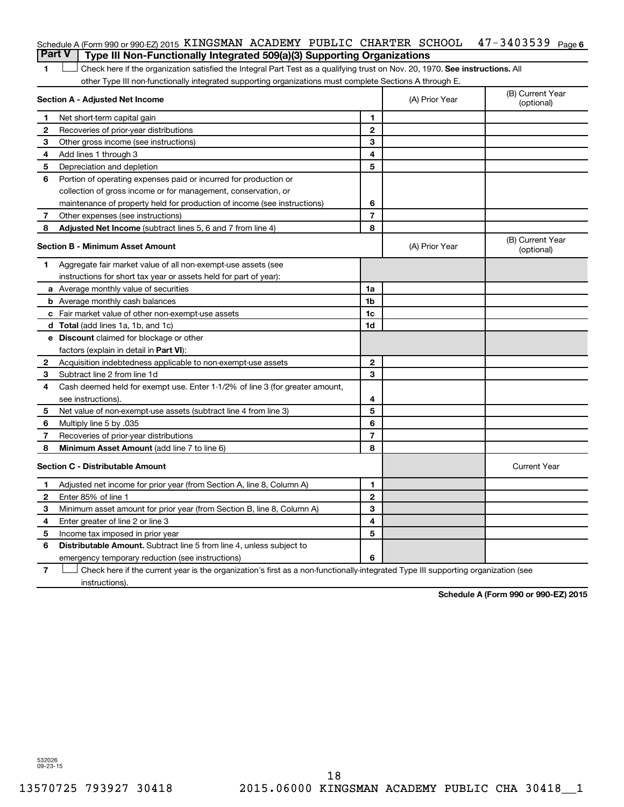#### 47-3403539 Page 6 Schedule A (Form 990 or 990-EZ) 2015 KINGSMAN ACADEMY PUBLIC CHARTER SCHOOL 47-3403539 Page **Part V Type III Non-Functionally Integrated 509(a)(3) Supporting Organizations**

1 **Letter on Reck here if the organization satisfied the Integral Part Test as a qualifying trust on Nov. 20, 1970. See instructions. All** other Type III non-functionally integrated supporting organizations must complete Sections A through E.

|                                         | Section A - Adjusted Net Income                                              | (A) Prior Year | (B) Current Year<br>(optional) |                                |
|-----------------------------------------|------------------------------------------------------------------------------|----------------|--------------------------------|--------------------------------|
| 1                                       | Net short-term capital gain                                                  | 1              |                                |                                |
| 2                                       | Recoveries of prior-year distributions                                       | $\mathbf{2}$   |                                |                                |
| З                                       | Other gross income (see instructions)                                        | 3              |                                |                                |
| 4                                       | Add lines 1 through 3                                                        | 4              |                                |                                |
| 5                                       | Depreciation and depletion                                                   | 5              |                                |                                |
| 6                                       | Portion of operating expenses paid or incurred for production or             |                |                                |                                |
|                                         | collection of gross income or for management, conservation, or               |                |                                |                                |
|                                         | maintenance of property held for production of income (see instructions)     | 6              |                                |                                |
| 7                                       | Other expenses (see instructions)                                            | $\overline{7}$ |                                |                                |
| 8                                       | Adjusted Net Income (subtract lines 5, 6 and 7 from line 4)                  | 8              |                                |                                |
|                                         | <b>Section B - Minimum Asset Amount</b>                                      |                | (A) Prior Year                 | (B) Current Year<br>(optional) |
| 1                                       | Aggregate fair market value of all non-exempt-use assets (see                |                |                                |                                |
|                                         | instructions for short tax year or assets held for part of year):            |                |                                |                                |
|                                         | <b>a</b> Average monthly value of securities                                 | 1a             |                                |                                |
|                                         | <b>b</b> Average monthly cash balances                                       | 1 <sub>b</sub> |                                |                                |
|                                         | c Fair market value of other non-exempt-use assets                           | 1c             |                                |                                |
|                                         | <b>d</b> Total (add lines 1a, 1b, and 1c)                                    | 1d             |                                |                                |
|                                         | e Discount claimed for blockage or other                                     |                |                                |                                |
|                                         | factors (explain in detail in <b>Part VI</b> ):                              |                |                                |                                |
| $\mathbf{2}$                            | Acquisition indebtedness applicable to non-exempt-use assets                 | $\mathbf{2}$   |                                |                                |
| 3                                       | Subtract line 2 from line 1d                                                 | 3              |                                |                                |
| 4                                       | Cash deemed held for exempt use. Enter 1-1/2% of line 3 (for greater amount, |                |                                |                                |
|                                         | see instructions).                                                           | 4              |                                |                                |
| 5                                       | Net value of non-exempt-use assets (subtract line 4 from line 3)             | 5              |                                |                                |
| 6                                       | Multiply line 5 by .035                                                      | 6              |                                |                                |
| 7                                       | Recoveries of prior-year distributions                                       | $\overline{7}$ |                                |                                |
| 8                                       | Minimum Asset Amount (add line 7 to line 6)                                  | 8              |                                |                                |
| <b>Section C - Distributable Amount</b> |                                                                              |                |                                | <b>Current Year</b>            |
| 1                                       | Adjusted net income for prior year (from Section A, line 8, Column A)        | 1              |                                |                                |
| 2                                       | Enter 85% of line 1                                                          | $\mathbf{2}$   |                                |                                |
| З                                       | Minimum asset amount for prior year (from Section B, line 8, Column A)       | 3              |                                |                                |
| 4                                       | Enter greater of line 2 or line 3                                            | 4              |                                |                                |
| 5                                       | Income tax imposed in prior year                                             | 5              |                                |                                |
| 6                                       | <b>Distributable Amount.</b> Subtract line 5 from line 4, unless subject to  |                |                                |                                |
|                                         | emergency temporary reduction (see instructions)                             | 6              |                                |                                |
|                                         |                                                                              |                |                                |                                |

**7** Check here if the current year is the organization's first as a non-functionally-integrated Type III supporting organization (see † instructions).

**Schedule A (Form 990 or 990-EZ) 2015**

532026 09-23-15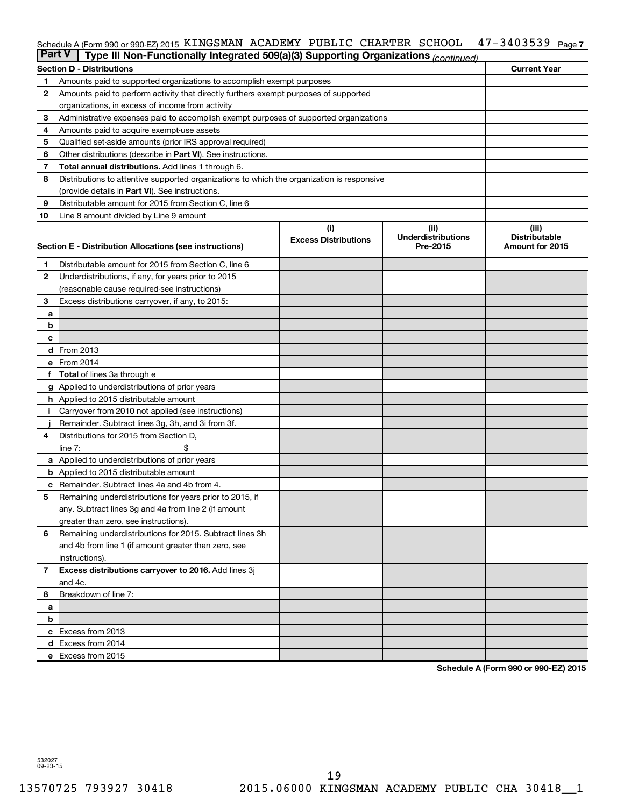#### 47-3403539 Page 7 Schedule A (Form 990 or 990-EZ) 2015 KINGSMAN ACADEMY PUBLIC CHARTER SCHOOL 47-3403539 Page

|              | <b>Part V</b><br>Type III Non-Functionally Integrated 509(a)(3) Supporting Organizations (continued) |                             |                                       |                                         |  |  |  |  |  |
|--------------|------------------------------------------------------------------------------------------------------|-----------------------------|---------------------------------------|-----------------------------------------|--|--|--|--|--|
|              | <b>Current Year</b><br><b>Section D - Distributions</b>                                              |                             |                                       |                                         |  |  |  |  |  |
| 1            | Amounts paid to supported organizations to accomplish exempt purposes                                |                             |                                       |                                         |  |  |  |  |  |
| 2            | Amounts paid to perform activity that directly furthers exempt purposes of supported                 |                             |                                       |                                         |  |  |  |  |  |
|              | organizations, in excess of income from activity                                                     |                             |                                       |                                         |  |  |  |  |  |
| 3            | Administrative expenses paid to accomplish exempt purposes of supported organizations                |                             |                                       |                                         |  |  |  |  |  |
| 4            | Amounts paid to acquire exempt-use assets                                                            |                             |                                       |                                         |  |  |  |  |  |
| 5            | Qualified set-aside amounts (prior IRS approval required)                                            |                             |                                       |                                         |  |  |  |  |  |
| 6            | Other distributions (describe in Part VI). See instructions.                                         |                             |                                       |                                         |  |  |  |  |  |
| 7            | <b>Total annual distributions.</b> Add lines 1 through 6.                                            |                             |                                       |                                         |  |  |  |  |  |
| 8            | Distributions to attentive supported organizations to which the organization is responsive           |                             |                                       |                                         |  |  |  |  |  |
|              | (provide details in Part VI). See instructions.                                                      |                             |                                       |                                         |  |  |  |  |  |
| 9            | Distributable amount for 2015 from Section C, line 6                                                 |                             |                                       |                                         |  |  |  |  |  |
| 10           | Line 8 amount divided by Line 9 amount                                                               |                             |                                       |                                         |  |  |  |  |  |
|              |                                                                                                      | (i)                         | (ii)                                  | (iii)                                   |  |  |  |  |  |
|              | Section E - Distribution Allocations (see instructions)                                              | <b>Excess Distributions</b> | <b>Underdistributions</b><br>Pre-2015 | <b>Distributable</b><br>Amount for 2015 |  |  |  |  |  |
|              |                                                                                                      |                             |                                       |                                         |  |  |  |  |  |
| 1            | Distributable amount for 2015 from Section C, line 6                                                 |                             |                                       |                                         |  |  |  |  |  |
| $\mathbf{2}$ | Underdistributions, if any, for years prior to 2015                                                  |                             |                                       |                                         |  |  |  |  |  |
|              | (reasonable cause required-see instructions)                                                         |                             |                                       |                                         |  |  |  |  |  |
| 3            | Excess distributions carryover, if any, to 2015:                                                     |                             |                                       |                                         |  |  |  |  |  |
| а            |                                                                                                      |                             |                                       |                                         |  |  |  |  |  |
| b            |                                                                                                      |                             |                                       |                                         |  |  |  |  |  |
| с            |                                                                                                      |                             |                                       |                                         |  |  |  |  |  |
|              | d From 2013                                                                                          |                             |                                       |                                         |  |  |  |  |  |
|              | e From 2014                                                                                          |                             |                                       |                                         |  |  |  |  |  |
| f            | <b>Total</b> of lines 3a through e                                                                   |                             |                                       |                                         |  |  |  |  |  |
|              | <b>g</b> Applied to underdistributions of prior years                                                |                             |                                       |                                         |  |  |  |  |  |
|              | <b>h</b> Applied to 2015 distributable amount                                                        |                             |                                       |                                         |  |  |  |  |  |
|              | Carryover from 2010 not applied (see instructions)                                                   |                             |                                       |                                         |  |  |  |  |  |
|              | Remainder. Subtract lines 3g, 3h, and 3i from 3f.                                                    |                             |                                       |                                         |  |  |  |  |  |
| 4            | Distributions for 2015 from Section D,                                                               |                             |                                       |                                         |  |  |  |  |  |
|              | $line 7$ :                                                                                           |                             |                                       |                                         |  |  |  |  |  |
|              | a Applied to underdistributions of prior years                                                       |                             |                                       |                                         |  |  |  |  |  |
|              | <b>b</b> Applied to 2015 distributable amount                                                        |                             |                                       |                                         |  |  |  |  |  |
| с            | Remainder. Subtract lines 4a and 4b from 4.                                                          |                             |                                       |                                         |  |  |  |  |  |
| 5            | Remaining underdistributions for years prior to 2015, if                                             |                             |                                       |                                         |  |  |  |  |  |
|              | any. Subtract lines 3g and 4a from line 2 (if amount                                                 |                             |                                       |                                         |  |  |  |  |  |
|              | greater than zero, see instructions).                                                                |                             |                                       |                                         |  |  |  |  |  |
| 6            | Remaining underdistributions for 2015. Subtract lines 3h                                             |                             |                                       |                                         |  |  |  |  |  |
|              | and 4b from line 1 (if amount greater than zero, see                                                 |                             |                                       |                                         |  |  |  |  |  |
|              | instructions).                                                                                       |                             |                                       |                                         |  |  |  |  |  |
| $\mathbf{7}$ | Excess distributions carryover to 2016. Add lines 3j                                                 |                             |                                       |                                         |  |  |  |  |  |
|              | and 4c.                                                                                              |                             |                                       |                                         |  |  |  |  |  |
| 8            | Breakdown of line 7:                                                                                 |                             |                                       |                                         |  |  |  |  |  |
| a<br>b       |                                                                                                      |                             |                                       |                                         |  |  |  |  |  |
|              | c Excess from 2013                                                                                   |                             |                                       |                                         |  |  |  |  |  |
|              | d Excess from 2014                                                                                   |                             |                                       |                                         |  |  |  |  |  |
|              | e Excess from 2015                                                                                   |                             |                                       |                                         |  |  |  |  |  |
|              |                                                                                                      |                             |                                       |                                         |  |  |  |  |  |

**Schedule A (Form 990 or 990-EZ) 2015**

532027 09-23-15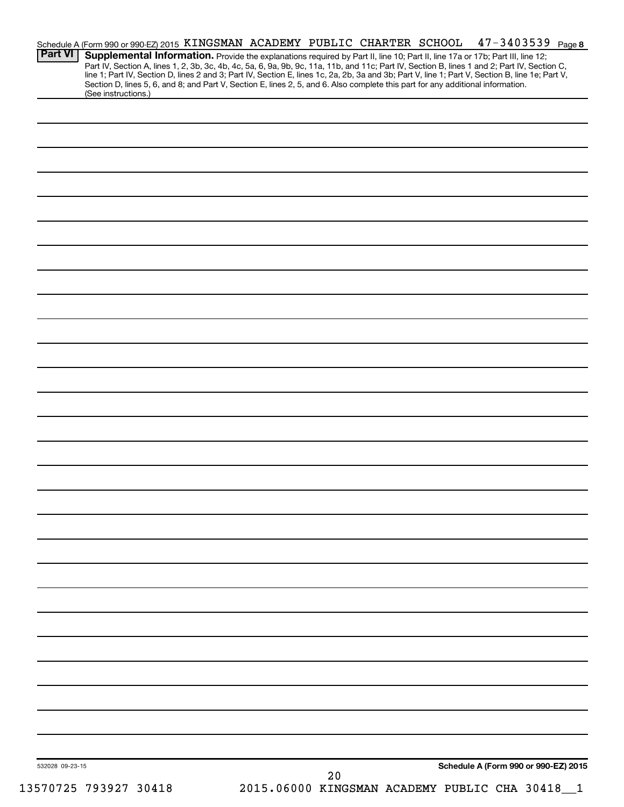|                 | Schedule A (Form 990 or 990-EZ) 2015 KINGSMAN ACADEMY PUBLIC CHARTER SCHOOL                                                                            |  |    |  | $47 - 3403539$ Page 8                                                                                                                                                                                                                                                         |  |
|-----------------|--------------------------------------------------------------------------------------------------------------------------------------------------------|--|----|--|-------------------------------------------------------------------------------------------------------------------------------------------------------------------------------------------------------------------------------------------------------------------------------|--|
| <b>Part VI</b>  |                                                                                                                                                        |  |    |  | Supplemental Information. Provide the explanations required by Part II, line 10; Part II, line 17a or 17b; Part III, line 12;<br>Part IV, Section A, lines 1, 2, 3b, 3c, 4b, 4c, 5a, 6, 9a, 9b, 9c, 11a, 11b, and 11c; Part IV, Section B, lines 1 and 2; Part IV, Section C, |  |
|                 |                                                                                                                                                        |  |    |  | line 1; Part IV, Section D, lines 2 and 3; Part IV, Section E, lines 1c, 2a, 2b, 3a and 3b; Part V, line 1; Part V, Section B, line 1e; Part V,                                                                                                                               |  |
|                 | Section D, lines 5, 6, and 8; and Part V, Section E, lines 2, 5, and 6. Also complete this part for any additional information.<br>(See instructions.) |  |    |  |                                                                                                                                                                                                                                                                               |  |
|                 |                                                                                                                                                        |  |    |  |                                                                                                                                                                                                                                                                               |  |
|                 |                                                                                                                                                        |  |    |  |                                                                                                                                                                                                                                                                               |  |
|                 |                                                                                                                                                        |  |    |  |                                                                                                                                                                                                                                                                               |  |
|                 |                                                                                                                                                        |  |    |  |                                                                                                                                                                                                                                                                               |  |
|                 |                                                                                                                                                        |  |    |  |                                                                                                                                                                                                                                                                               |  |
|                 |                                                                                                                                                        |  |    |  |                                                                                                                                                                                                                                                                               |  |
|                 |                                                                                                                                                        |  |    |  |                                                                                                                                                                                                                                                                               |  |
|                 |                                                                                                                                                        |  |    |  |                                                                                                                                                                                                                                                                               |  |
|                 |                                                                                                                                                        |  |    |  |                                                                                                                                                                                                                                                                               |  |
|                 |                                                                                                                                                        |  |    |  |                                                                                                                                                                                                                                                                               |  |
|                 |                                                                                                                                                        |  |    |  |                                                                                                                                                                                                                                                                               |  |
|                 |                                                                                                                                                        |  |    |  |                                                                                                                                                                                                                                                                               |  |
|                 |                                                                                                                                                        |  |    |  |                                                                                                                                                                                                                                                                               |  |
|                 |                                                                                                                                                        |  |    |  |                                                                                                                                                                                                                                                                               |  |
|                 |                                                                                                                                                        |  |    |  |                                                                                                                                                                                                                                                                               |  |
|                 |                                                                                                                                                        |  |    |  |                                                                                                                                                                                                                                                                               |  |
|                 |                                                                                                                                                        |  |    |  |                                                                                                                                                                                                                                                                               |  |
|                 |                                                                                                                                                        |  |    |  |                                                                                                                                                                                                                                                                               |  |
|                 |                                                                                                                                                        |  |    |  |                                                                                                                                                                                                                                                                               |  |
|                 |                                                                                                                                                        |  |    |  |                                                                                                                                                                                                                                                                               |  |
|                 |                                                                                                                                                        |  |    |  |                                                                                                                                                                                                                                                                               |  |
|                 |                                                                                                                                                        |  |    |  |                                                                                                                                                                                                                                                                               |  |
|                 |                                                                                                                                                        |  |    |  |                                                                                                                                                                                                                                                                               |  |
|                 |                                                                                                                                                        |  |    |  |                                                                                                                                                                                                                                                                               |  |
|                 |                                                                                                                                                        |  |    |  |                                                                                                                                                                                                                                                                               |  |
|                 |                                                                                                                                                        |  |    |  |                                                                                                                                                                                                                                                                               |  |
|                 |                                                                                                                                                        |  |    |  |                                                                                                                                                                                                                                                                               |  |
|                 |                                                                                                                                                        |  |    |  |                                                                                                                                                                                                                                                                               |  |
|                 |                                                                                                                                                        |  |    |  |                                                                                                                                                                                                                                                                               |  |
|                 |                                                                                                                                                        |  |    |  |                                                                                                                                                                                                                                                                               |  |
|                 |                                                                                                                                                        |  |    |  |                                                                                                                                                                                                                                                                               |  |
|                 |                                                                                                                                                        |  |    |  |                                                                                                                                                                                                                                                                               |  |
|                 |                                                                                                                                                        |  |    |  |                                                                                                                                                                                                                                                                               |  |
|                 |                                                                                                                                                        |  |    |  |                                                                                                                                                                                                                                                                               |  |
|                 |                                                                                                                                                        |  |    |  |                                                                                                                                                                                                                                                                               |  |
|                 |                                                                                                                                                        |  |    |  |                                                                                                                                                                                                                                                                               |  |
|                 |                                                                                                                                                        |  |    |  |                                                                                                                                                                                                                                                                               |  |
|                 |                                                                                                                                                        |  |    |  |                                                                                                                                                                                                                                                                               |  |
|                 |                                                                                                                                                        |  |    |  |                                                                                                                                                                                                                                                                               |  |
|                 |                                                                                                                                                        |  |    |  |                                                                                                                                                                                                                                                                               |  |
|                 |                                                                                                                                                        |  |    |  |                                                                                                                                                                                                                                                                               |  |
|                 |                                                                                                                                                        |  |    |  |                                                                                                                                                                                                                                                                               |  |
| 532028 09-23-15 |                                                                                                                                                        |  |    |  | Schedule A (Form 990 or 990-EZ) 2015                                                                                                                                                                                                                                          |  |
|                 | ETATOE TOQOOT QA110                                                                                                                                    |  | 20 |  | 2015 06000 VINCOMAN ACADEMY DUBLIC CUA 20119                                                                                                                                                                                                                                  |  |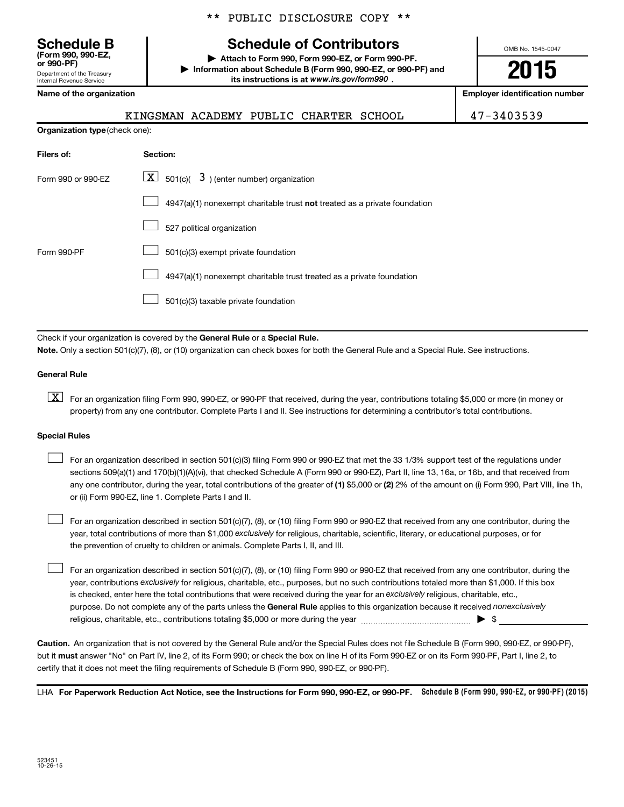Department of the Treasury Internal Revenue Service **(Form 990, 990-EZ,**

**Organization type** (check one):

|  |  | ** PUBLIC DISCLOSURE COPY ** |  |  |
|--|--|------------------------------|--|--|
|--|--|------------------------------|--|--|

# **Schedule B Schedule of Contributors**

**or 990-PF) | Attach to Form 990, Form 990-EZ, or Form 990-PF. | Information about Schedule B (Form 990, 990-EZ, or 990-PF) and** its instructions is at www.irs.gov/form990.

OMB No. 1545-0047

**2015**

**Name of the organization Employer identification number**

|--|

47-3403539

| Filers of:         | <b>Section:</b>                                                           |
|--------------------|---------------------------------------------------------------------------|
| Form 990 or 990-EZ | $\underline{\mathbf{X}}$ 501(c)( $3$ ) (enter number) organization        |
|                    | 4947(a)(1) nonexempt charitable trust not treated as a private foundation |
|                    | 527 political organization                                                |
| Form 990-PF        | 501(c)(3) exempt private foundation                                       |
|                    | 4947(a)(1) nonexempt charitable trust treated as a private foundation     |
|                    | 501(c)(3) taxable private foundation                                      |
|                    |                                                                           |

Check if your organization is covered by the General Rule or a Special Rule.

**Note.**  Only a section 501(c)(7), (8), or (10) organization can check boxes for both the General Rule and a Special Rule. See instructions.

#### **General Rule**

**K** For an organization filing Form 990, 990-EZ, or 990-PF that received, during the year, contributions totaling \$5,000 or more (in money or property) from any one contributor. Complete Parts I and II. See instructions for determining a contributor's total contributions.

#### **Special Rules**

 $\Box$ 

any one contributor, during the year, total contributions of the greater of **(1)** \$5,000 or **(2)** 2% of the amount on (i) Form 990, Part VIII, line 1h, For an organization described in section 501(c)(3) filing Form 990 or 990-EZ that met the 33 1/3% support test of the regulations under sections 509(a)(1) and 170(b)(1)(A)(vi), that checked Schedule A (Form 990 or 990-EZ), Part II, line 13, 16a, or 16b, and that received from or (ii) Form 990-EZ, line 1. Complete Parts I and II.  $\Box$ 

year, total contributions of more than \$1,000 *exclusively* for religious, charitable, scientific, literary, or educational purposes, or for For an organization described in section 501(c)(7), (8), or (10) filing Form 990 or 990-EZ that received from any one contributor, during the the prevention of cruelty to children or animals. Complete Parts I, II, and III.  $\Box$ 

purpose. Do not complete any of the parts unless the General Rule applies to this organization because it received nonexclusively year, contributions exclusively for religious, charitable, etc., purposes, but no such contributions totaled more than \$1,000. If this box is checked, enter here the total contributions that were received during the year for an exclusively religious, charitable, etc., For an organization described in section 501(c)(7), (8), or (10) filing Form 990 or 990-EZ that received from any one contributor, during the religious, charitable, etc., contributions totaling \$5,000 or more during the year  $\ldots$  $\ldots$  $\ldots$  $\ldots$  $\ldots$  $\ldots$ 

**Caution.** An organization that is not covered by the General Rule and/or the Special Rules does not file Schedule B (Form 990, 990-EZ, or 990-PF),  **must** but it answer "No" on Part IV, line 2, of its Form 990; or check the box on line H of its Form 990-EZ or on its Form 990-PF, Part I, line 2, to certify that it does not meet the filing requirements of Schedule B (Form 990, 990-EZ, or 990-PF).

LHA For Paperwork Reduction Act Notice, see the Instructions for Form 990, 990-EZ, or 990-PF. Schedule B (Form 990, 990-EZ, or 990-PF) (2015)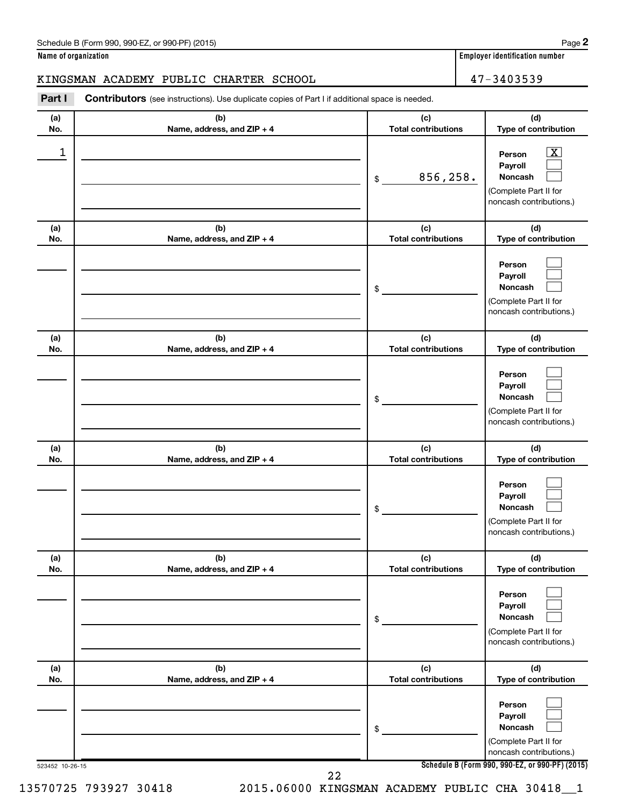**Name of organization Employer identification number (a) No. (b) Name, address, and ZIP + 4 (c) Total contributions (d) Type of contribution Person Payroll Noncash (a) No. (b) Name, address, and ZIP + 4 (c) Total contributions (d) Type of contribution Person Payroll Noncash (a) No. (b) Name, address, and ZIP + 4 (c) Total contributions (d) Type of contribution Person Payroll Noncash (a) No. (b) Name, address, and ZIP + 4 (c) Total contributions (d) Type of contribution Person Payroll Noncash (a) No. (b) Name, address, and ZIP + 4 (c) Total contributions (d) Type of contribution Person Payroll Noncash (a) No. (b) Name, address, and ZIP + 4 (c) Total contributions (d) Type of contribution Part I** Contributors (see instructions). Use duplicate copies of Part I if additional space is needed. \$ (Complete Part II for noncash contributions.) \$ (Complete Part II for noncash contributions.) \$ (Complete Part II for noncash contributions.) \$ (Complete Part II for noncash contributions.) \$ (Complete Part II for noncash contributions.) KINGSMAN ACADEMY PUBLIC CHARTER SCHOOL 47-3403539  $\begin{array}{|c|c|c|c|c|}\hline \ \text{1} & \text{Person} & \text{X} \ \hline \end{array}$ 856,258.

> **Person Payroll Noncash** (Complete Part II for  $\Box$  $\Box$  $\Box$

> > noncash contributions.)

523452 10-26-15

**Schedule B (Form 990, 990-EZ, or 990-PF) (2015)**

 $\lfloor x \rfloor$  $\Box$  $\Box$ 

 $\Box$  $\Box$  $\Box$ 

 $\Box$  $\Box$  $\Box$ 

 $\Box$  $\Box$  $\Box$ 

 $\Box$  $\Box$  $\Box$ 

22

\$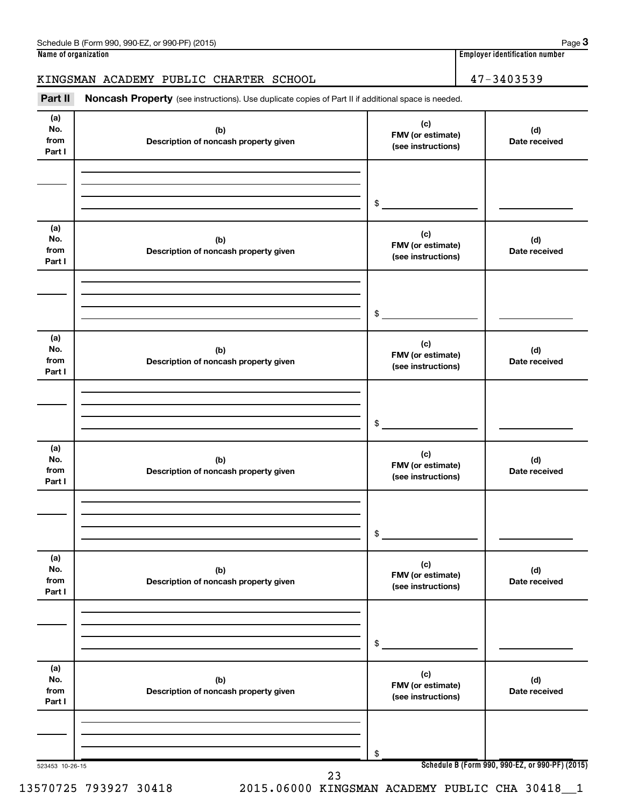### KINGSMAN ACADEMY PUBLIC CHARTER SCHOOL 47-3403539

Part II Noncash Property (see instructions). Use duplicate copies of Part II if additional space is needed.

| (a)<br>No.<br>from<br>Part I | (b)<br>Description of noncash property given | (c)<br>FMV (or estimate)<br>(see instructions) | (d)<br>Date received                            |
|------------------------------|----------------------------------------------|------------------------------------------------|-------------------------------------------------|
|                              |                                              | $\frac{1}{2}$                                  |                                                 |
| (a)<br>No.<br>from<br>Part I | (b)<br>Description of noncash property given | (c)<br>FMV (or estimate)<br>(see instructions) | (d)<br>Date received                            |
|                              |                                              | $\frac{1}{2}$                                  |                                                 |
| (a)<br>No.<br>from<br>Part I | (b)<br>Description of noncash property given | (c)<br>FMV (or estimate)<br>(see instructions) | (d)<br>Date received                            |
|                              |                                              | $\frac{1}{2}$                                  |                                                 |
| (a)<br>No.<br>from<br>Part I | (b)<br>Description of noncash property given | (c)<br>FMV (or estimate)<br>(see instructions) | (d)<br>Date received                            |
|                              |                                              | $\frac{1}{2}$                                  |                                                 |
| (a)<br>No.<br>from<br>Part I | (b)<br>Description of noncash property given | (c)<br>FMV (or estimate)<br>(see instructions) | (d)<br>Date received                            |
|                              |                                              | \$                                             |                                                 |
| (a)<br>No.<br>from<br>Part I | (b)<br>Description of noncash property given | (c)<br>FMV (or estimate)<br>(see instructions) | (d)<br>Date received                            |
|                              |                                              | \$                                             |                                                 |
| 523453 10-26-15              | າາ                                           |                                                | Schedule B (Form 990, 990-EZ, or 990-PF) (2015) |

23

13570725 793927 30418 2015.06000 KINGSMAN ACADEMY PUBLIC CHA 30418\_\_1

**3**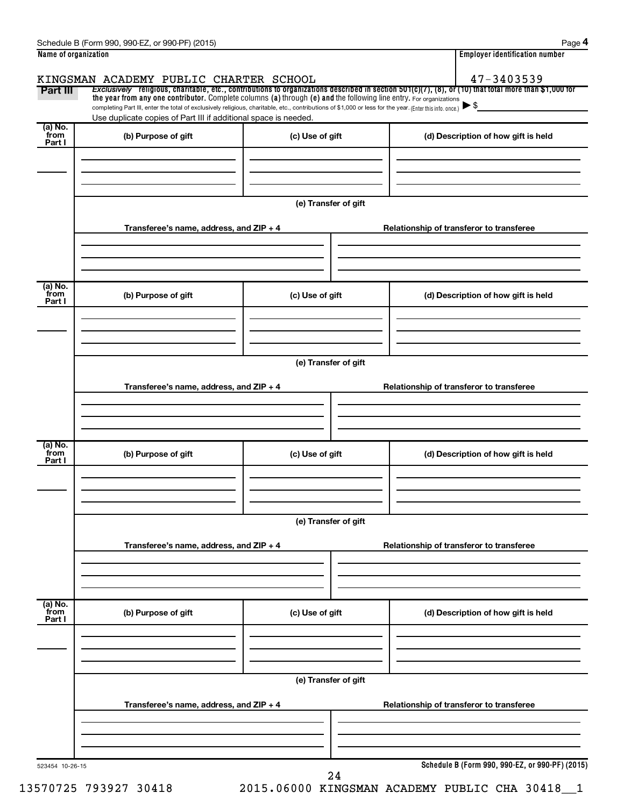|                           | Schedule B (Form 990, 990-EZ, or 990-PF) (2015)                                                                                                                                                                             |                                       | Page 4                                                                                                                                                                 |  |  |  |
|---------------------------|-----------------------------------------------------------------------------------------------------------------------------------------------------------------------------------------------------------------------------|---------------------------------------|------------------------------------------------------------------------------------------------------------------------------------------------------------------------|--|--|--|
| Name of organization      |                                                                                                                                                                                                                             | <b>Employer identification number</b> |                                                                                                                                                                        |  |  |  |
|                           | KINGSMAN ACADEMY PUBLIC CHARTER SCHOOL                                                                                                                                                                                      |                                       | 47-3403539<br>Exclusively religious, charitable, etc., contributions to organizations described in section $501(c)(7)$ , (8), or (10) that total more than \$1,000 for |  |  |  |
| Part III                  | the year from any one contributor. Complete columns (a) through (e) and the following line entry. For organizations                                                                                                         |                                       | $\blacktriangleright$ \$                                                                                                                                               |  |  |  |
|                           | completing Part III, enter the total of exclusively religious, charitable, etc., contributions of \$1,000 or less for the year. (Enter this info. once.)<br>Use duplicate copies of Part III if additional space is needed. |                                       |                                                                                                                                                                        |  |  |  |
| (a) No.<br>from<br>Part I | (b) Purpose of gift                                                                                                                                                                                                         | (c) Use of gift                       | (d) Description of how gift is held                                                                                                                                    |  |  |  |
|                           |                                                                                                                                                                                                                             |                                       |                                                                                                                                                                        |  |  |  |
|                           |                                                                                                                                                                                                                             | (e) Transfer of gift                  |                                                                                                                                                                        |  |  |  |
|                           | Transferee's name, address, and ZIP + 4                                                                                                                                                                                     |                                       | Relationship of transferor to transferee                                                                                                                               |  |  |  |
|                           |                                                                                                                                                                                                                             |                                       |                                                                                                                                                                        |  |  |  |
| (a) No.<br>from<br>Part I | (b) Purpose of gift                                                                                                                                                                                                         | (c) Use of gift                       | (d) Description of how gift is held                                                                                                                                    |  |  |  |
|                           |                                                                                                                                                                                                                             |                                       |                                                                                                                                                                        |  |  |  |
|                           |                                                                                                                                                                                                                             | (e) Transfer of gift                  |                                                                                                                                                                        |  |  |  |
|                           | Transferee's name, address, and ZIP + 4                                                                                                                                                                                     |                                       | Relationship of transferor to transferee                                                                                                                               |  |  |  |
|                           |                                                                                                                                                                                                                             |                                       |                                                                                                                                                                        |  |  |  |
| (a) No.<br>from<br>Part I | (b) Purpose of gift                                                                                                                                                                                                         | (c) Use of gift                       | (d) Description of how gift is held                                                                                                                                    |  |  |  |
|                           |                                                                                                                                                                                                                             |                                       |                                                                                                                                                                        |  |  |  |
|                           |                                                                                                                                                                                                                             | (e) Transfer of gift                  |                                                                                                                                                                        |  |  |  |
|                           | Transferee's name, address, and ZIP + 4                                                                                                                                                                                     |                                       | Relationship of transferor to transferee                                                                                                                               |  |  |  |
|                           |                                                                                                                                                                                                                             |                                       |                                                                                                                                                                        |  |  |  |
| (a) No.<br>from<br>Part I | (b) Purpose of gift                                                                                                                                                                                                         | (c) Use of gift                       | (d) Description of how gift is held                                                                                                                                    |  |  |  |
|                           |                                                                                                                                                                                                                             |                                       |                                                                                                                                                                        |  |  |  |
|                           | (e) Transfer of gift                                                                                                                                                                                                        |                                       |                                                                                                                                                                        |  |  |  |
|                           | Transferee's name, address, and ZIP + 4                                                                                                                                                                                     |                                       | Relationship of transferor to transferee                                                                                                                               |  |  |  |
|                           |                                                                                                                                                                                                                             |                                       |                                                                                                                                                                        |  |  |  |
| 523454 10-26-15           |                                                                                                                                                                                                                             | 24                                    | Schedule B (Form 990, 990-EZ, or 990-PF) (2015)                                                                                                                        |  |  |  |

13570725 793927 30418 2015.06000 KINGSMAN ACADEMY PUBLIC CHA 30418\_\_1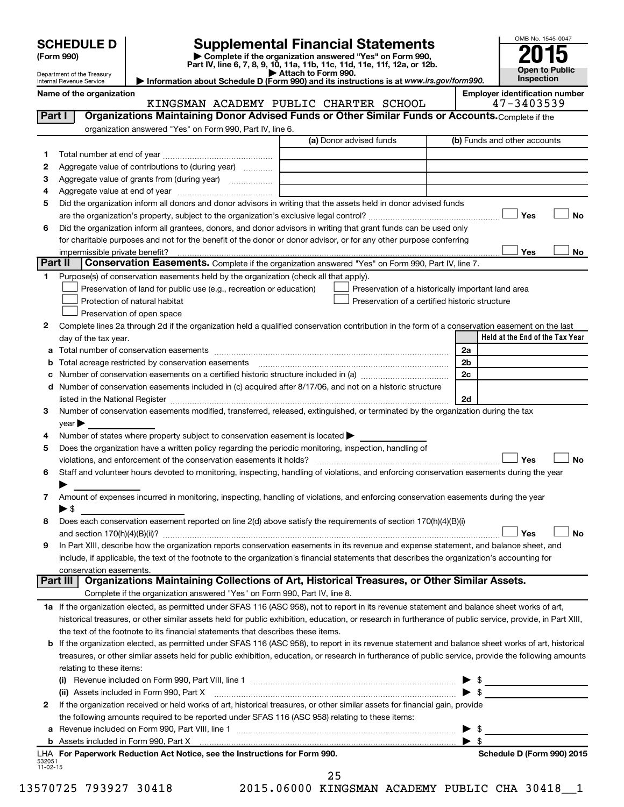| <b>SCHEDULE D</b> |  |
|-------------------|--|
|-------------------|--|

| (Form 990) |  |
|------------|--|
|------------|--|

# **SCHEDULE D Supplemental Financial Statements**<br> **Form 990 2015**<br> **Part IV** line 6.7.8.9.10, 11a, 11b, 11d, 11d, 11d, 11d, 11d, 12a, 0r, 12b

**(Form 990) | Complete if the organization answered "Yes" on Form 990, Part IV, line 6, 7, 8, 9, 10, 11a, 11b, 11c, 11d, 11e, 11f, 12a, or 12b.**

**| Attach to Form 990. | Information about Schedule D (Form 990) and its instructions is at**  *www.irs.gov/form990.*



Department of the Treasury Internal Revenue Service

|         | Name of the organization<br>KINGSMAN ACADEMY PUBLIC CHARTER SCHOOL                                                                                                                                                                      | <b>Employer identification number</b><br>47-3403539 |
|---------|-----------------------------------------------------------------------------------------------------------------------------------------------------------------------------------------------------------------------------------------|-----------------------------------------------------|
| Part I  | Organizations Maintaining Donor Advised Funds or Other Similar Funds or Accounts. Complete if the                                                                                                                                       |                                                     |
|         | organization answered "Yes" on Form 990, Part IV, line 6.                                                                                                                                                                               |                                                     |
|         | (a) Donor advised funds                                                                                                                                                                                                                 | (b) Funds and other accounts                        |
| 1.      |                                                                                                                                                                                                                                         |                                                     |
| 2       | Aggregate value of contributions to (during year)                                                                                                                                                                                       |                                                     |
|         | Aggregate value of grants from (during year)                                                                                                                                                                                            |                                                     |
| З       |                                                                                                                                                                                                                                         |                                                     |
| 4       | Did the organization inform all donors and donor advisors in writing that the assets held in donor advised funds                                                                                                                        |                                                     |
| 5       |                                                                                                                                                                                                                                         | Yes<br><b>No</b>                                    |
|         |                                                                                                                                                                                                                                         |                                                     |
| 6       | Did the organization inform all grantees, donors, and donor advisors in writing that grant funds can be used only<br>for charitable purposes and not for the benefit of the donor or donor advisor, or for any other purpose conferring |                                                     |
|         |                                                                                                                                                                                                                                         | Yes<br>No                                           |
| Part II | impermissible private benefit?<br><b>Conservation Easements.</b> Complete if the organization answered "Yes" on Form 990, Part IV, line 7.                                                                                              |                                                     |
| 1.      | Purpose(s) of conservation easements held by the organization (check all that apply).                                                                                                                                                   |                                                     |
|         | Preservation of land for public use (e.g., recreation or education)                                                                                                                                                                     |                                                     |
|         | Preservation of a historically important land area<br>Protection of natural habitat<br>Preservation of a certified historic structure                                                                                                   |                                                     |
|         | Preservation of open space                                                                                                                                                                                                              |                                                     |
|         |                                                                                                                                                                                                                                         |                                                     |
| 2       | Complete lines 2a through 2d if the organization held a qualified conservation contribution in the form of a conservation easement on the last                                                                                          | Held at the End of the Tax Year                     |
|         | day of the tax year.                                                                                                                                                                                                                    | 2a                                                  |
| a       |                                                                                                                                                                                                                                         | 2 <sub>b</sub>                                      |
| b       |                                                                                                                                                                                                                                         | 2c                                                  |
| с       | Number of conservation easements included in (c) acquired after 8/17/06, and not on a historic structure                                                                                                                                |                                                     |
| d       |                                                                                                                                                                                                                                         | 2d                                                  |
| 3       | Number of conservation easements modified, transferred, released, extinguished, or terminated by the organization during the tax                                                                                                        |                                                     |
|         | year $\blacktriangleright$                                                                                                                                                                                                              |                                                     |
| 4       | Number of states where property subject to conservation easement is located $\blacktriangleright$                                                                                                                                       |                                                     |
| 5       | Does the organization have a written policy regarding the periodic monitoring, inspection, handling of                                                                                                                                  |                                                     |
|         | violations, and enforcement of the conservation easements it holds?                                                                                                                                                                     | Yes<br><b>No</b>                                    |
| 6       | Staff and volunteer hours devoted to monitoring, inspecting, handling of violations, and enforcing conservation easements during the year                                                                                               |                                                     |
|         |                                                                                                                                                                                                                                         |                                                     |
| 7       | Amount of expenses incurred in monitoring, inspecting, handling of violations, and enforcing conservation easements during the year                                                                                                     |                                                     |
|         | $\blacktriangleright$ \$                                                                                                                                                                                                                |                                                     |
| 8       | Does each conservation easement reported on line $2(d)$ above satisfy the requirements of section $170(h)(4)(B)(i)$                                                                                                                     |                                                     |
|         |                                                                                                                                                                                                                                         | Yes<br>No                                           |
| 9       | In Part XIII, describe how the organization reports conservation easements in its revenue and expense statement, and balance sheet, and                                                                                                 |                                                     |
|         | include, if applicable, the text of the footnote to the organization's financial statements that describes the organization's accounting for                                                                                            |                                                     |
|         | conservation easements.                                                                                                                                                                                                                 |                                                     |
|         | Part III   Organizations Maintaining Collections of Art, Historical Treasures, or Other Similar Assets.                                                                                                                                 |                                                     |
|         | Complete if the organization answered "Yes" on Form 990, Part IV, line 8.                                                                                                                                                               |                                                     |
|         | 1a If the organization elected, as permitted under SFAS 116 (ASC 958), not to report in its revenue statement and balance sheet works of art,                                                                                           |                                                     |
|         | historical treasures, or other similar assets held for public exhibition, education, or research in furtherance of public service, provide, in Part XIII,                                                                               |                                                     |
|         | the text of the footnote to its financial statements that describes these items.                                                                                                                                                        |                                                     |
|         | <b>b</b> If the organization elected, as permitted under SFAS 116 (ASC 958), to report in its revenue statement and balance sheet works of art, historical                                                                              |                                                     |
|         | treasures, or other similar assets held for public exhibition, education, or research in furtherance of public service, provide the following amounts                                                                                   |                                                     |
|         | relating to these items:                                                                                                                                                                                                                |                                                     |
|         |                                                                                                                                                                                                                                         |                                                     |
|         | (ii) Assets included in Form 990, Part X [11] [2000] [2010] Assets included in Form 990, Part X [11] [11] [11]                                                                                                                          | $\blacktriangleright$ \$                            |
| 2       | If the organization received or held works of art, historical treasures, or other similar assets for financial gain, provide                                                                                                            |                                                     |
|         | the following amounts required to be reported under SFAS 116 (ASC 958) relating to these items:                                                                                                                                         |                                                     |
| а       |                                                                                                                                                                                                                                         | $\blacktriangleright$ \$                            |
|         |                                                                                                                                                                                                                                         | $\blacktriangleright$ \$                            |
|         | LHA For Paperwork Reduction Act Notice, see the Instructions for Form 990.                                                                                                                                                              | Schedule D (Form 990) 2015                          |
|         |                                                                                                                                                                                                                                         |                                                     |

25

532051 11-02-15

13570725 793927 30418 2015.06000 KINGSMAN ACADEMY PUBLIC CHA 30418\_\_1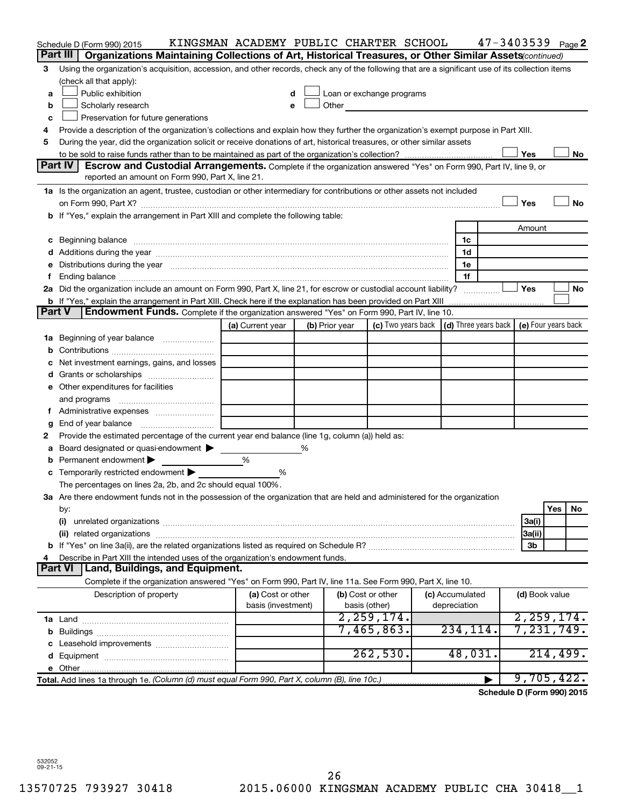| Part III<br>Organizations Maintaining Collections of Art, Historical Treasures, or Other Similar Assets (continued)<br>Using the organization's acquisition, accession, and other records, check any of the following that are a significant use of its collection items<br>3<br>(check all that apply):<br>Public exhibition<br>Loan or exchange programs<br>d<br>a<br>Scholarly research<br>Other <u>and the series of the series of the series</u><br>b<br>e<br>Preservation for future generations<br>c<br>Provide a description of the organization's collections and explain how they further the organization's exempt purpose in Part XIII.<br>4<br>During the year, did the organization solicit or receive donations of art, historical treasures, or other similar assets<br>5<br>Yes<br>No<br>Part IV<br>Escrow and Custodial Arrangements. Complete if the organization answered "Yes" on Form 990, Part IV, line 9, or<br>reported an amount on Form 990, Part X, line 21.<br>1a Is the organization an agent, trustee, custodian or other intermediary for contributions or other assets not included<br>Yes<br>No<br>b If "Yes," explain the arrangement in Part XIII and complete the following table:<br>Amount<br>c Beginning balance measurements and the contract of Beginning balance measurements are all the contract of the contract of the contract of the contract of the contract of the contract of the contract of the contract of th<br>1c<br>1d<br>e Distributions during the year manufactured and continuum and contact the year manufactured and contact the year manufactured and contact the year manufactured and contact the year manufactured and contact the year manufa<br>1e<br>1f<br>Yes<br>2a Did the organization include an amount on Form 990, Part X, line 21, for escrow or custodial account liability?<br>No<br><b>b</b> If "Yes," explain the arrangement in Part XIII. Check here if the explanation has been provided on Part XIII<br><b>Part V</b><br><b>Endowment Funds.</b> Complete if the organization answered "Yes" on Form 990, Part IV, line 10.<br>(c) Two years back   (d) Three years back   (e) Four years back<br>(a) Current year<br>(b) Prior year<br>Beginning of year balance<br>1а<br>b<br>Net investment earnings, gains, and losses<br>e Other expenditures for facilities<br>and programs<br>Ť.<br>End of year balance<br>g<br>Provide the estimated percentage of the current year end balance (line 1g, column (a)) held as:<br>2<br>Board designated or quasi-endowment<br>℅<br>а<br>Permanent endowment<br>%<br>b<br>c Temporarily restricted endowment $\blacktriangleright$<br>%<br>The percentages on lines 2a, 2b, and 2c should equal 100%.<br>3a Are there endowment funds not in the possession of the organization that are held and administered for the organization<br>Yes<br>No<br>by:<br>(i)<br>3a(i)<br> 3a(ii)<br>3b<br>Describe in Part XIII the intended uses of the organization's endowment funds.<br>4<br>Land, Buildings, and Equipment.<br>Part VI<br>Complete if the organization answered "Yes" on Form 990, Part IV, line 11a. See Form 990, Part X, line 10.<br>(b) Cost or other<br>(c) Accumulated<br>Description of property<br>(a) Cost or other<br>(d) Book value<br>basis (investment)<br>basis (other)<br>depreciation<br>2, 259, 174.<br>2, 259, 174.<br>7,231,749.<br>7,465,863.<br>234,114.<br>262,530.<br>48,031.<br>214,499.<br>9,705,422.<br>Total. Add lines 1a through 1e. (Column (d) must equal Form 990, Part X, column (B), line 10c.) | Schedule D (Form 990) 2015 | KINGSMAN ACADEMY PUBLIC CHARTER SCHOOL |  |  | $47 - 3403539$ Page 2 |  |  |
|----------------------------------------------------------------------------------------------------------------------------------------------------------------------------------------------------------------------------------------------------------------------------------------------------------------------------------------------------------------------------------------------------------------------------------------------------------------------------------------------------------------------------------------------------------------------------------------------------------------------------------------------------------------------------------------------------------------------------------------------------------------------------------------------------------------------------------------------------------------------------------------------------------------------------------------------------------------------------------------------------------------------------------------------------------------------------------------------------------------------------------------------------------------------------------------------------------------------------------------------------------------------------------------------------------------------------------------------------------------------------------------------------------------------------------------------------------------------------------------------------------------------------------------------------------------------------------------------------------------------------------------------------------------------------------------------------------------------------------------------------------------------------------------------------------------------------------------------------------------------------------------------------------------------------------------------------------------------------------------------------------------------------------------------------------------------------------------------------------------------------------------------------------------------------------------------------------------------------------------------------------------------------------------------------------------------------------------------------------------------------------------------------------------------------------------------------------------------------------------------------------------------------------------------------------------------------------------------------------------------------------------------------------------------------------------------------------------------------------------------------------------------------------------------------------------------------------------------------------------------------------------------------------------------------------------------------------------------------------------------------------------------------------------------------------------------------------------------------------------------------------------------------------------------------------------------------------------------------------------------------------------------------------------------------------------------------------------------------------------------------------------------------------------------------------------------------------------------------------------------------------------------------------------------------------------------|----------------------------|----------------------------------------|--|--|-----------------------|--|--|
|                                                                                                                                                                                                                                                                                                                                                                                                                                                                                                                                                                                                                                                                                                                                                                                                                                                                                                                                                                                                                                                                                                                                                                                                                                                                                                                                                                                                                                                                                                                                                                                                                                                                                                                                                                                                                                                                                                                                                                                                                                                                                                                                                                                                                                                                                                                                                                                                                                                                                                                                                                                                                                                                                                                                                                                                                                                                                                                                                                                                                                                                                                                                                                                                                                                                                                                                                                                                                                                                                                                                                                      |                            |                                        |  |  |                       |  |  |
|                                                                                                                                                                                                                                                                                                                                                                                                                                                                                                                                                                                                                                                                                                                                                                                                                                                                                                                                                                                                                                                                                                                                                                                                                                                                                                                                                                                                                                                                                                                                                                                                                                                                                                                                                                                                                                                                                                                                                                                                                                                                                                                                                                                                                                                                                                                                                                                                                                                                                                                                                                                                                                                                                                                                                                                                                                                                                                                                                                                                                                                                                                                                                                                                                                                                                                                                                                                                                                                                                                                                                                      |                            |                                        |  |  |                       |  |  |
|                                                                                                                                                                                                                                                                                                                                                                                                                                                                                                                                                                                                                                                                                                                                                                                                                                                                                                                                                                                                                                                                                                                                                                                                                                                                                                                                                                                                                                                                                                                                                                                                                                                                                                                                                                                                                                                                                                                                                                                                                                                                                                                                                                                                                                                                                                                                                                                                                                                                                                                                                                                                                                                                                                                                                                                                                                                                                                                                                                                                                                                                                                                                                                                                                                                                                                                                                                                                                                                                                                                                                                      |                            |                                        |  |  |                       |  |  |
|                                                                                                                                                                                                                                                                                                                                                                                                                                                                                                                                                                                                                                                                                                                                                                                                                                                                                                                                                                                                                                                                                                                                                                                                                                                                                                                                                                                                                                                                                                                                                                                                                                                                                                                                                                                                                                                                                                                                                                                                                                                                                                                                                                                                                                                                                                                                                                                                                                                                                                                                                                                                                                                                                                                                                                                                                                                                                                                                                                                                                                                                                                                                                                                                                                                                                                                                                                                                                                                                                                                                                                      |                            |                                        |  |  |                       |  |  |
|                                                                                                                                                                                                                                                                                                                                                                                                                                                                                                                                                                                                                                                                                                                                                                                                                                                                                                                                                                                                                                                                                                                                                                                                                                                                                                                                                                                                                                                                                                                                                                                                                                                                                                                                                                                                                                                                                                                                                                                                                                                                                                                                                                                                                                                                                                                                                                                                                                                                                                                                                                                                                                                                                                                                                                                                                                                                                                                                                                                                                                                                                                                                                                                                                                                                                                                                                                                                                                                                                                                                                                      |                            |                                        |  |  |                       |  |  |
|                                                                                                                                                                                                                                                                                                                                                                                                                                                                                                                                                                                                                                                                                                                                                                                                                                                                                                                                                                                                                                                                                                                                                                                                                                                                                                                                                                                                                                                                                                                                                                                                                                                                                                                                                                                                                                                                                                                                                                                                                                                                                                                                                                                                                                                                                                                                                                                                                                                                                                                                                                                                                                                                                                                                                                                                                                                                                                                                                                                                                                                                                                                                                                                                                                                                                                                                                                                                                                                                                                                                                                      |                            |                                        |  |  |                       |  |  |
|                                                                                                                                                                                                                                                                                                                                                                                                                                                                                                                                                                                                                                                                                                                                                                                                                                                                                                                                                                                                                                                                                                                                                                                                                                                                                                                                                                                                                                                                                                                                                                                                                                                                                                                                                                                                                                                                                                                                                                                                                                                                                                                                                                                                                                                                                                                                                                                                                                                                                                                                                                                                                                                                                                                                                                                                                                                                                                                                                                                                                                                                                                                                                                                                                                                                                                                                                                                                                                                                                                                                                                      |                            |                                        |  |  |                       |  |  |
|                                                                                                                                                                                                                                                                                                                                                                                                                                                                                                                                                                                                                                                                                                                                                                                                                                                                                                                                                                                                                                                                                                                                                                                                                                                                                                                                                                                                                                                                                                                                                                                                                                                                                                                                                                                                                                                                                                                                                                                                                                                                                                                                                                                                                                                                                                                                                                                                                                                                                                                                                                                                                                                                                                                                                                                                                                                                                                                                                                                                                                                                                                                                                                                                                                                                                                                                                                                                                                                                                                                                                                      |                            |                                        |  |  |                       |  |  |
|                                                                                                                                                                                                                                                                                                                                                                                                                                                                                                                                                                                                                                                                                                                                                                                                                                                                                                                                                                                                                                                                                                                                                                                                                                                                                                                                                                                                                                                                                                                                                                                                                                                                                                                                                                                                                                                                                                                                                                                                                                                                                                                                                                                                                                                                                                                                                                                                                                                                                                                                                                                                                                                                                                                                                                                                                                                                                                                                                                                                                                                                                                                                                                                                                                                                                                                                                                                                                                                                                                                                                                      |                            |                                        |  |  |                       |  |  |
|                                                                                                                                                                                                                                                                                                                                                                                                                                                                                                                                                                                                                                                                                                                                                                                                                                                                                                                                                                                                                                                                                                                                                                                                                                                                                                                                                                                                                                                                                                                                                                                                                                                                                                                                                                                                                                                                                                                                                                                                                                                                                                                                                                                                                                                                                                                                                                                                                                                                                                                                                                                                                                                                                                                                                                                                                                                                                                                                                                                                                                                                                                                                                                                                                                                                                                                                                                                                                                                                                                                                                                      |                            |                                        |  |  |                       |  |  |
|                                                                                                                                                                                                                                                                                                                                                                                                                                                                                                                                                                                                                                                                                                                                                                                                                                                                                                                                                                                                                                                                                                                                                                                                                                                                                                                                                                                                                                                                                                                                                                                                                                                                                                                                                                                                                                                                                                                                                                                                                                                                                                                                                                                                                                                                                                                                                                                                                                                                                                                                                                                                                                                                                                                                                                                                                                                                                                                                                                                                                                                                                                                                                                                                                                                                                                                                                                                                                                                                                                                                                                      |                            |                                        |  |  |                       |  |  |
|                                                                                                                                                                                                                                                                                                                                                                                                                                                                                                                                                                                                                                                                                                                                                                                                                                                                                                                                                                                                                                                                                                                                                                                                                                                                                                                                                                                                                                                                                                                                                                                                                                                                                                                                                                                                                                                                                                                                                                                                                                                                                                                                                                                                                                                                                                                                                                                                                                                                                                                                                                                                                                                                                                                                                                                                                                                                                                                                                                                                                                                                                                                                                                                                                                                                                                                                                                                                                                                                                                                                                                      |                            |                                        |  |  |                       |  |  |
|                                                                                                                                                                                                                                                                                                                                                                                                                                                                                                                                                                                                                                                                                                                                                                                                                                                                                                                                                                                                                                                                                                                                                                                                                                                                                                                                                                                                                                                                                                                                                                                                                                                                                                                                                                                                                                                                                                                                                                                                                                                                                                                                                                                                                                                                                                                                                                                                                                                                                                                                                                                                                                                                                                                                                                                                                                                                                                                                                                                                                                                                                                                                                                                                                                                                                                                                                                                                                                                                                                                                                                      |                            |                                        |  |  |                       |  |  |
|                                                                                                                                                                                                                                                                                                                                                                                                                                                                                                                                                                                                                                                                                                                                                                                                                                                                                                                                                                                                                                                                                                                                                                                                                                                                                                                                                                                                                                                                                                                                                                                                                                                                                                                                                                                                                                                                                                                                                                                                                                                                                                                                                                                                                                                                                                                                                                                                                                                                                                                                                                                                                                                                                                                                                                                                                                                                                                                                                                                                                                                                                                                                                                                                                                                                                                                                                                                                                                                                                                                                                                      |                            |                                        |  |  |                       |  |  |
|                                                                                                                                                                                                                                                                                                                                                                                                                                                                                                                                                                                                                                                                                                                                                                                                                                                                                                                                                                                                                                                                                                                                                                                                                                                                                                                                                                                                                                                                                                                                                                                                                                                                                                                                                                                                                                                                                                                                                                                                                                                                                                                                                                                                                                                                                                                                                                                                                                                                                                                                                                                                                                                                                                                                                                                                                                                                                                                                                                                                                                                                                                                                                                                                                                                                                                                                                                                                                                                                                                                                                                      |                            |                                        |  |  |                       |  |  |
|                                                                                                                                                                                                                                                                                                                                                                                                                                                                                                                                                                                                                                                                                                                                                                                                                                                                                                                                                                                                                                                                                                                                                                                                                                                                                                                                                                                                                                                                                                                                                                                                                                                                                                                                                                                                                                                                                                                                                                                                                                                                                                                                                                                                                                                                                                                                                                                                                                                                                                                                                                                                                                                                                                                                                                                                                                                                                                                                                                                                                                                                                                                                                                                                                                                                                                                                                                                                                                                                                                                                                                      |                            |                                        |  |  |                       |  |  |
|                                                                                                                                                                                                                                                                                                                                                                                                                                                                                                                                                                                                                                                                                                                                                                                                                                                                                                                                                                                                                                                                                                                                                                                                                                                                                                                                                                                                                                                                                                                                                                                                                                                                                                                                                                                                                                                                                                                                                                                                                                                                                                                                                                                                                                                                                                                                                                                                                                                                                                                                                                                                                                                                                                                                                                                                                                                                                                                                                                                                                                                                                                                                                                                                                                                                                                                                                                                                                                                                                                                                                                      |                            |                                        |  |  |                       |  |  |
|                                                                                                                                                                                                                                                                                                                                                                                                                                                                                                                                                                                                                                                                                                                                                                                                                                                                                                                                                                                                                                                                                                                                                                                                                                                                                                                                                                                                                                                                                                                                                                                                                                                                                                                                                                                                                                                                                                                                                                                                                                                                                                                                                                                                                                                                                                                                                                                                                                                                                                                                                                                                                                                                                                                                                                                                                                                                                                                                                                                                                                                                                                                                                                                                                                                                                                                                                                                                                                                                                                                                                                      |                            |                                        |  |  |                       |  |  |
|                                                                                                                                                                                                                                                                                                                                                                                                                                                                                                                                                                                                                                                                                                                                                                                                                                                                                                                                                                                                                                                                                                                                                                                                                                                                                                                                                                                                                                                                                                                                                                                                                                                                                                                                                                                                                                                                                                                                                                                                                                                                                                                                                                                                                                                                                                                                                                                                                                                                                                                                                                                                                                                                                                                                                                                                                                                                                                                                                                                                                                                                                                                                                                                                                                                                                                                                                                                                                                                                                                                                                                      |                            |                                        |  |  |                       |  |  |
|                                                                                                                                                                                                                                                                                                                                                                                                                                                                                                                                                                                                                                                                                                                                                                                                                                                                                                                                                                                                                                                                                                                                                                                                                                                                                                                                                                                                                                                                                                                                                                                                                                                                                                                                                                                                                                                                                                                                                                                                                                                                                                                                                                                                                                                                                                                                                                                                                                                                                                                                                                                                                                                                                                                                                                                                                                                                                                                                                                                                                                                                                                                                                                                                                                                                                                                                                                                                                                                                                                                                                                      |                            |                                        |  |  |                       |  |  |
|                                                                                                                                                                                                                                                                                                                                                                                                                                                                                                                                                                                                                                                                                                                                                                                                                                                                                                                                                                                                                                                                                                                                                                                                                                                                                                                                                                                                                                                                                                                                                                                                                                                                                                                                                                                                                                                                                                                                                                                                                                                                                                                                                                                                                                                                                                                                                                                                                                                                                                                                                                                                                                                                                                                                                                                                                                                                                                                                                                                                                                                                                                                                                                                                                                                                                                                                                                                                                                                                                                                                                                      |                            |                                        |  |  |                       |  |  |
|                                                                                                                                                                                                                                                                                                                                                                                                                                                                                                                                                                                                                                                                                                                                                                                                                                                                                                                                                                                                                                                                                                                                                                                                                                                                                                                                                                                                                                                                                                                                                                                                                                                                                                                                                                                                                                                                                                                                                                                                                                                                                                                                                                                                                                                                                                                                                                                                                                                                                                                                                                                                                                                                                                                                                                                                                                                                                                                                                                                                                                                                                                                                                                                                                                                                                                                                                                                                                                                                                                                                                                      |                            |                                        |  |  |                       |  |  |
|                                                                                                                                                                                                                                                                                                                                                                                                                                                                                                                                                                                                                                                                                                                                                                                                                                                                                                                                                                                                                                                                                                                                                                                                                                                                                                                                                                                                                                                                                                                                                                                                                                                                                                                                                                                                                                                                                                                                                                                                                                                                                                                                                                                                                                                                                                                                                                                                                                                                                                                                                                                                                                                                                                                                                                                                                                                                                                                                                                                                                                                                                                                                                                                                                                                                                                                                                                                                                                                                                                                                                                      |                            |                                        |  |  |                       |  |  |
|                                                                                                                                                                                                                                                                                                                                                                                                                                                                                                                                                                                                                                                                                                                                                                                                                                                                                                                                                                                                                                                                                                                                                                                                                                                                                                                                                                                                                                                                                                                                                                                                                                                                                                                                                                                                                                                                                                                                                                                                                                                                                                                                                                                                                                                                                                                                                                                                                                                                                                                                                                                                                                                                                                                                                                                                                                                                                                                                                                                                                                                                                                                                                                                                                                                                                                                                                                                                                                                                                                                                                                      |                            |                                        |  |  |                       |  |  |
|                                                                                                                                                                                                                                                                                                                                                                                                                                                                                                                                                                                                                                                                                                                                                                                                                                                                                                                                                                                                                                                                                                                                                                                                                                                                                                                                                                                                                                                                                                                                                                                                                                                                                                                                                                                                                                                                                                                                                                                                                                                                                                                                                                                                                                                                                                                                                                                                                                                                                                                                                                                                                                                                                                                                                                                                                                                                                                                                                                                                                                                                                                                                                                                                                                                                                                                                                                                                                                                                                                                                                                      |                            |                                        |  |  |                       |  |  |
|                                                                                                                                                                                                                                                                                                                                                                                                                                                                                                                                                                                                                                                                                                                                                                                                                                                                                                                                                                                                                                                                                                                                                                                                                                                                                                                                                                                                                                                                                                                                                                                                                                                                                                                                                                                                                                                                                                                                                                                                                                                                                                                                                                                                                                                                                                                                                                                                                                                                                                                                                                                                                                                                                                                                                                                                                                                                                                                                                                                                                                                                                                                                                                                                                                                                                                                                                                                                                                                                                                                                                                      |                            |                                        |  |  |                       |  |  |
|                                                                                                                                                                                                                                                                                                                                                                                                                                                                                                                                                                                                                                                                                                                                                                                                                                                                                                                                                                                                                                                                                                                                                                                                                                                                                                                                                                                                                                                                                                                                                                                                                                                                                                                                                                                                                                                                                                                                                                                                                                                                                                                                                                                                                                                                                                                                                                                                                                                                                                                                                                                                                                                                                                                                                                                                                                                                                                                                                                                                                                                                                                                                                                                                                                                                                                                                                                                                                                                                                                                                                                      |                            |                                        |  |  |                       |  |  |
|                                                                                                                                                                                                                                                                                                                                                                                                                                                                                                                                                                                                                                                                                                                                                                                                                                                                                                                                                                                                                                                                                                                                                                                                                                                                                                                                                                                                                                                                                                                                                                                                                                                                                                                                                                                                                                                                                                                                                                                                                                                                                                                                                                                                                                                                                                                                                                                                                                                                                                                                                                                                                                                                                                                                                                                                                                                                                                                                                                                                                                                                                                                                                                                                                                                                                                                                                                                                                                                                                                                                                                      |                            |                                        |  |  |                       |  |  |
|                                                                                                                                                                                                                                                                                                                                                                                                                                                                                                                                                                                                                                                                                                                                                                                                                                                                                                                                                                                                                                                                                                                                                                                                                                                                                                                                                                                                                                                                                                                                                                                                                                                                                                                                                                                                                                                                                                                                                                                                                                                                                                                                                                                                                                                                                                                                                                                                                                                                                                                                                                                                                                                                                                                                                                                                                                                                                                                                                                                                                                                                                                                                                                                                                                                                                                                                                                                                                                                                                                                                                                      |                            |                                        |  |  |                       |  |  |
|                                                                                                                                                                                                                                                                                                                                                                                                                                                                                                                                                                                                                                                                                                                                                                                                                                                                                                                                                                                                                                                                                                                                                                                                                                                                                                                                                                                                                                                                                                                                                                                                                                                                                                                                                                                                                                                                                                                                                                                                                                                                                                                                                                                                                                                                                                                                                                                                                                                                                                                                                                                                                                                                                                                                                                                                                                                                                                                                                                                                                                                                                                                                                                                                                                                                                                                                                                                                                                                                                                                                                                      |                            |                                        |  |  |                       |  |  |
|                                                                                                                                                                                                                                                                                                                                                                                                                                                                                                                                                                                                                                                                                                                                                                                                                                                                                                                                                                                                                                                                                                                                                                                                                                                                                                                                                                                                                                                                                                                                                                                                                                                                                                                                                                                                                                                                                                                                                                                                                                                                                                                                                                                                                                                                                                                                                                                                                                                                                                                                                                                                                                                                                                                                                                                                                                                                                                                                                                                                                                                                                                                                                                                                                                                                                                                                                                                                                                                                                                                                                                      |                            |                                        |  |  |                       |  |  |
|                                                                                                                                                                                                                                                                                                                                                                                                                                                                                                                                                                                                                                                                                                                                                                                                                                                                                                                                                                                                                                                                                                                                                                                                                                                                                                                                                                                                                                                                                                                                                                                                                                                                                                                                                                                                                                                                                                                                                                                                                                                                                                                                                                                                                                                                                                                                                                                                                                                                                                                                                                                                                                                                                                                                                                                                                                                                                                                                                                                                                                                                                                                                                                                                                                                                                                                                                                                                                                                                                                                                                                      |                            |                                        |  |  |                       |  |  |
|                                                                                                                                                                                                                                                                                                                                                                                                                                                                                                                                                                                                                                                                                                                                                                                                                                                                                                                                                                                                                                                                                                                                                                                                                                                                                                                                                                                                                                                                                                                                                                                                                                                                                                                                                                                                                                                                                                                                                                                                                                                                                                                                                                                                                                                                                                                                                                                                                                                                                                                                                                                                                                                                                                                                                                                                                                                                                                                                                                                                                                                                                                                                                                                                                                                                                                                                                                                                                                                                                                                                                                      |                            |                                        |  |  |                       |  |  |
|                                                                                                                                                                                                                                                                                                                                                                                                                                                                                                                                                                                                                                                                                                                                                                                                                                                                                                                                                                                                                                                                                                                                                                                                                                                                                                                                                                                                                                                                                                                                                                                                                                                                                                                                                                                                                                                                                                                                                                                                                                                                                                                                                                                                                                                                                                                                                                                                                                                                                                                                                                                                                                                                                                                                                                                                                                                                                                                                                                                                                                                                                                                                                                                                                                                                                                                                                                                                                                                                                                                                                                      |                            |                                        |  |  |                       |  |  |
|                                                                                                                                                                                                                                                                                                                                                                                                                                                                                                                                                                                                                                                                                                                                                                                                                                                                                                                                                                                                                                                                                                                                                                                                                                                                                                                                                                                                                                                                                                                                                                                                                                                                                                                                                                                                                                                                                                                                                                                                                                                                                                                                                                                                                                                                                                                                                                                                                                                                                                                                                                                                                                                                                                                                                                                                                                                                                                                                                                                                                                                                                                                                                                                                                                                                                                                                                                                                                                                                                                                                                                      |                            |                                        |  |  |                       |  |  |
|                                                                                                                                                                                                                                                                                                                                                                                                                                                                                                                                                                                                                                                                                                                                                                                                                                                                                                                                                                                                                                                                                                                                                                                                                                                                                                                                                                                                                                                                                                                                                                                                                                                                                                                                                                                                                                                                                                                                                                                                                                                                                                                                                                                                                                                                                                                                                                                                                                                                                                                                                                                                                                                                                                                                                                                                                                                                                                                                                                                                                                                                                                                                                                                                                                                                                                                                                                                                                                                                                                                                                                      |                            |                                        |  |  |                       |  |  |
|                                                                                                                                                                                                                                                                                                                                                                                                                                                                                                                                                                                                                                                                                                                                                                                                                                                                                                                                                                                                                                                                                                                                                                                                                                                                                                                                                                                                                                                                                                                                                                                                                                                                                                                                                                                                                                                                                                                                                                                                                                                                                                                                                                                                                                                                                                                                                                                                                                                                                                                                                                                                                                                                                                                                                                                                                                                                                                                                                                                                                                                                                                                                                                                                                                                                                                                                                                                                                                                                                                                                                                      |                            |                                        |  |  |                       |  |  |
|                                                                                                                                                                                                                                                                                                                                                                                                                                                                                                                                                                                                                                                                                                                                                                                                                                                                                                                                                                                                                                                                                                                                                                                                                                                                                                                                                                                                                                                                                                                                                                                                                                                                                                                                                                                                                                                                                                                                                                                                                                                                                                                                                                                                                                                                                                                                                                                                                                                                                                                                                                                                                                                                                                                                                                                                                                                                                                                                                                                                                                                                                                                                                                                                                                                                                                                                                                                                                                                                                                                                                                      |                            |                                        |  |  |                       |  |  |
|                                                                                                                                                                                                                                                                                                                                                                                                                                                                                                                                                                                                                                                                                                                                                                                                                                                                                                                                                                                                                                                                                                                                                                                                                                                                                                                                                                                                                                                                                                                                                                                                                                                                                                                                                                                                                                                                                                                                                                                                                                                                                                                                                                                                                                                                                                                                                                                                                                                                                                                                                                                                                                                                                                                                                                                                                                                                                                                                                                                                                                                                                                                                                                                                                                                                                                                                                                                                                                                                                                                                                                      |                            |                                        |  |  |                       |  |  |
|                                                                                                                                                                                                                                                                                                                                                                                                                                                                                                                                                                                                                                                                                                                                                                                                                                                                                                                                                                                                                                                                                                                                                                                                                                                                                                                                                                                                                                                                                                                                                                                                                                                                                                                                                                                                                                                                                                                                                                                                                                                                                                                                                                                                                                                                                                                                                                                                                                                                                                                                                                                                                                                                                                                                                                                                                                                                                                                                                                                                                                                                                                                                                                                                                                                                                                                                                                                                                                                                                                                                                                      |                            |                                        |  |  |                       |  |  |
|                                                                                                                                                                                                                                                                                                                                                                                                                                                                                                                                                                                                                                                                                                                                                                                                                                                                                                                                                                                                                                                                                                                                                                                                                                                                                                                                                                                                                                                                                                                                                                                                                                                                                                                                                                                                                                                                                                                                                                                                                                                                                                                                                                                                                                                                                                                                                                                                                                                                                                                                                                                                                                                                                                                                                                                                                                                                                                                                                                                                                                                                                                                                                                                                                                                                                                                                                                                                                                                                                                                                                                      |                            |                                        |  |  |                       |  |  |
|                                                                                                                                                                                                                                                                                                                                                                                                                                                                                                                                                                                                                                                                                                                                                                                                                                                                                                                                                                                                                                                                                                                                                                                                                                                                                                                                                                                                                                                                                                                                                                                                                                                                                                                                                                                                                                                                                                                                                                                                                                                                                                                                                                                                                                                                                                                                                                                                                                                                                                                                                                                                                                                                                                                                                                                                                                                                                                                                                                                                                                                                                                                                                                                                                                                                                                                                                                                                                                                                                                                                                                      |                            |                                        |  |  |                       |  |  |
|                                                                                                                                                                                                                                                                                                                                                                                                                                                                                                                                                                                                                                                                                                                                                                                                                                                                                                                                                                                                                                                                                                                                                                                                                                                                                                                                                                                                                                                                                                                                                                                                                                                                                                                                                                                                                                                                                                                                                                                                                                                                                                                                                                                                                                                                                                                                                                                                                                                                                                                                                                                                                                                                                                                                                                                                                                                                                                                                                                                                                                                                                                                                                                                                                                                                                                                                                                                                                                                                                                                                                                      |                            |                                        |  |  |                       |  |  |
|                                                                                                                                                                                                                                                                                                                                                                                                                                                                                                                                                                                                                                                                                                                                                                                                                                                                                                                                                                                                                                                                                                                                                                                                                                                                                                                                                                                                                                                                                                                                                                                                                                                                                                                                                                                                                                                                                                                                                                                                                                                                                                                                                                                                                                                                                                                                                                                                                                                                                                                                                                                                                                                                                                                                                                                                                                                                                                                                                                                                                                                                                                                                                                                                                                                                                                                                                                                                                                                                                                                                                                      |                            |                                        |  |  |                       |  |  |
|                                                                                                                                                                                                                                                                                                                                                                                                                                                                                                                                                                                                                                                                                                                                                                                                                                                                                                                                                                                                                                                                                                                                                                                                                                                                                                                                                                                                                                                                                                                                                                                                                                                                                                                                                                                                                                                                                                                                                                                                                                                                                                                                                                                                                                                                                                                                                                                                                                                                                                                                                                                                                                                                                                                                                                                                                                                                                                                                                                                                                                                                                                                                                                                                                                                                                                                                                                                                                                                                                                                                                                      |                            |                                        |  |  |                       |  |  |
|                                                                                                                                                                                                                                                                                                                                                                                                                                                                                                                                                                                                                                                                                                                                                                                                                                                                                                                                                                                                                                                                                                                                                                                                                                                                                                                                                                                                                                                                                                                                                                                                                                                                                                                                                                                                                                                                                                                                                                                                                                                                                                                                                                                                                                                                                                                                                                                                                                                                                                                                                                                                                                                                                                                                                                                                                                                                                                                                                                                                                                                                                                                                                                                                                                                                                                                                                                                                                                                                                                                                                                      |                            |                                        |  |  |                       |  |  |
|                                                                                                                                                                                                                                                                                                                                                                                                                                                                                                                                                                                                                                                                                                                                                                                                                                                                                                                                                                                                                                                                                                                                                                                                                                                                                                                                                                                                                                                                                                                                                                                                                                                                                                                                                                                                                                                                                                                                                                                                                                                                                                                                                                                                                                                                                                                                                                                                                                                                                                                                                                                                                                                                                                                                                                                                                                                                                                                                                                                                                                                                                                                                                                                                                                                                                                                                                                                                                                                                                                                                                                      |                            |                                        |  |  |                       |  |  |
|                                                                                                                                                                                                                                                                                                                                                                                                                                                                                                                                                                                                                                                                                                                                                                                                                                                                                                                                                                                                                                                                                                                                                                                                                                                                                                                                                                                                                                                                                                                                                                                                                                                                                                                                                                                                                                                                                                                                                                                                                                                                                                                                                                                                                                                                                                                                                                                                                                                                                                                                                                                                                                                                                                                                                                                                                                                                                                                                                                                                                                                                                                                                                                                                                                                                                                                                                                                                                                                                                                                                                                      |                            |                                        |  |  |                       |  |  |
|                                                                                                                                                                                                                                                                                                                                                                                                                                                                                                                                                                                                                                                                                                                                                                                                                                                                                                                                                                                                                                                                                                                                                                                                                                                                                                                                                                                                                                                                                                                                                                                                                                                                                                                                                                                                                                                                                                                                                                                                                                                                                                                                                                                                                                                                                                                                                                                                                                                                                                                                                                                                                                                                                                                                                                                                                                                                                                                                                                                                                                                                                                                                                                                                                                                                                                                                                                                                                                                                                                                                                                      |                            |                                        |  |  |                       |  |  |
|                                                                                                                                                                                                                                                                                                                                                                                                                                                                                                                                                                                                                                                                                                                                                                                                                                                                                                                                                                                                                                                                                                                                                                                                                                                                                                                                                                                                                                                                                                                                                                                                                                                                                                                                                                                                                                                                                                                                                                                                                                                                                                                                                                                                                                                                                                                                                                                                                                                                                                                                                                                                                                                                                                                                                                                                                                                                                                                                                                                                                                                                                                                                                                                                                                                                                                                                                                                                                                                                                                                                                                      |                            |                                        |  |  |                       |  |  |

**Schedule D (Form 990) 2015**

532052 09-21-15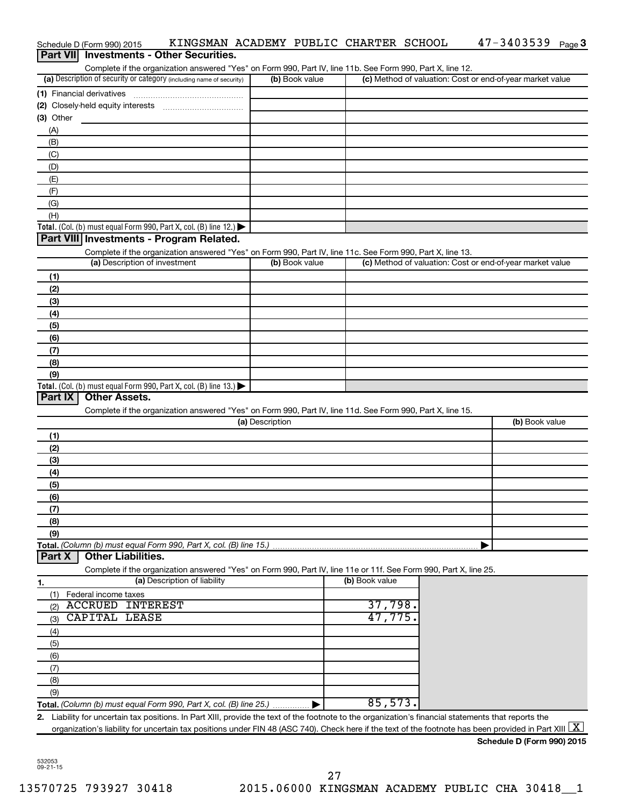|               |                  | Schedule D (Form 990) 2015                      | KINGSMAN ACADEMY PUBLIC CHARTER SCHOOL                                                                                                                   |                 |                |                |  | $47 - 3403539$ Page 3                                     |  |
|---------------|------------------|-------------------------------------------------|----------------------------------------------------------------------------------------------------------------------------------------------------------|-----------------|----------------|----------------|--|-----------------------------------------------------------|--|
|               | <b>Part VIII</b> |                                                 | <b>Investments - Other Securities.</b>                                                                                                                   |                 |                |                |  |                                                           |  |
|               |                  |                                                 | Complete if the organization answered "Yes" on Form 990, Part IV, line 11b. See Form 990, Part X, line 12.                                               |                 |                |                |  |                                                           |  |
|               |                  |                                                 | (a) Description of security or category (including name of security)                                                                                     |                 | (b) Book value |                |  | (c) Method of valuation: Cost or end-of-year market value |  |
|               |                  | (1) Financial derivatives                       |                                                                                                                                                          |                 |                |                |  |                                                           |  |
|               | (3) Other        |                                                 |                                                                                                                                                          |                 |                |                |  |                                                           |  |
| (A)           |                  |                                                 |                                                                                                                                                          |                 |                |                |  |                                                           |  |
| (B)           |                  |                                                 |                                                                                                                                                          |                 |                |                |  |                                                           |  |
| (C)           |                  |                                                 |                                                                                                                                                          |                 |                |                |  |                                                           |  |
| (D)           |                  |                                                 |                                                                                                                                                          |                 |                |                |  |                                                           |  |
| (E)           |                  |                                                 |                                                                                                                                                          |                 |                |                |  |                                                           |  |
| (F)           |                  |                                                 |                                                                                                                                                          |                 |                |                |  |                                                           |  |
| (G)           |                  |                                                 |                                                                                                                                                          |                 |                |                |  |                                                           |  |
| (H)           |                  |                                                 |                                                                                                                                                          |                 |                |                |  |                                                           |  |
|               |                  |                                                 | Total. (Col. (b) must equal Form 990, Part X, col. (B) line 12.) $\blacktriangleright$                                                                   |                 |                |                |  |                                                           |  |
|               |                  |                                                 | Part VIII Investments - Program Related.                                                                                                                 |                 |                |                |  |                                                           |  |
|               |                  |                                                 | Complete if the organization answered "Yes" on Form 990, Part IV, line 11c. See Form 990, Part X, line 13.                                               |                 |                |                |  |                                                           |  |
|               |                  |                                                 | (a) Description of investment                                                                                                                            |                 | (b) Book value |                |  | (c) Method of valuation: Cost or end-of-year market value |  |
| (1)           |                  |                                                 |                                                                                                                                                          |                 |                |                |  |                                                           |  |
| (2)           |                  |                                                 |                                                                                                                                                          |                 |                |                |  |                                                           |  |
| (3)           |                  |                                                 |                                                                                                                                                          |                 |                |                |  |                                                           |  |
| (4)           |                  |                                                 |                                                                                                                                                          |                 |                |                |  |                                                           |  |
| (5)           |                  |                                                 |                                                                                                                                                          |                 |                |                |  |                                                           |  |
| (6)           |                  |                                                 |                                                                                                                                                          |                 |                |                |  |                                                           |  |
| (7)           |                  |                                                 |                                                                                                                                                          |                 |                |                |  |                                                           |  |
| (8)           |                  |                                                 |                                                                                                                                                          |                 |                |                |  |                                                           |  |
| (9)           |                  |                                                 | Total. (Col. (b) must equal Form 990, Part X, col. (B) line 13.)                                                                                         |                 |                |                |  |                                                           |  |
|               | <b>Part IX</b>   | <b>Other Assets.</b>                            |                                                                                                                                                          |                 |                |                |  |                                                           |  |
|               |                  |                                                 | Complete if the organization answered "Yes" on Form 990, Part IV, line 11d. See Form 990, Part X, line 15.                                               |                 |                |                |  |                                                           |  |
|               |                  |                                                 |                                                                                                                                                          | (a) Description |                |                |  | (b) Book value                                            |  |
| (1)           |                  |                                                 |                                                                                                                                                          |                 |                |                |  |                                                           |  |
| (2)           |                  |                                                 |                                                                                                                                                          |                 |                |                |  |                                                           |  |
| (3)           |                  |                                                 |                                                                                                                                                          |                 |                |                |  |                                                           |  |
| (4)           |                  |                                                 |                                                                                                                                                          |                 |                |                |  |                                                           |  |
| (5)           |                  |                                                 |                                                                                                                                                          |                 |                |                |  |                                                           |  |
| (6)           |                  |                                                 |                                                                                                                                                          |                 |                |                |  |                                                           |  |
| (7)           |                  |                                                 |                                                                                                                                                          |                 |                |                |  |                                                           |  |
| (8)           |                  |                                                 |                                                                                                                                                          |                 |                |                |  |                                                           |  |
| (9)           |                  |                                                 |                                                                                                                                                          |                 |                |                |  |                                                           |  |
|               |                  |                                                 | Total. (Column (b) must equal Form 990, Part X, col. (B) line 15.)                                                                                       |                 |                |                |  |                                                           |  |
| <b>Part X</b> |                  | <b>Other Liabilities.</b>                       |                                                                                                                                                          |                 |                |                |  |                                                           |  |
|               |                  |                                                 | Complete if the organization answered "Yes" on Form 990, Part IV, line 11e or 11f. See Form 990, Part X, line 25.                                        |                 |                |                |  |                                                           |  |
| 1.            |                  |                                                 | (a) Description of liability                                                                                                                             |                 |                | (b) Book value |  |                                                           |  |
| (1)           |                  | Federal income taxes<br><b>ACCRUED INTEREST</b> |                                                                                                                                                          |                 |                | 37,798.        |  |                                                           |  |
| (2)           |                  | <b>CAPITAL LEASE</b>                            |                                                                                                                                                          |                 |                | 47,775.        |  |                                                           |  |
| (3)           |                  |                                                 |                                                                                                                                                          |                 |                |                |  |                                                           |  |
| (4)           |                  |                                                 |                                                                                                                                                          |                 |                |                |  |                                                           |  |
| (5)<br>(6)    |                  |                                                 |                                                                                                                                                          |                 |                |                |  |                                                           |  |
| (7)           |                  |                                                 |                                                                                                                                                          |                 |                |                |  |                                                           |  |
| (8)           |                  |                                                 |                                                                                                                                                          |                 |                |                |  |                                                           |  |
| (9)           |                  |                                                 |                                                                                                                                                          |                 |                |                |  |                                                           |  |
|               |                  |                                                 |                                                                                                                                                          |                 |                | 85,573.        |  |                                                           |  |
|               |                  |                                                 | 2. Liability for uncertain tax positions. In Part XIII, provide the text of the footnote to the organization's financial statements that reports the     |                 |                |                |  |                                                           |  |
|               |                  |                                                 | organization's liability for uncertain tax positions under FIN 48 (ASC 740). Check here if the text of the footnote has been provided in Part XIII $ X $ |                 |                |                |  |                                                           |  |
|               |                  |                                                 |                                                                                                                                                          |                 |                |                |  | Schedule D (Form 990) 2015                                |  |

532053 09-21-15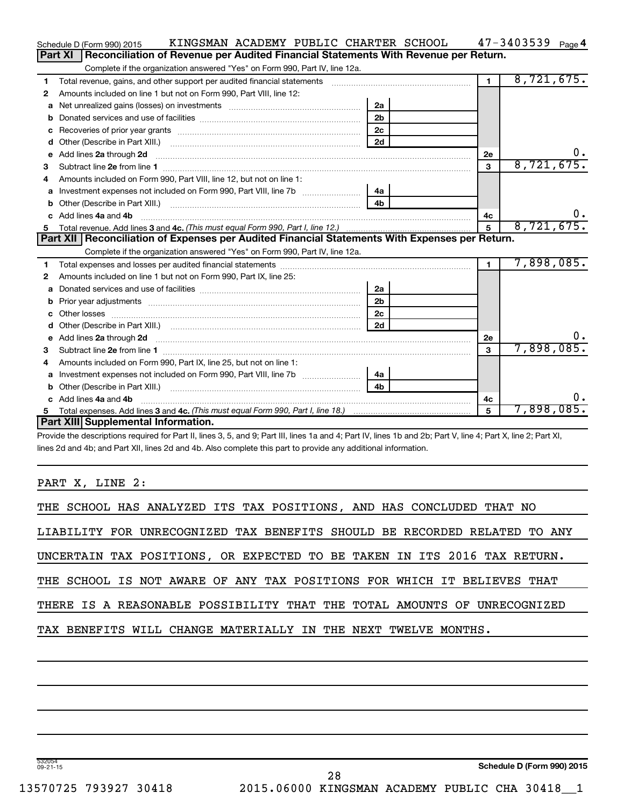|    | KINGSMAN ACADEMY PUBLIC CHARTER SCHOOL<br>Schedule D (Form 990) 2015                                                                                                                                                                |                |            |                | $47 - 3403539$ Page 4 |
|----|-------------------------------------------------------------------------------------------------------------------------------------------------------------------------------------------------------------------------------------|----------------|------------|----------------|-----------------------|
|    | Reconciliation of Revenue per Audited Financial Statements With Revenue per Return.<br>Part XI                                                                                                                                      |                |            |                |                       |
|    | Complete if the organization answered "Yes" on Form 990, Part IV, line 12a.                                                                                                                                                         |                |            |                |                       |
| 1  | Total revenue, gains, and other support per audited financial statements [111] [11] Total revenue, gains, and other support per audited financial statements                                                                        |                |            | $\overline{1}$ | 8,721,675.            |
| 2  | Amounts included on line 1 but not on Form 990, Part VIII, line 12:                                                                                                                                                                 |                |            |                |                       |
| a  |                                                                                                                                                                                                                                     | 2a             |            |                |                       |
|    |                                                                                                                                                                                                                                     | 2 <sub>b</sub> |            |                |                       |
| с  |                                                                                                                                                                                                                                     | 2 <sub>c</sub> |            |                |                       |
| d  |                                                                                                                                                                                                                                     | 2d             |            |                |                       |
| e  | Add lines 2a through 2d <b>must be a constructed as the constant of the constant of the constant of the construction</b>                                                                                                            |                |            | 2е             | 0.                    |
| 3  |                                                                                                                                                                                                                                     |                |            | 3              | 8,721,675.            |
| 4  | Amounts included on Form 990, Part VIII, line 12, but not on line 1:                                                                                                                                                                |                |            |                |                       |
|    |                                                                                                                                                                                                                                     | 4a             |            |                |                       |
| b  |                                                                                                                                                                                                                                     | 4 <sub>b</sub> |            |                |                       |
| c. | Add lines 4a and 4b                                                                                                                                                                                                                 |                |            | 4c             | $0$ .                 |
|    |                                                                                                                                                                                                                                     | 5              | 8,721,675. |                |                       |
|    |                                                                                                                                                                                                                                     |                |            |                |                       |
|    | Part XII   Reconciliation of Expenses per Audited Financial Statements With Expenses per Return.                                                                                                                                    |                |            |                |                       |
|    | Complete if the organization answered "Yes" on Form 990, Part IV, line 12a.                                                                                                                                                         |                |            |                |                       |
| 1  |                                                                                                                                                                                                                                     |                |            | $\blacksquare$ | 7,898,085.            |
| 2  | Amounts included on line 1 but not on Form 990, Part IX, line 25:                                                                                                                                                                   |                |            |                |                       |
| a  |                                                                                                                                                                                                                                     | 2a             |            |                |                       |
| b  |                                                                                                                                                                                                                                     | 2 <sub>b</sub> |            |                |                       |
|    |                                                                                                                                                                                                                                     | 2 <sub>c</sub> |            |                |                       |
| d  |                                                                                                                                                                                                                                     | 2d             |            |                |                       |
| е  | Add lines 2a through 2d <b>[10]</b> University material contracts and the set of the set of the set of the set of the set of the set of the set of the set of the set of the set of the set of the set of the set of the set of the |                |            | 2е             | υ.                    |
| З  |                                                                                                                                                                                                                                     |                |            | 3              | 7,898,085.            |
| 4  | Amounts included on Form 990, Part IX, line 25, but not on line 1:                                                                                                                                                                  |                |            |                |                       |
| a  |                                                                                                                                                                                                                                     | 4a             |            |                |                       |
| b  |                                                                                                                                                                                                                                     | 4 <sub>b</sub> |            |                |                       |
| c. | Add lines 4a and 4b                                                                                                                                                                                                                 |                |            | 4c             | υ.                    |
|    | Part XIII Supplemental Information.                                                                                                                                                                                                 |                |            | 5              | 7,898,085.            |

Provide the descriptions required for Part II, lines 3, 5, and 9; Part III, lines 1a and 4; Part IV, lines 1b and 2b; Part V, line 4; Part X, line 2; Part XI, lines 2d and 4b; and Part XII, lines 2d and 4b. Also complete this part to provide any additional information.

PART X, LINE 2:

| THE SCHOOL HAS ANALYZED ITS TAX POSITIONS, AND HAS CONCLUDED THAT NO      |  |  |  |  |  |  |  |  |
|---------------------------------------------------------------------------|--|--|--|--|--|--|--|--|
| LIABILITY FOR UNRECOGNIZED TAX BENEFITS SHOULD BE RECORDED RELATED TO ANY |  |  |  |  |  |  |  |  |
| UNCERTAIN TAX POSITIONS, OR EXPECTED TO BE TAKEN IN ITS 2016 TAX RETURN.  |  |  |  |  |  |  |  |  |
| THE SCHOOL IS NOT AWARE OF ANY TAX POSITIONS FOR WHICH IT BELIEVES THAT   |  |  |  |  |  |  |  |  |
| THERE IS A REASONABLE POSSIBILITY THAT THE TOTAL AMOUNTS OF UNRECOGNIZED  |  |  |  |  |  |  |  |  |
| TAX BENEFITS WILL CHANGE MATERIALLY IN THE NEXT TWELVE MONTHS.            |  |  |  |  |  |  |  |  |
|                                                                           |  |  |  |  |  |  |  |  |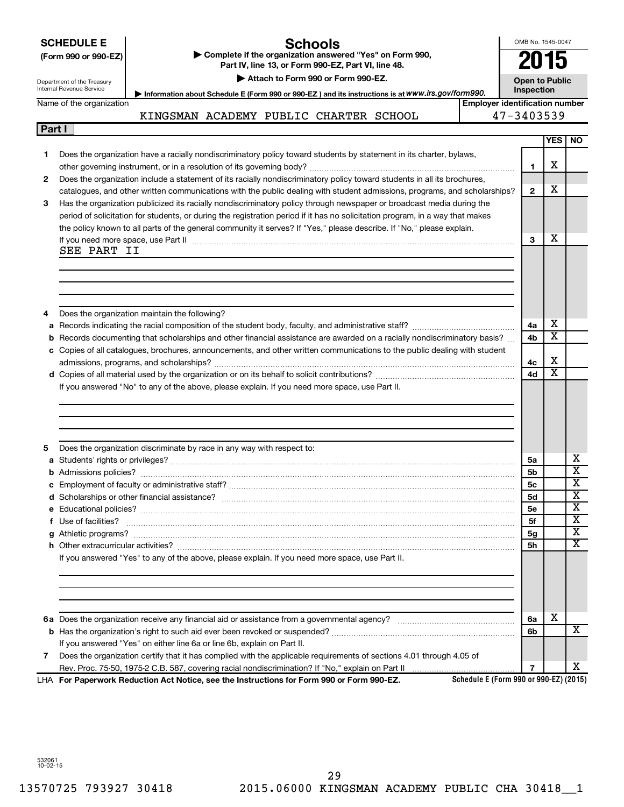| <b>SCHEDULE E</b> |  |
|-------------------|--|
|                   |  |

### **Schools**

**(Form 990 or 990-EZ) | Complete if the organization answered "Yes" on Form 990, Part IV, line 13, or Form 990-EZ, Part VI, line 48. | Attach to Form 990 or Form 990-EZ.**

OMB No. 1545-0047 **2015**

**Open to Public**

Department of the Treasury Internal Reve

**Part I**

| enue Service | Information about Schedule E (Form 990 or 990-EZ) and its instructions is at WWW.irs.gov/form990. | <b>Inspection</b> |
|--------------|---------------------------------------------------------------------------------------------------|-------------------|
|              |                                                                                                   |                   |

Name of the organization

**Employer identification number** KINGSMAN ACADEMY PUBLIC CHARTER SCHOOL

| Е<br>η.<br>۰. |  |
|---------------|--|
|---------------|--|

|    |                                                                                                                                                                                                                                    |                | YES   NO                |                         |
|----|------------------------------------------------------------------------------------------------------------------------------------------------------------------------------------------------------------------------------------|----------------|-------------------------|-------------------------|
| 1. | Does the organization have a racially nondiscriminatory policy toward students by statement in its charter, bylaws,                                                                                                                |                |                         |                         |
|    |                                                                                                                                                                                                                                    | 1              | х                       |                         |
| 2  | Does the organization include a statement of its racially nondiscriminatory policy toward students in all its brochures,                                                                                                           |                |                         |                         |
|    | catalogues, and other written communications with the public dealing with student admissions, programs, and scholarships?                                                                                                          | $\mathbf{2}$   | x                       |                         |
| 3  | Has the organization publicized its racially nondiscriminatory policy through newspaper or broadcast media during the                                                                                                              |                |                         |                         |
|    | period of solicitation for students, or during the registration period if it has no solicitation program, in a way that makes                                                                                                      |                |                         |                         |
|    | the policy known to all parts of the general community it serves? If "Yes," please describe. If "No," please explain.                                                                                                              |                |                         |                         |
|    | If you need more space, use Part II manufactured and continuum contract to the Part II manufactured and the manufactured and the manufactured and the space, use Part II                                                           | 3              | х                       |                         |
|    | SEE PART II                                                                                                                                                                                                                        |                |                         |                         |
|    |                                                                                                                                                                                                                                    |                |                         |                         |
|    |                                                                                                                                                                                                                                    |                |                         |                         |
|    |                                                                                                                                                                                                                                    |                |                         |                         |
|    |                                                                                                                                                                                                                                    |                |                         |                         |
| 4  | Does the organization maintain the following?                                                                                                                                                                                      |                |                         |                         |
| a  |                                                                                                                                                                                                                                    | 4a             | х                       |                         |
| b  | Records documenting that scholarships and other financial assistance are awarded on a racially nondiscriminatory basis?                                                                                                            | 4b             | $\overline{\textbf{X}}$ |                         |
|    | c Copies of all catalogues, brochures, announcements, and other written communications to the public dealing with student                                                                                                          |                |                         |                         |
|    |                                                                                                                                                                                                                                    | 4c             | X                       |                         |
|    |                                                                                                                                                                                                                                    | 4d             | $\overline{\textbf{X}}$ |                         |
|    | If you answered "No" to any of the above, please explain. If you need more space, use Part II.                                                                                                                                     |                |                         |                         |
|    |                                                                                                                                                                                                                                    |                |                         |                         |
|    |                                                                                                                                                                                                                                    |                |                         |                         |
|    |                                                                                                                                                                                                                                    |                |                         |                         |
|    |                                                                                                                                                                                                                                    |                |                         |                         |
| 5  | Does the organization discriminate by race in any way with respect to:                                                                                                                                                             |                |                         | х                       |
|    |                                                                                                                                                                                                                                    | 5a             |                         | $\overline{\textbf{x}}$ |
| b  |                                                                                                                                                                                                                                    | 5b             |                         | $\overline{\textbf{x}}$ |
|    |                                                                                                                                                                                                                                    | 5с             |                         | $\overline{\textbf{x}}$ |
|    |                                                                                                                                                                                                                                    | <b>5d</b>      |                         | $\overline{\textbf{x}}$ |
|    |                                                                                                                                                                                                                                    | <b>5e</b>      |                         | $\overline{\textbf{x}}$ |
|    | f Use of facilities? <b>www.communities.</b> We can be a series of the contract of the contract of the contract of the contract of the contract of the contract of the contract of the contract of the contract of the contract of | 5f             |                         | $\overline{\textbf{x}}$ |
|    |                                                                                                                                                                                                                                    | 5g             |                         | $\overline{\mathbf{X}}$ |
|    |                                                                                                                                                                                                                                    | 5h             |                         |                         |
|    | If you answered "Yes" to any of the above, please explain. If you need more space, use Part II.                                                                                                                                    |                |                         |                         |
|    |                                                                                                                                                                                                                                    |                |                         |                         |
|    |                                                                                                                                                                                                                                    |                |                         |                         |
|    |                                                                                                                                                                                                                                    |                |                         |                         |
|    |                                                                                                                                                                                                                                    | 6a             | х                       |                         |
|    |                                                                                                                                                                                                                                    | 6b             |                         | X                       |
|    |                                                                                                                                                                                                                                    |                |                         |                         |
| 7  | If you answered "Yes" on either line 6a or line 6b, explain on Part II.<br>Does the organization certify that it has complied with the applicable requirements of sections 4.01 through 4.05 of                                    |                |                         |                         |
|    |                                                                                                                                                                                                                                    | $\overline{7}$ |                         | x                       |
|    | Schedule E (Form 990 or 990-EZ) (2015)<br>LHA For Paperwork Reduction Act Notice, see the Instructions for Form 990 or Form 990-EZ.                                                                                                |                |                         |                         |
|    |                                                                                                                                                                                                                                    |                |                         |                         |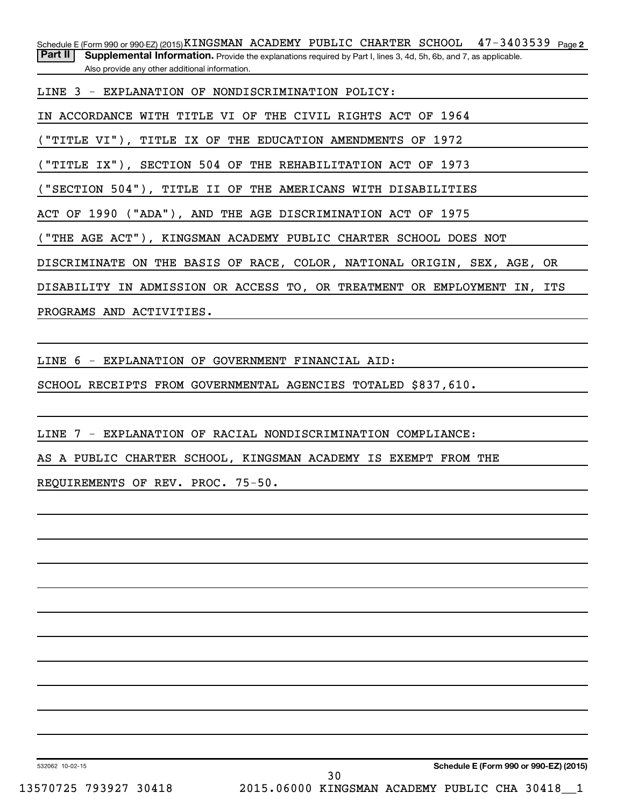Schedule E (Form 990 or 990-EZ) (2015) **KINGSMAN ACADEMY PUBLIC CHARTER SCHOOL 47-3403539** Page 2 Part II | Supplemental Information. Provide the explanations required by Part I, lines 3, 4d, 5h, 6b, and 7, as applicable.

Also provide any other additional information.

LINE 3 - EXPLANATION OF NONDISCRIMINATION POLICY:

IN ACCORDANCE WITH TITLE VI OF THE CIVIL RIGHTS ACT OF 1964

"TITLE VI"), TITLE IX OF THE EDUCATION AMENDMENTS OF 1972

("TITLE IX"), SECTION 504 OF THE REHABILITATION ACT OF 1973

("SECTION 504"), TITLE II OF THE AMERICANS WITH DISABILITIES

ACT OF 1990 ("ADA"), AND THE AGE DISCRIMINATION ACT OF 1975

("THE AGE ACT"), KINGSMAN ACADEMY PUBLIC CHARTER SCHOOL DOES NOT

DISCRIMINATE ON THE BASIS OF RACE, COLOR, NATIONAL ORIGIN, SEX, AGE, OR

DISABILITY IN ADMISSION OR ACCESS TO, OR TREATMENT OR EMPLOYMENT IN, ITS

PROGRAMS AND ACTIVITIES.

LINE 6 - EXPLANATION OF GOVERNMENT FINANCIAL AID:

SCHOOL RECEIPTS FROM GOVERNMENTAL AGENCIES TOTALED \$837,610.

LINE 7 - EXPLANATION OF RACIAL NONDISCRIMINATION COMPLIANCE:

AS A PUBLIC CHARTER SCHOOL, KINGSMAN ACADEMY IS EXEMPT FROM THE

REQUIREMENTS OF REV. PROC. 75-50.

532062 10-02-15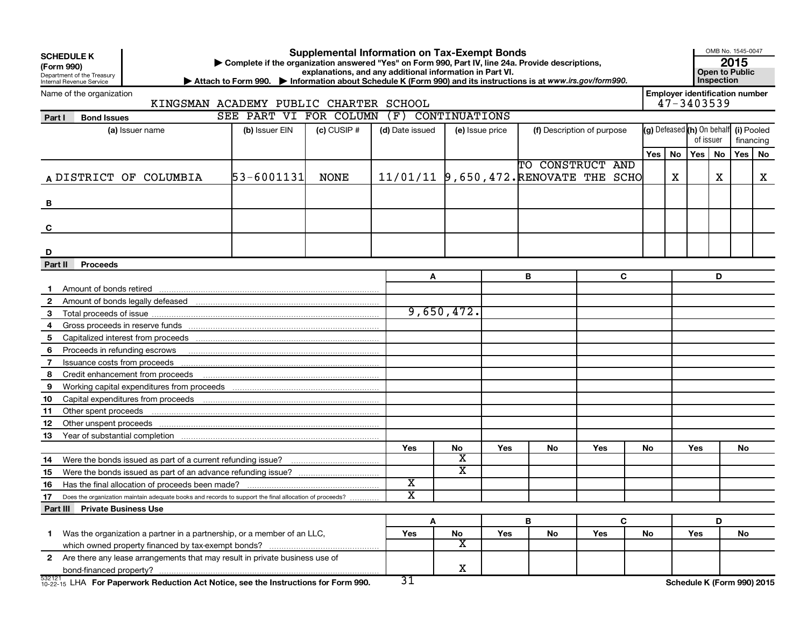| <b>SCHEDULE K</b><br>(Form 990) | Department of the Treasury                           |                                                                                                        | Complete if the organization answered "Yes" on Form 990, Part IV, line 24a. Provide descriptions,<br>> Attach to Form 990. > Information about Schedule K (Form 990) and its instructions is at www.irs.gov/form990. |                 | <b>Supplemental Information on Tax-Exempt Bonds</b><br>explanations, and any additional information in Part VI. |                         |     |                  |                            |     |     |                                       | OMB No. 1545-0047<br>2015<br><b>Open to Public</b><br>Inspection |           |     |           |  |  |
|---------------------------------|------------------------------------------------------|--------------------------------------------------------------------------------------------------------|----------------------------------------------------------------------------------------------------------------------------------------------------------------------------------------------------------------------|-----------------|-----------------------------------------------------------------------------------------------------------------|-------------------------|-----|------------------|----------------------------|-----|-----|---------------------------------------|------------------------------------------------------------------|-----------|-----|-----------|--|--|
|                                 | Internal Revenue Service<br>Name of the organization |                                                                                                        |                                                                                                                                                                                                                      |                 |                                                                                                                 |                         |     |                  |                            |     |     | <b>Employer identification number</b> |                                                                  |           |     |           |  |  |
|                                 |                                                      | KINGSMAN ACADEMY PUBLIC CHARTER SCHOOL                                                                 |                                                                                                                                                                                                                      |                 |                                                                                                                 |                         |     |                  |                            |     |     | 47-3403539                            |                                                                  |           |     |           |  |  |
| Part I                          | <b>Bond Issues</b>                                   |                                                                                                        | SEE PART VI FOR COLUMN (F) CONTINUATIONS                                                                                                                                                                             |                 |                                                                                                                 |                         |     |                  |                            |     |     |                                       |                                                                  |           |     |           |  |  |
|                                 |                                                      | (a) Issuer name                                                                                        | (b) Issuer EIN                                                                                                                                                                                                       | $(c)$ CUSIP $#$ | (d) Date issued                                                                                                 | (e) Issue price         |     |                  | (f) Description of purpose |     |     | (g) Defeased (h) On behalf (i) Pooled |                                                                  |           |     |           |  |  |
|                                 |                                                      |                                                                                                        |                                                                                                                                                                                                                      |                 |                                                                                                                 |                         |     |                  |                            |     |     |                                       |                                                                  | of issuer |     | financing |  |  |
|                                 |                                                      |                                                                                                        |                                                                                                                                                                                                                      |                 |                                                                                                                 |                         |     |                  |                            |     | Yes | No                                    | Yes   No                                                         |           | Yes | No        |  |  |
|                                 |                                                      |                                                                                                        |                                                                                                                                                                                                                      |                 |                                                                                                                 |                         |     | TO CONSTRUCT AND |                            |     |     |                                       |                                                                  |           |     |           |  |  |
|                                 |                                                      | A DISTRICT OF COLUMBIA                                                                                 | 53-6001131                                                                                                                                                                                                           | NONE            | 11/01/11 9,650,472. RENOVATE THE SCHO                                                                           |                         |     |                  |                            |     |     | х                                     |                                                                  | X         |     | X         |  |  |
|                                 |                                                      |                                                                                                        |                                                                                                                                                                                                                      |                 |                                                                                                                 |                         |     |                  |                            |     |     |                                       |                                                                  |           |     |           |  |  |
| В                               |                                                      |                                                                                                        |                                                                                                                                                                                                                      |                 |                                                                                                                 |                         |     |                  |                            |     |     |                                       |                                                                  |           |     |           |  |  |
|                                 |                                                      |                                                                                                        |                                                                                                                                                                                                                      |                 |                                                                                                                 |                         |     |                  |                            |     |     |                                       |                                                                  |           |     |           |  |  |
| C                               |                                                      |                                                                                                        |                                                                                                                                                                                                                      |                 |                                                                                                                 |                         |     |                  |                            |     |     |                                       |                                                                  |           |     |           |  |  |
|                                 |                                                      |                                                                                                        |                                                                                                                                                                                                                      |                 |                                                                                                                 |                         |     |                  |                            |     |     |                                       |                                                                  |           |     |           |  |  |
| D                               |                                                      |                                                                                                        |                                                                                                                                                                                                                      |                 |                                                                                                                 |                         |     |                  |                            |     |     |                                       |                                                                  |           |     |           |  |  |
| Part II                         | <b>Proceeds</b>                                      |                                                                                                        |                                                                                                                                                                                                                      |                 |                                                                                                                 |                         |     |                  |                            |     |     |                                       |                                                                  |           |     |           |  |  |
|                                 |                                                      |                                                                                                        |                                                                                                                                                                                                                      |                 | A                                                                                                               | в                       |     |                  | C                          |     |     |                                       |                                                                  | D         |     |           |  |  |
|                                 |                                                      |                                                                                                        |                                                                                                                                                                                                                      |                 |                                                                                                                 |                         |     |                  |                            |     |     |                                       |                                                                  |           |     |           |  |  |
| $\mathbf{2}$                    |                                                      |                                                                                                        |                                                                                                                                                                                                                      |                 |                                                                                                                 |                         |     |                  |                            |     |     |                                       |                                                                  |           |     |           |  |  |
| 3                               |                                                      |                                                                                                        |                                                                                                                                                                                                                      |                 |                                                                                                                 | 9,650,472.              |     |                  |                            |     |     |                                       |                                                                  |           |     |           |  |  |
| 4                               |                                                      |                                                                                                        |                                                                                                                                                                                                                      |                 |                                                                                                                 |                         |     |                  |                            |     |     |                                       |                                                                  |           |     |           |  |  |
| 5                               |                                                      |                                                                                                        |                                                                                                                                                                                                                      |                 |                                                                                                                 |                         |     |                  |                            |     |     |                                       |                                                                  |           |     |           |  |  |
| 6                               |                                                      | Proceeds in refunding escrows manufactured and refunding escrows manufactured and refunding escrows    |                                                                                                                                                                                                                      |                 |                                                                                                                 |                         |     |                  |                            |     |     |                                       |                                                                  |           |     |           |  |  |
| 7                               |                                                      |                                                                                                        |                                                                                                                                                                                                                      |                 |                                                                                                                 |                         |     |                  |                            |     |     |                                       |                                                                  |           |     |           |  |  |
| 8                               |                                                      |                                                                                                        |                                                                                                                                                                                                                      |                 |                                                                                                                 |                         |     |                  |                            |     |     |                                       |                                                                  |           |     |           |  |  |
| 9                               |                                                      |                                                                                                        |                                                                                                                                                                                                                      |                 |                                                                                                                 |                         |     |                  |                            |     |     |                                       |                                                                  |           |     |           |  |  |
| 10                              |                                                      |                                                                                                        |                                                                                                                                                                                                                      |                 |                                                                                                                 |                         |     |                  |                            |     |     |                                       |                                                                  |           |     |           |  |  |
| 11                              | Other spent proceeds                                 |                                                                                                        |                                                                                                                                                                                                                      |                 |                                                                                                                 |                         |     |                  |                            |     |     |                                       |                                                                  |           |     |           |  |  |
| 12                              |                                                      |                                                                                                        |                                                                                                                                                                                                                      |                 |                                                                                                                 |                         |     |                  |                            |     |     |                                       |                                                                  |           |     |           |  |  |
| 13                              |                                                      |                                                                                                        |                                                                                                                                                                                                                      |                 |                                                                                                                 |                         |     |                  |                            |     |     |                                       |                                                                  |           |     |           |  |  |
|                                 |                                                      |                                                                                                        |                                                                                                                                                                                                                      |                 | Yes                                                                                                             | No                      | Yes | No               | Yes                        | No. |     |                                       | Yes                                                              |           | No. |           |  |  |
| 14                              |                                                      |                                                                                                        |                                                                                                                                                                                                                      |                 |                                                                                                                 | X                       |     |                  |                            |     |     |                                       |                                                                  |           |     |           |  |  |
| 15                              |                                                      |                                                                                                        |                                                                                                                                                                                                                      |                 |                                                                                                                 | $\overline{\textbf{x}}$ |     |                  |                            |     |     |                                       |                                                                  |           |     |           |  |  |
| 16                              |                                                      | Has the final allocation of proceeds been made?                                                        |                                                                                                                                                                                                                      |                 | X                                                                                                               |                         |     |                  |                            |     |     |                                       |                                                                  |           |     |           |  |  |
| 17                              |                                                      | Does the organization maintain adequate books and records to support the final allocation of proceeds? |                                                                                                                                                                                                                      |                 | $\overline{\text{x}}$                                                                                           |                         |     |                  |                            |     |     |                                       |                                                                  |           |     |           |  |  |
|                                 | Part III Private Business Use                        |                                                                                                        |                                                                                                                                                                                                                      |                 |                                                                                                                 |                         |     |                  |                            |     |     |                                       |                                                                  |           |     |           |  |  |
|                                 |                                                      |                                                                                                        |                                                                                                                                                                                                                      |                 | A                                                                                                               |                         |     | в                | C                          |     |     |                                       |                                                                  | D         |     |           |  |  |
| $\mathbf 1$                     |                                                      | Was the organization a partner in a partnership, or a member of an LLC,                                |                                                                                                                                                                                                                      |                 | Yes                                                                                                             | No                      | Yes | No               | Yes                        | No  |     |                                       | Yes                                                              |           | No  |           |  |  |
|                                 |                                                      |                                                                                                        |                                                                                                                                                                                                                      |                 |                                                                                                                 | $\overline{\texttt{x}}$ |     |                  |                            |     |     |                                       |                                                                  |           |     |           |  |  |
|                                 |                                                      | 2 Are there any lease arrangements that may result in private business use of                          |                                                                                                                                                                                                                      |                 |                                                                                                                 |                         |     |                  |                            |     |     |                                       |                                                                  |           |     |           |  |  |
|                                 |                                                      |                                                                                                        |                                                                                                                                                                                                                      |                 |                                                                                                                 | X                       |     |                  |                            |     |     |                                       |                                                                  |           |     |           |  |  |
|                                 |                                                      | $rac{532121}{10-22-15}$ LHA For Paperwork Reduction Act Notice, see the Instructions for Form 990.     |                                                                                                                                                                                                                      |                 | 31                                                                                                              |                         |     |                  |                            |     |     | Schedule K (Form 990) 2015            |                                                                  |           |     |           |  |  |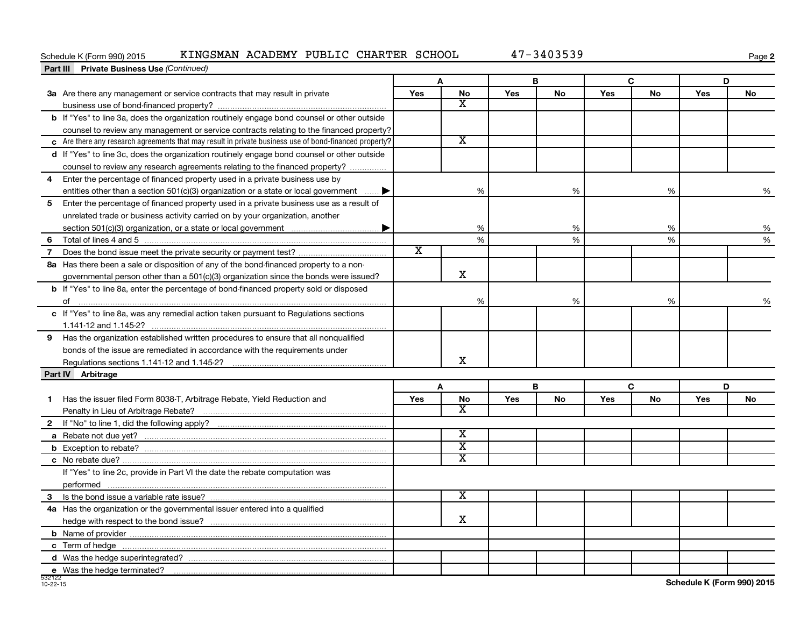#### Schedule K (Form 990) 2015 KINGSMAN ACADEMY PUBLIC CHARTER SCHOOL  $47-3403539$

**2**

| <b>Part III</b> Private Business Use (Continued)                                                       |                             |                         |     |           |     |           |     |           |
|--------------------------------------------------------------------------------------------------------|-----------------------------|-------------------------|-----|-----------|-----|-----------|-----|-----------|
|                                                                                                        |                             | A                       |     | В         | C   |           | D   |           |
| 3a Are there any management or service contracts that may result in private                            | Yes                         | <b>No</b>               | Yes | <b>No</b> | Yes | <b>No</b> | Yes | <b>No</b> |
|                                                                                                        |                             | $\overline{\mathbf{X}}$ |     |           |     |           |     |           |
| b If "Yes" to line 3a, does the organization routinely engage bond counsel or other outside            |                             |                         |     |           |     |           |     |           |
| counsel to review any management or service contracts relating to the financed property?               |                             |                         |     |           |     |           |     |           |
| c Are there any research agreements that may result in private business use of bond-financed property? |                             | $\overline{\texttt{x}}$ |     |           |     |           |     |           |
| d If "Yes" to line 3c, does the organization routinely engage bond counsel or other outside            |                             |                         |     |           |     |           |     |           |
| counsel to review any research agreements relating to the financed property?                           |                             |                         |     |           |     |           |     |           |
| Enter the percentage of financed property used in a private business use by<br>4                       |                             |                         |     |           |     |           |     |           |
| entities other than a section 501(c)(3) organization or a state or local government                    |                             | %                       |     | %         |     | %         |     | %         |
| 5 Enter the percentage of financed property used in a private business use as a result of              |                             |                         |     |           |     |           |     |           |
| unrelated trade or business activity carried on by your organization, another                          |                             |                         |     |           |     |           |     |           |
|                                                                                                        |                             | %                       |     | %         |     | %         |     | %         |
| 6                                                                                                      |                             | $\frac{9}{6}$           |     | %         |     | %         |     | %         |
| $\overline{7}$                                                                                         | $\overline{\textnormal{x}}$ |                         |     |           |     |           |     |           |
| 8a Has there been a sale or disposition of any of the bond-financed property to a non-                 |                             |                         |     |           |     |           |     |           |
| governmental person other than a $501(c)(3)$ organization since the bonds were issued?                 |                             | $\mathbf X$             |     |           |     |           |     |           |
| <b>b</b> If "Yes" to line 8a, enter the percentage of bond-financed property sold or disposed          |                             |                         |     |           |     |           |     |           |
|                                                                                                        |                             | %                       |     | %         |     | %         |     | $\%$      |
| c If "Yes" to line 8a, was any remedial action taken pursuant to Regulations sections                  |                             |                         |     |           |     |           |     |           |
|                                                                                                        |                             |                         |     |           |     |           |     |           |
| 9 Has the organization established written procedures to ensure that all nonqualified                  |                             |                         |     |           |     |           |     |           |
| bonds of the issue are remediated in accordance with the requirements under                            |                             |                         |     |           |     |           |     |           |
|                                                                                                        |                             | X                       |     |           |     |           |     |           |
| Part IV Arbitrage                                                                                      |                             |                         |     |           |     |           |     |           |
|                                                                                                        |                             | A                       |     | B         |     | C         |     | D         |
| Has the issuer filed Form 8038-T, Arbitrage Rebate, Yield Reduction and<br>1                           | Yes                         | <b>No</b>               | Yes | <b>No</b> | Yes | <b>No</b> | Yes | No        |
|                                                                                                        |                             | X                       |     |           |     |           |     |           |
|                                                                                                        |                             |                         |     |           |     |           |     |           |
|                                                                                                        |                             | $\overline{\texttt{x}}$ |     |           |     |           |     |           |
|                                                                                                        |                             | $\overline{\text{x}}$   |     |           |     |           |     |           |
|                                                                                                        |                             | X                       |     |           |     |           |     |           |
| If "Yes" to line 2c, provide in Part VI the date the rebate computation was                            |                             |                         |     |           |     |           |     |           |
|                                                                                                        |                             |                         |     |           |     |           |     |           |
|                                                                                                        |                             | $\overline{\texttt{x}}$ |     |           |     |           |     |           |
| 4a Has the organization or the governmental issuer entered into a qualified                            |                             |                         |     |           |     |           |     |           |
|                                                                                                        |                             | x                       |     |           |     |           |     |           |
|                                                                                                        |                             |                         |     |           |     |           |     |           |
|                                                                                                        |                             |                         |     |           |     |           |     |           |
|                                                                                                        |                             |                         |     |           |     |           |     |           |
|                                                                                                        |                             |                         |     |           |     |           |     |           |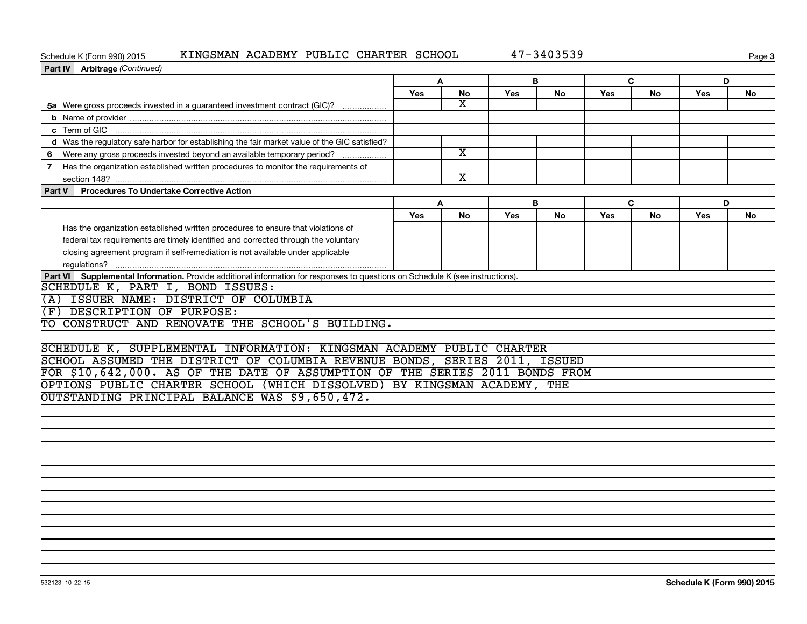#### Schedule K (Form 990) 2015 KINGSMAN ACADEMY PUBLIC CHARTER SCHOOL  $47-3403539$

**Page 3** 

| <b>Part IV</b> Arbitrage (Continued)                                                                                          |            |                         |     |    |            |           |            |    |
|-------------------------------------------------------------------------------------------------------------------------------|------------|-------------------------|-----|----|------------|-----------|------------|----|
|                                                                                                                               | A          |                         | в   |    | C.         |           | D          |    |
|                                                                                                                               | <b>Yes</b> | No                      | Yes | No | Yes        | <b>No</b> | <b>Yes</b> | No |
| 5a Were gross proceeds invested in a guaranteed investment contract (GIC)?                                                    |            | x                       |     |    |            |           |            |    |
|                                                                                                                               |            |                         |     |    |            |           |            |    |
|                                                                                                                               |            |                         |     |    |            |           |            |    |
| d Was the regulatory safe harbor for establishing the fair market value of the GIC satisfied?                                 |            |                         |     |    |            |           |            |    |
| 6 Were any gross proceeds invested beyond an available temporary period?                                                      |            | $\overline{\textbf{x}}$ |     |    |            |           |            |    |
| 7 Has the organization established written procedures to monitor the requirements of                                          |            | х                       |     |    |            |           |            |    |
| Part V Procedures To Undertake Corrective Action                                                                              |            |                         |     |    |            |           |            |    |
|                                                                                                                               |            | A                       |     | в  | C          |           | D          |    |
|                                                                                                                               | Yes        | No                      | Yes | No | <b>Yes</b> | No        | Yes        | No |
| Has the organization established written procedures to ensure that violations of                                              |            |                         |     |    |            |           |            |    |
| federal tax requirements are timely identified and corrected through the voluntary                                            |            |                         |     |    |            |           |            |    |
| closing agreement program if self-remediation is not available under applicable                                               |            |                         |     |    |            |           |            |    |
|                                                                                                                               |            |                         |     |    |            |           |            |    |
| Part VI Supplemental Information. Provide additional information for responses to questions on Schedule K (see instructions). |            |                         |     |    |            |           |            |    |
| SCHEDULE K, PART I, BOND ISSUES:                                                                                              |            |                         |     |    |            |           |            |    |
| (A) ISSUER NAME: DISTRICT OF COLUMBIA                                                                                         |            |                         |     |    |            |           |            |    |
| (F) DESCRIPTION OF PURPOSE:                                                                                                   |            |                         |     |    |            |           |            |    |
| TO CONSTRUCT AND RENOVATE THE SCHOOL'S BUILDING.                                                                              |            |                         |     |    |            |           |            |    |
|                                                                                                                               |            |                         |     |    |            |           |            |    |
| SCHEDULE K, SUPPLEMENTAL INFORMATION: KINGSMAN ACADEMY PUBLIC CHARTER                                                         |            |                         |     |    |            |           |            |    |
| SCHOOL ASSUMED THE DISTRICT OF COLUMBIA REVENUE BONDS, SERIES 2011, ISSUED                                                    |            |                         |     |    |            |           |            |    |
| FOR \$10,642,000. AS OF THE DATE OF ASSUMPTION OF THE SERIES 2011 BONDS FROM                                                  |            |                         |     |    |            |           |            |    |
| OPTIONS PUBLIC CHARTER SCHOOL (WHICH DISSOLVED) BY KINGSMAN ACADEMY, THE                                                      |            |                         |     |    |            |           |            |    |
| OUTSTANDING PRINCIPAL BALANCE WAS \$9,650,472.                                                                                |            |                         |     |    |            |           |            |    |
|                                                                                                                               |            |                         |     |    |            |           |            |    |
|                                                                                                                               |            |                         |     |    |            |           |            |    |
|                                                                                                                               |            |                         |     |    |            |           |            |    |
|                                                                                                                               |            |                         |     |    |            |           |            |    |
|                                                                                                                               |            |                         |     |    |            |           |            |    |
|                                                                                                                               |            |                         |     |    |            |           |            |    |
|                                                                                                                               |            |                         |     |    |            |           |            |    |
|                                                                                                                               |            |                         |     |    |            |           |            |    |
|                                                                                                                               |            |                         |     |    |            |           |            |    |
|                                                                                                                               |            |                         |     |    |            |           |            |    |
|                                                                                                                               |            |                         |     |    |            |           |            |    |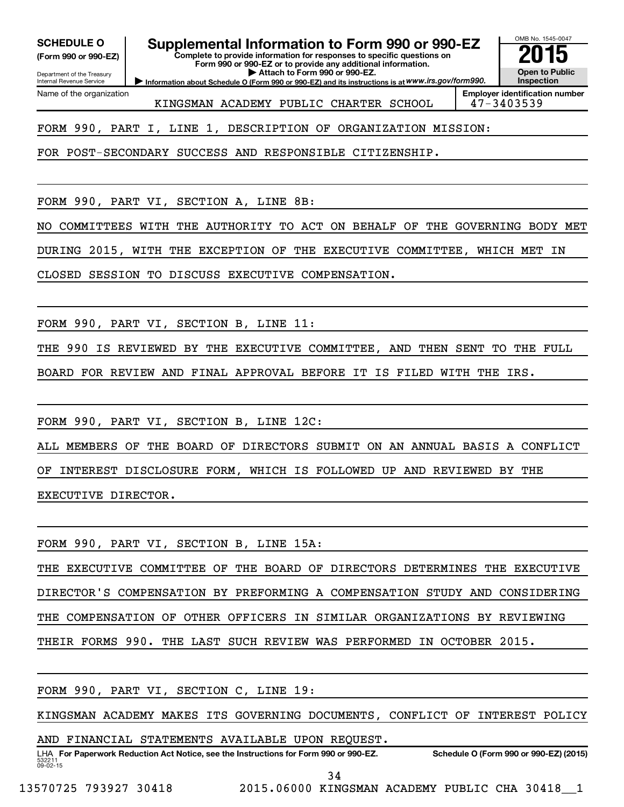**(Form 990 or 990-EZ)**

Department of the Treasury Internal Revenue Service

Name of the organization

# SCHEDULE O **Supplemental Information to Form 990 or 990-EZ** 2015<br>(Form 990 or 990-EZ) Complete to provide information for responses to specific questions on

**Complete to provide information for responses to specific questions on Form 990 or 990-EZ or to provide any additional information. | Attach to Form 990 or 990-EZ.**

**Information about Schedule O (Form 990 or 990-EZ) and its instructions is at WWW.irs.gov/form990.** 

OMB No. 1545-0047 **Open to Public Inspection**

KINGSMAN ACADEMY PUBLIC CHARTER SCHOOL 47-3403539

**Employer identification number**

FORM 990, PART I, LINE 1, DESCRIPTION OF ORGANIZATION MISSION:

FOR POST-SECONDARY SUCCESS AND RESPONSIBLE CITIZENSHIP.

FORM 990, PART VI, SECTION A, LINE 8B:

NO COMMITTEES WITH THE AUTHORITY TO ACT ON BEHALF OF THE GOVERNING BODY MET

DURING 2015, WITH THE EXCEPTION OF THE EXECUTIVE COMMITTEE, WHICH MET IN

CLOSED SESSION TO DISCUSS EXECUTIVE COMPENSATION.

FORM 990, PART VI, SECTION B, LINE 11:

THE 990 IS REVIEWED BY THE EXECUTIVE COMMITTEE, AND THEN SENT TO THE FULL

BOARD FOR REVIEW AND FINAL APPROVAL BEFORE IT IS FILED WITH THE IRS.

FORM 990, PART VI, SECTION B, LINE 12C:

ALL MEMBERS OF THE BOARD OF DIRECTORS SUBMIT ON AN ANNUAL BASIS A CONFLICT OF INTEREST DISCLOSURE FORM, WHICH IS FOLLOWED UP AND REVIEWED BY THE EXECUTIVE DIRECTOR.

FORM 990, PART VI, SECTION B, LINE 15A: THE EXECUTIVE COMMITTEE OF THE BOARD OF DIRECTORS DETERMINES THE EXECUTIVE DIRECTOR'S COMPENSATION BY PREFORMING A COMPENSATION STUDY AND CONSIDERING THE COMPENSATION OF OTHER OFFICERS IN SIMILAR ORGANIZATIONS BY REVIEWING THEIR FORMS 990. THE LAST SUCH REVIEW WAS PERFORMED IN OCTOBER 2015.

FORM 990, PART VI, SECTION C, LINE 19:

KINGSMAN ACADEMY MAKES ITS GOVERNING DOCUMENTS, CONFLICT OF INTEREST POLICY

AND FINANCIAL STATEMENTS AVAILABLE UPON REQUEST.

532211  $09 - 02 - 15$ LHA For Paperwork Reduction Act Notice, see the Instructions for Form 990 or 990-EZ. Schedule O (Form 990 or 990-EZ) (2015)

34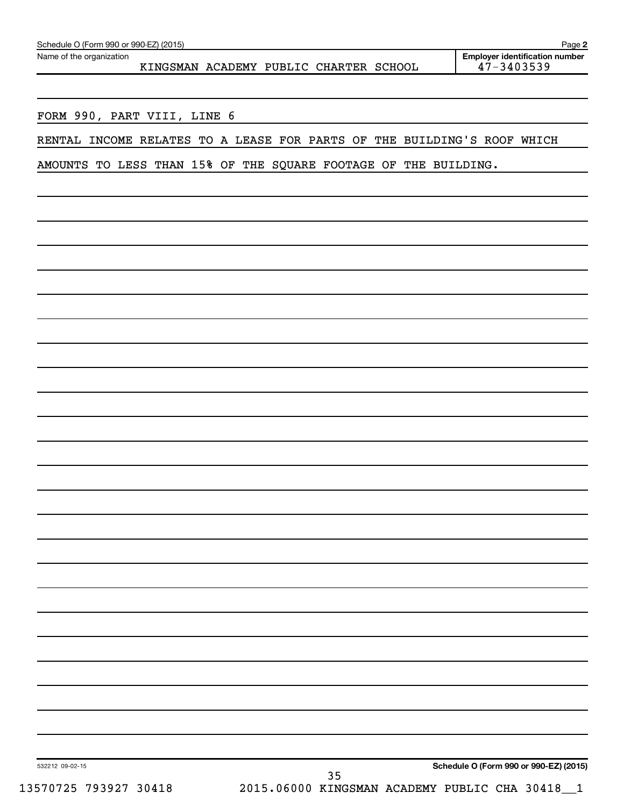| Schedule O (Form 990 or 990-EZ) (2015) | Page                                  |
|----------------------------------------|---------------------------------------|
| Name of the organization               | <b>Emplover identification number</b> |

KINGSMAN ACADEMY PUBLIC CHARTER SCHOOL

FORM 990, PART VIII, LINE 6

RENTAL INCOME RELATES TO A LEASE FOR PARTS OF THE BUILDING'S ROOF WHICH

AMOUNTS TO LESS THAN 15% OF THE SQUARE FOOTAGE OF THE BUILDING.

532212 09-02-15